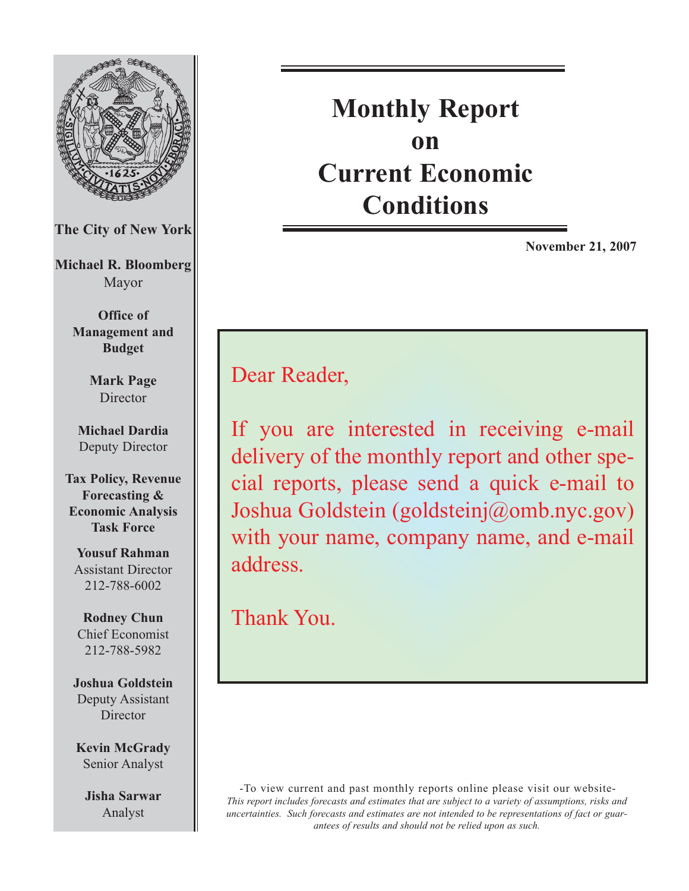

# **Monthly Report on Current Economic Conditions**

**November 21, 2007**

Dear Reader,

If you are interested in receiving e-mail delivery of the monthly report and other special reports, please send a quick e-mail to Joshua Goldstein (goldsteinj@omb.nyc.gov) with your name, company name, and e-mail address.

Thank You.

-To view current and past monthly reports online please visit our website-*This report includes forecasts and estimates that are subject to a variety of assumptions, risks and uncertainties. Such forecasts and estimates are not intended to be representations of fact or guarantees of results and should not be relied upon as such.*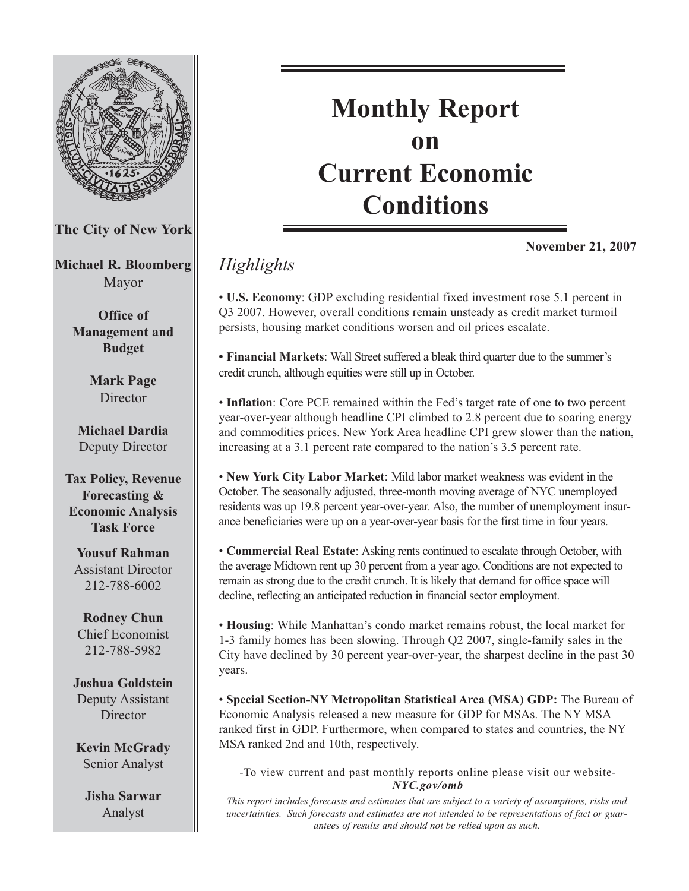

Deputy Assistant **Director** 

**Kevin McGrady** Senior Analyst

**Jisha Sarwar** Analyst

# **Monthly Report on Current Economic Conditions**

**November 21, 2007**

# *Highlights*

• **U.S. Economy**: GDP excluding residential fixed investment rose 5.1 percent in Q3 2007. However, overall conditions remain unsteady as credit market turmoil persists, housing market conditions worsen and oil prices escalate.

**• Financial Markets**: Wall Street suffered a bleak third quarter due to the summer's credit crunch, although equities were still up in October.

• **Inflation**: Core PCE remained within the Fed's target rate of one to two percent year-over-year although headline CPI climbed to 2.8 percent due to soaring energy and commodities prices. New York Area headline CPI grew slower than the nation, increasing at a 3.1 percent rate compared to the nation's 3.5 percent rate.

• **New York City Labor Market**: Mild labor market weakness was evident in the October. The seasonally adjusted, three-month moving average of NYC unemployed residents was up 19.8 percent year-over-year. Also, the number of unemployment insurance beneficiaries were up on a year-over-year basis for the first time in four years.

• **Commercial Real Estate**: Asking rents continued to escalate through October, with the average Midtown rent up 30 percent from a year ago. Conditions are not expected to remain as strong due to the credit crunch. It is likely that demand for office space will decline, reflecting an anticipated reduction in financial sector employment.

• **Housing**: While Manhattan's condo market remains robust, the local market for 1-3 family homes has been slowing. Through Q2 2007, single-family sales in the City have declined by 30 percent year-over-year, the sharpest decline in the past 30 years.

• **Special Section-NY Metropolitan Statistical Area (MSA) GDP:** The Bureau of Economic Analysis released a new measure for GDP for MSAs. The NY MSA ranked first in GDP. Furthermore, when compared to states and countries, the NY MSA ranked 2nd and 10th, respectively.

-To view current and past monthly reports online please visit our website-*NYC.gov/omb*

*This report includes forecasts and estimates that are subject to a variety of assumptions, risks and uncertainties. Such forecasts and estimates are not intended to be representations of fact or guarantees of results and should not be relied upon as such.*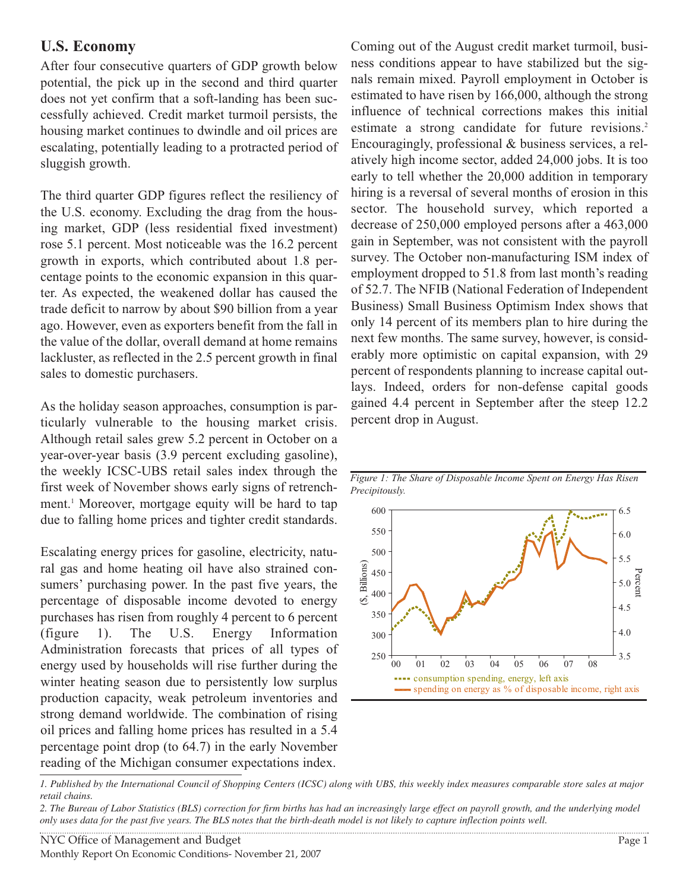### **U.S. Economy**

After four consecutive quarters of GDP growth below potential, the pick up in the second and third quarter does not yet confirm that a soft-landing has been successfully achieved. Credit market turmoil persists, the housing market continues to dwindle and oil prices are escalating, potentially leading to a protracted period of sluggish growth.

The third quarter GDP figures reflect the resiliency of the U.S. economy. Excluding the drag from the housing market, GDP (less residential fixed investment) rose 5.1 percent. Most noticeable was the 16.2 percent growth in exports, which contributed about 1.8 percentage points to the economic expansion in this quarter. As expected, the weakened dollar has caused the trade deficit to narrow by about \$90 billion from a year ago. However, even as exporters benefit from the fall in the value of the dollar, overall demand at home remains lackluster, as reflected in the 2.5 percent growth in final sales to domestic purchasers.

As the holiday season approaches, consumption is particularly vulnerable to the housing market crisis. Although retail sales grew 5.2 percent in October on a year-over-year basis (3.9 percent excluding gasoline), the weekly ICSC-UBS retail sales index through the first week of November shows early signs of retrenchment.<sup>1</sup> Moreover, mortgage equity will be hard to tap due to falling home prices and tighter credit standards.

Escalating energy prices for gasoline, electricity, natural gas and home heating oil have also strained consumers' purchasing power. In the past five years, the percentage of disposable income devoted to energy purchases has risen from roughly 4 percent to 6 percent (figure 1). The U.S. Energy Information Administration forecasts that prices of all types of energy used by households will rise further during the winter heating season due to persistently low surplus production capacity, weak petroleum inventories and strong demand worldwide. The combination of rising oil prices and falling home prices has resulted in a 5.4 percentage point drop (to 64.7) in the early November reading of the Michigan consumer expectations index.

Coming out of the August credit market turmoil, business conditions appear to have stabilized but the signals remain mixed. Payroll employment in October is estimated to have risen by 166,000, although the strong influence of technical corrections makes this initial estimate a strong candidate for future revisions.<sup>2</sup> Encouragingly, professional & business services, a relatively high income sector, added 24,000 jobs. It is too early to tell whether the 20,000 addition in temporary hiring is a reversal of several months of erosion in this sector. The household survey, which reported a decrease of 250,000 employed persons after a 463,000 gain in September, was not consistent with the payroll survey. The October non-manufacturing ISM index of employment dropped to 51.8 from last month's reading of 52.7. The NFIB (National Federation of Independent Business) Small Business Optimism Index shows that only 14 percent of its members plan to hire during the next few months. The same survey, however, is considerably more optimistic on capital expansion, with 29 percent of respondents planning to increase capital outlays. Indeed, orders for non-defense capital goods gained 4.4 percent in September after the steep 12.2 percent drop in August.



*Figure 1: The Share of Disposable Income Spent on Energy Has Risen Precipitously.*

*<sup>1.</sup> Published by the International Council of Shopping Centers (ICSC) along with UBS, this weekly index measures comparable store sales at major retail chains.*

*<sup>2.</sup> The Bureau of Labor Statistics (BLS) correction for firm births has had an increasingly large effect on payroll growth, and the underlying model only uses data for the past five years. The BLS notes that the birth-death model is not likely to capture inflection points well.*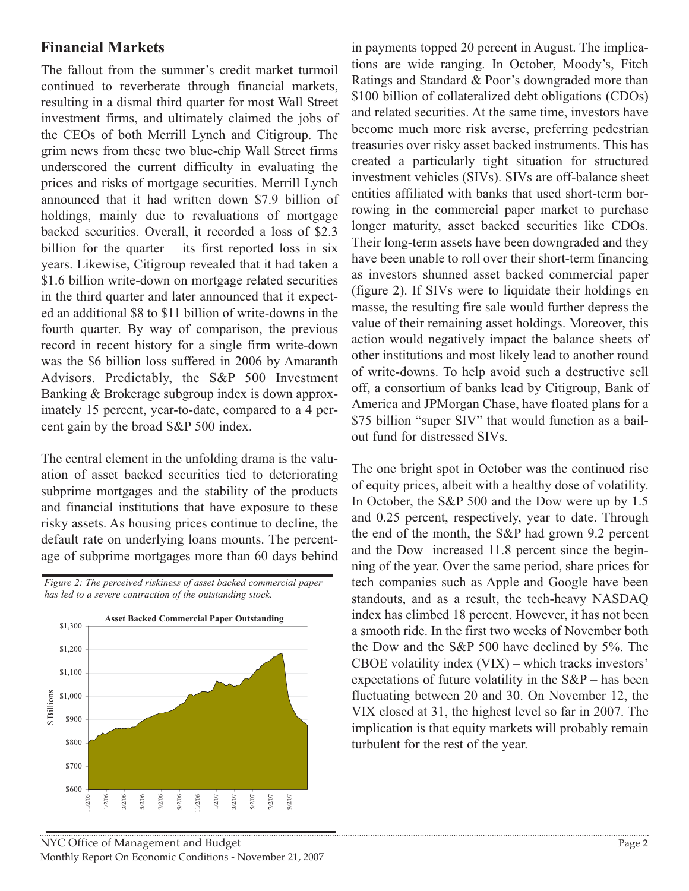## **Financial Markets**

The fallout from the summer's credit market turmoil continued to reverberate through financial markets, resulting in a dismal third quarter for most Wall Street investment firms, and ultimately claimed the jobs of the CEOs of both Merrill Lynch and Citigroup. The grim news from these two blue-chip Wall Street firms underscored the current difficulty in evaluating the prices and risks of mortgage securities. Merrill Lynch announced that it had written down \$7.9 billion of holdings, mainly due to revaluations of mortgage backed securities. Overall, it recorded a loss of \$2.3 billion for the quarter  $-$  its first reported loss in six years. Likewise, Citigroup revealed that it had taken a \$1.6 billion write-down on mortgage related securities in the third quarter and later announced that it expected an additional \$8 to \$11 billion of write-downs in the fourth quarter. By way of comparison, the previous record in recent history for a single firm write-down was the \$6 billion loss suffered in 2006 by Amaranth Advisors. Predictably, the S&P 500 Investment Banking & Brokerage subgroup index is down approximately 15 percent, year-to-date, compared to a 4 percent gain by the broad S&P 500 index.

The central element in the unfolding drama is the valuation of asset backed securities tied to deteriorating subprime mortgages and the stability of the products and financial institutions that have exposure to these risky assets. As housing prices continue to decline, the default rate on underlying loans mounts. The percentage of subprime mortgages more than 60 days behind

*Figure 2: The perceived riskiness of asset backed commercial paper has led to a severe contraction of the outstanding stock.* 



in payments topped 20 percent in August. The implications are wide ranging. In October, Moody's, Fitch Ratings and Standard & Poor's downgraded more than \$100 billion of collateralized debt obligations (CDOs) and related securities. At the same time, investors have become much more risk averse, preferring pedestrian treasuries over risky asset backed instruments. This has created a particularly tight situation for structured investment vehicles (SIVs). SIVs are off-balance sheet entities affiliated with banks that used short-term borrowing in the commercial paper market to purchase longer maturity, asset backed securities like CDOs. Their long-term assets have been downgraded and they have been unable to roll over their short-term financing as investors shunned asset backed commercial paper (figure 2). If SIVs were to liquidate their holdings en masse, the resulting fire sale would further depress the value of their remaining asset holdings. Moreover, this action would negatively impact the balance sheets of other institutions and most likely lead to another round of write-downs. To help avoid such a destructive sell off, a consortium of banks lead by Citigroup, Bank of America and JPMorgan Chase, have floated plans for a \$75 billion "super SIV" that would function as a bailout fund for distressed SIVs.

The one bright spot in October was the continued rise of equity prices, albeit with a healthy dose of volatility. In October, the S&P 500 and the Dow were up by 1.5 and 0.25 percent, respectively, year to date. Through the end of the month, the S&P had grown 9.2 percent and the Dow increased 11.8 percent since the beginning of the year. Over the same period, share prices for tech companies such as Apple and Google have been standouts, and as a result, the tech-heavy NASDAQ index has climbed 18 percent. However, it has not been a smooth ride. In the first two weeks of November both the Dow and the S&P 500 have declined by 5%. The CBOE volatility index (VIX) – which tracks investors' expectations of future volatility in the  $S\&P$  – has been fluctuating between 20 and 30. On November 12, the VIX closed at 31, the highest level so far in 2007. The implication is that equity markets will probably remain turbulent for the rest of the year.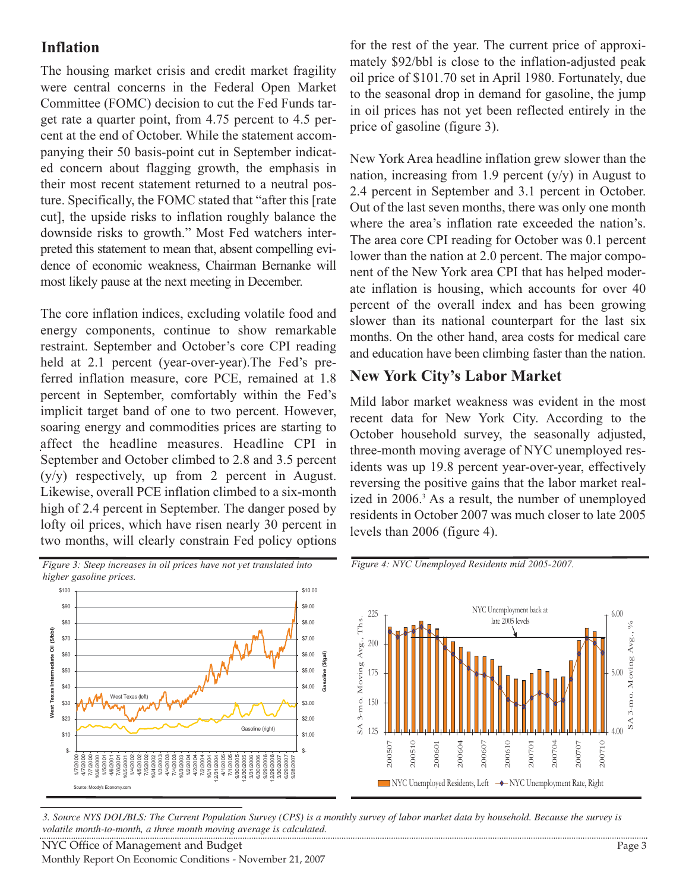# **Inflation**

The housing market crisis and credit market fragility were central concerns in the Federal Open Market Committee (FOMC) decision to cut the Fed Funds target rate a quarter point, from 4.75 percent to 4.5 percent at the end of October. While the statement accompanying their 50 basis-point cut in September indicated concern about flagging growth, the emphasis in their most recent statement returned to a neutral posture. Specifically, the FOMC stated that "after this [rate cut], the upside risks to inflation roughly balance the downside risks to growth." Most Fed watchers interpreted this statement to mean that, absent compelling evidence of economic weakness, Chairman Bernanke will most likely pause at the next meeting in December.

The core inflation indices, excluding volatile food and energy components, continue to show remarkable restraint. September and October's core CPI reading held at 2.1 percent (year-over-year).The Fed's preferred inflation measure, core PCE, remained at 1.8 percent in September, comfortably within the Fed's implicit target band of one to two percent. However, soaring energy and commodities prices are starting to affect the headline measures. Headline CPI in September and October climbed to 2.8 and 3.5 percent (y/y) respectively, up from 2 percent in August. Likewise, overall PCE inflation climbed to a six-month high of 2.4 percent in September. The danger posed by lofty oil prices, which have risen nearly 30 percent in two months, will clearly constrain Fed policy options

*Figure 3: Steep increases in oil prices have not yet translated into higher gasoline prices.*



for the rest of the year. The current price of approximately \$92/bbl is close to the inflation-adjusted peak oil price of \$101.70 set in April 1980. Fortunately, due to the seasonal drop in demand for gasoline, the jump in oil prices has not yet been reflected entirely in the price of gasoline (figure 3).

New York Area headline inflation grew slower than the nation, increasing from 1.9 percent  $(y/y)$  in August to 2.4 percent in September and 3.1 percent in October. Out of the last seven months, there was only one month where the area's inflation rate exceeded the nation's. The area core CPI reading for October was 0.1 percent lower than the nation at 2.0 percent. The major component of the New York area CPI that has helped moderate inflation is housing, which accounts for over 40 percent of the overall index and has been growing slower than its national counterpart for the last six months. On the other hand, area costs for medical care and education have been climbing faster than the nation.

## **New York City's Labor Market**

Mild labor market weakness was evident in the most recent data for New York City. According to the October household survey, the seasonally adjusted, three-month moving average of NYC unemployed residents was up 19.8 percent year-over-year, effectively reversing the positive gains that the labor market realized in 2006.<sup>3</sup> As a result, the number of unemployed residents in October 2007 was much closer to late 2005 levels than 2006 (figure 4).



*Figure 4: NYC Unemployed Residents mid 2005-2007.*

*3. Source NYS DOL/BLS: The Current Population Survey (CPS) is a monthly survey of labor market data by household. Because the survey is volatile month-to-month, a three month moving average is calculated.*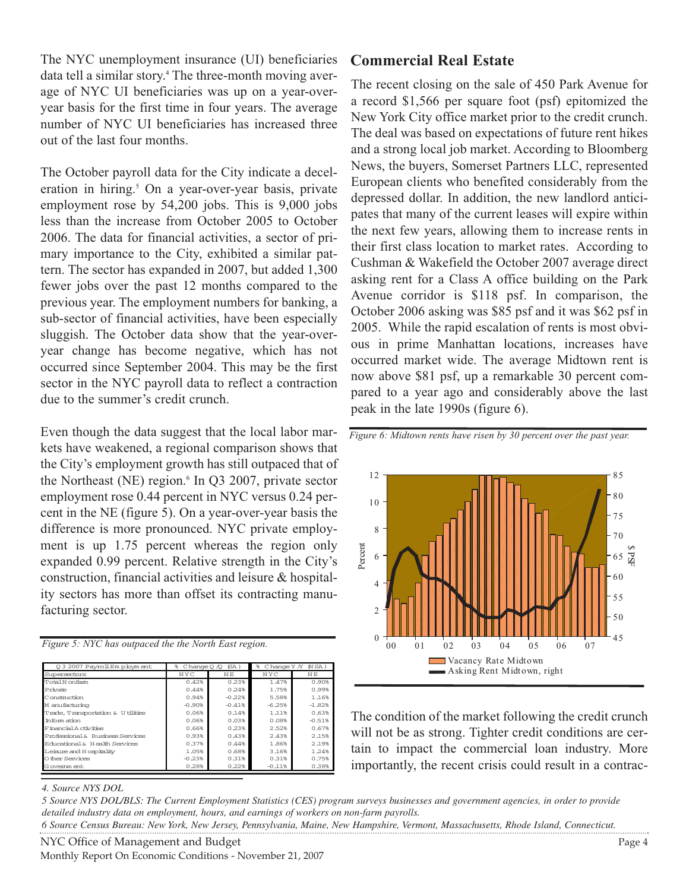The NYC unemployment insurance (UI) beneficiaries data tell a similar story.4 The three-month moving average of NYC UI beneficiaries was up on a year-overyear basis for the first time in four years. The average number of NYC UI beneficiaries has increased three out of the last four months.

The October payroll data for the City indicate a deceleration in hiring.<sup>5</sup> On a year-over-year basis, private employment rose by 54,200 jobs. This is 9,000 jobs less than the increase from October 2005 to October 2006. The data for financial activities, a sector of primary importance to the City, exhibited a similar pattern. The sector has expanded in 2007, but added 1,300 fewer jobs over the past 12 months compared to the previous year. The employment numbers for banking, a sub-sector of financial activities, have been especially sluggish. The October data show that the year-overyear change has become negative, which has not occurred since September 2004. This may be the first sector in the NYC payroll data to reflect a contraction due to the summer's credit crunch.

Even though the data suggest that the local labor markets have weakened, a regional comparison shows that the City's employment growth has still outpaced that of the Northeast (NE) region. $6 \text{ In } Q3$  2007, private sector employment rose 0.44 percent in NYC versus 0.24 percent in the NE (figure 5). On a year-over-year basis the difference is more pronounced. NYC private employment is up 1.75 percent whereas the region only expanded 0.99 percent. Relative strength in the City's construction, financial activities and leisure & hospitality sectors has more than offset its contracting manufacturing sector.

|  |  | Figure 5: NYC has outpaced the the North East region. |  |  |  |
|--|--|-------------------------------------------------------|--|--|--|
|  |  |                                                       |  |  |  |

| 03 2007 PayrollEm ployment         | g<br>$ChangeO$ $\Diamond$ | (SA)     | g.<br>C hange $Y$ $\Lambda$ | $NSA$ )  |
|------------------------------------|---------------------------|----------|-----------------------------|----------|
| Supersectors                       | NYC                       | NΕ       | NYC                         | NΕ       |
| Total Nonfarm                      | 0.42%                     | 0.23%    | 1.47%                       | 0.90%    |
| Private                            | 0.44%                     | 0.24%    | 1.75%                       | 0.99%    |
| C onstruction                      | 0.94%                     | $-0.22%$ | 5.58%                       | 1.16%    |
| M anufacturing                     | $-0.90%$                  | $-0.41%$ | $-6.25%$                    | $-1.82%$ |
| Trade, Transportation & U tilities | 0.06%                     | 0.14%    | 1.11%                       | 0.63%    |
| Th form at ion                     | 0.06%                     | 0.03%    | 0.08%                       | $-0.51%$ |
| E inancial A chylties              | 0.66%                     | 0.23%    | 2.52%                       | 0.67%    |
| Professional & Business Services   | 0.93%                     | 0.43%    | 2.43%                       | 2.15%    |
| Educational & Health Services      | 0.37%                     | 0.44%    | 1.86%                       | 2.19%    |
| Leisure and Hospitality            | 1.05%                     | 0.68%    | 3.16%                       | 1.24%    |
| O ther Services                    | $-0.23%$                  | 0.31%    | 0.31%                       | 0.75%    |
| G overnm ent                       | 0.28%                     | 0.22%    | $-0.11%$                    | 0.38%    |

### **Commercial Real Estate**

The recent closing on the sale of 450 Park Avenue for a record \$1,566 per square foot (psf) epitomized the New York City office market prior to the credit crunch. The deal was based on expectations of future rent hikes and a strong local job market. According to Bloomberg News, the buyers, Somerset Partners LLC, represented European clients who benefited considerably from the depressed dollar. In addition, the new landlord anticipates that many of the current leases will expire within the next few years, allowing them to increase rents in their first class location to market rates. According to Cushman & Wakefield the October 2007 average direct asking rent for a Class A office building on the Park Avenue corridor is \$118 psf. In comparison, the October 2006 asking was \$85 psf and it was \$62 psf in 2005. While the rapid escalation of rents is most obvious in prime Manhattan locations, increases have occurred market wide. The average Midtown rent is now above \$81 psf, up a remarkable 30 percent compared to a year ago and considerably above the last peak in the late 1990s (figure 6).



*Figure 6: Midtown rents have risen by 30 percent over the past year.* 

The condition of the market following the credit crunch will not be as strong. Tighter credit conditions are certain to impact the commercial loan industry. More importantly, the recent crisis could result in a contrac-

### *4. Source NYS DOL*

*5 Source NYS DOL/BLS: The Current Employment Statistics (CES) program surveys businesses and government agencies, in order to provide detailed industry data on employment, hours, and earnings of workers on non-farm payrolls. 6 Source Census Bureau: New York, New Jersey, Pennsylvania, Maine, New Hampshire, Vermont, Massachusetts, Rhode Island, Connecticut.*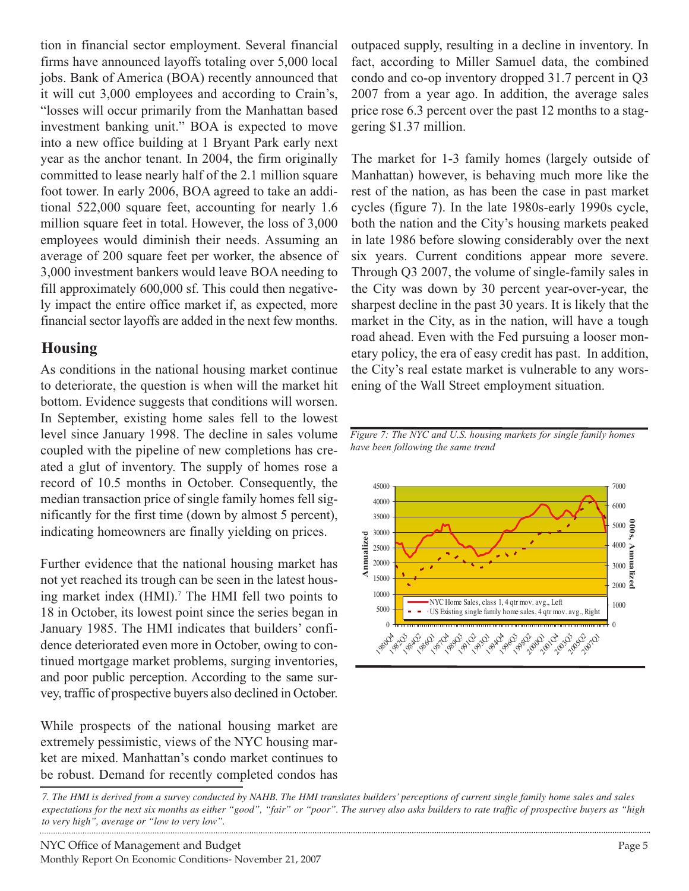tion in financial sector employment. Several financial firms have announced layoffs totaling over 5,000 local jobs. Bank of America (BOA) recently announced that it will cut 3,000 employees and according to Crain's, "losses will occur primarily from the Manhattan based investment banking unit." BOA is expected to move into a new office building at 1 Bryant Park early next year as the anchor tenant. In 2004, the firm originally committed to lease nearly half of the 2.1 million square foot tower. In early 2006, BOA agreed to take an additional 522,000 square feet, accounting for nearly 1.6 million square feet in total. However, the loss of 3,000 employees would diminish their needs. Assuming an average of 200 square feet per worker, the absence of 3,000 investment bankers would leave BOA needing to fill approximately 600,000 sf. This could then negatively impact the entire office market if, as expected, more financial sector layoffs are added in the next few months.

# **Housing**

As conditions in the national housing market continue to deteriorate, the question is when will the market hit bottom. Evidence suggests that conditions will worsen. In September, existing home sales fell to the lowest level since January 1998. The decline in sales volume coupled with the pipeline of new completions has created a glut of inventory. The supply of homes rose a record of 10.5 months in October. Consequently, the median transaction price of single family homes fell significantly for the first time (down by almost 5 percent), indicating homeowners are finally yielding on prices.

Further evidence that the national housing market has not yet reached its trough can be seen in the latest housing market index (HMI).<sup>7</sup> The HMI fell two points to 18 in October, its lowest point since the series began in January 1985. The HMI indicates that builders' confidence deteriorated even more in October, owing to continued mortgage market problems, surging inventories, and poor public perception. According to the same survey, traffic of prospective buyers also declined in October.

While prospects of the national housing market are extremely pessimistic, views of the NYC housing market are mixed. Manhattan's condo market continues to be robust. Demand for recently completed condos has

outpaced supply, resulting in a decline in inventory. In fact, according to Miller Samuel data, the combined condo and co-op inventory dropped 31.7 percent in Q3 2007 from a year ago. In addition, the average sales price rose 6.3 percent over the past 12 months to a staggering \$1.37 million.

The market for 1-3 family homes (largely outside of Manhattan) however, is behaving much more like the rest of the nation, as has been the case in past market cycles (figure 7). In the late 1980s-early 1990s cycle, both the nation and the City's housing markets peaked in late 1986 before slowing considerably over the next six years. Current conditions appear more severe. Through Q3 2007, the volume of single-family sales in the City was down by 30 percent year-over-year, the sharpest decline in the past 30 years. It is likely that the market in the City, as in the nation, will have a tough road ahead. Even with the Fed pursuing a looser monetary policy, the era of easy credit has past. In addition, the City's real estate market is vulnerable to any worsening of the Wall Street employment situation.



*Figure 7: The NYC and U.S. housing markets for single family homes have been following the same trend*

*7. The HMI is derived from a survey conducted by NAHB. The HMI translates builders' perceptions of current single family home sales and sales expectations for the next six months as either "good", "fair" or "poor". The survey also asks builders to rate traffic of prospective buyers as "high to very high", average or "low to very low".*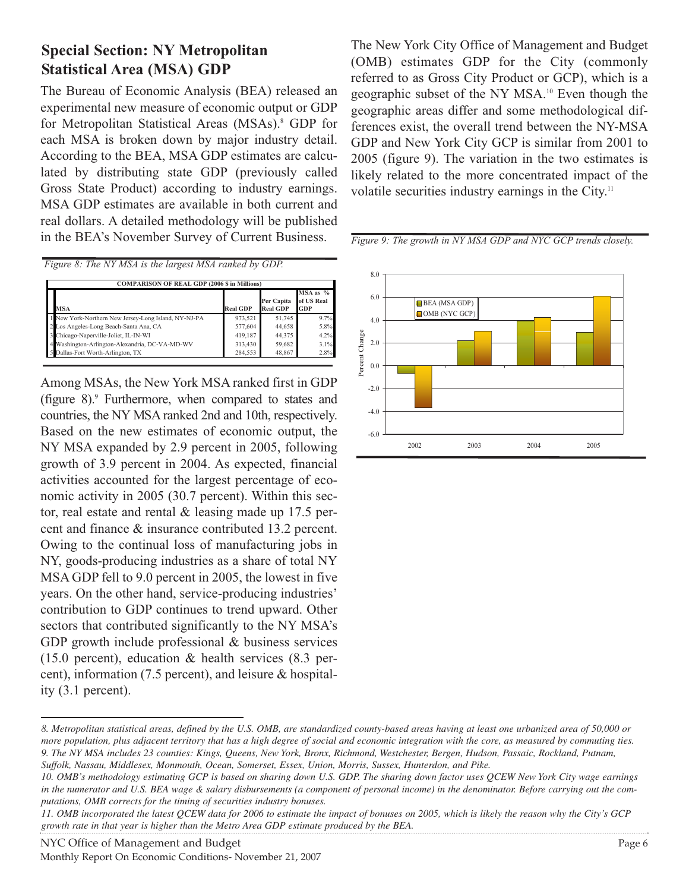# **Special Section: NY Metropolitan Statistical Area (MSA) GDP**

The Bureau of Economic Analysis (BEA) released an experimental new measure of economic output or GDP for Metropolitan Statistical Areas (MSAs).<sup>8</sup> GDP for each MSA is broken down by major industry detail. According to the BEA, MSA GDP estimates are calculated by distributing state GDP (previously called Gross State Product) according to industry earnings. MSA GDP estimates are available in both current and real dollars. A detailed methodology will be published in the BEA's November Survey of Current Business.

*Figure 8: The NY MSA is the largest MSA ranked by GDP.* 

| <b>COMPARISON OF REAL GDP (2006 \$ in Millions)</b>  |                 |                               |                                   |
|------------------------------------------------------|-----------------|-------------------------------|-----------------------------------|
| <b>MSA</b>                                           | <b>Real GDP</b> | Per Capita<br><b>Real GDP</b> | $MSA$ as $%$<br>of US Real<br>GDP |
| 1 New York-Northern New Jersey-Long Island, NY-NJ-PA | 973.521         | 51,745                        | 9.7%                              |
| Los Angeles-Long Beach-Santa Ana, CA                 | 577,604         | 44,658                        | 5.8%                              |
| 3 Chicago-Naperville-Joliet, IL-IN-WI                | 419.187         | 44.375                        | 4.2%                              |
| 4 Washington-Arlington-Alexandria, DC-VA-MD-WV       | 313.430         | 59,682                        | 3.1%                              |
| Dallas-Fort Worth-Arlington, TX                      | 284,553         | 48.867                        | 2.8%                              |

Among MSAs, the New York MSA ranked first in GDP (figure  $8$ ). Furthermore, when compared to states and countries, the NY MSA ranked 2nd and 10th, respectively. Based on the new estimates of economic output, the NY MSA expanded by 2.9 percent in 2005, following growth of 3.9 percent in 2004. As expected, financial activities accounted for the largest percentage of economic activity in 2005 (30.7 percent). Within this sector, real estate and rental & leasing made up 17.5 percent and finance & insurance contributed 13.2 percent. Owing to the continual loss of manufacturing jobs in NY, goods-producing industries as a share of total NY MSA GDP fell to 9.0 percent in 2005, the lowest in five years. On the other hand, service-producing industries' contribution to GDP continues to trend upward. Other sectors that contributed significantly to the NY MSA's GDP growth include professional & business services (15.0 percent), education & health services (8.3 percent), information (7.5 percent), and leisure & hospitality (3.1 percent).

The New York City Office of Management and Budget (OMB) estimates GDP for the City (commonly referred to as Gross City Product or GCP), which is a geographic subset of the NY MSA.10 Even though the geographic areas differ and some methodological differences exist, the overall trend between the NY-MSA GDP and New York City GCP is similar from 2001 to 2005 (figure 9). The variation in the two estimates is likely related to the more concentrated impact of the volatile securities industry earnings in the City.<sup>11</sup>

*Figure 9: The growth in NY MSA GDP and NYC GCP trends closely.*



NYC Office of Management and Budget **Page 6** and Page 6 Monthly Report On Economic Conditions- November 21, 2007

*<sup>8.</sup> Metropolitan statistical areas, defined by the U.S. OMB, are standardized county-based areas having at least one urbanized area of 50,000 or more population, plus adjacent territory that has a high degree of social and economic integration with the core, as measured by commuting ties. 9. The NY MSA includes 23 counties: Kings, Queens, New York, Bronx, Richmond, Westchester, Bergen, Hudson, Passaic, Rockland, Putnam, Suffolk, Nassau, Middlesex, Monmouth, Ocean, Somerset, Essex, Union, Morris, Sussex, Hunterdon, and Pike.*

*<sup>10.</sup> OMB's methodology estimating GCP is based on sharing down U.S. GDP. The sharing down factor uses QCEW New York City wage earnings in the numerator and U.S. BEA wage & salary disbursements (a component of personal income) in the denominator. Before carrying out the computations, OMB corrects for the timing of securities industry bonuses.* 

*<sup>11.</sup> OMB incorporated the latest QCEW data for 2006 to estimate the impact of bonuses on 2005, which is likely the reason why the City's GCP growth rate in that year is higher than the Metro Area GDP estimate produced by the BEA.*  . . . . . . . . . . . . . . . .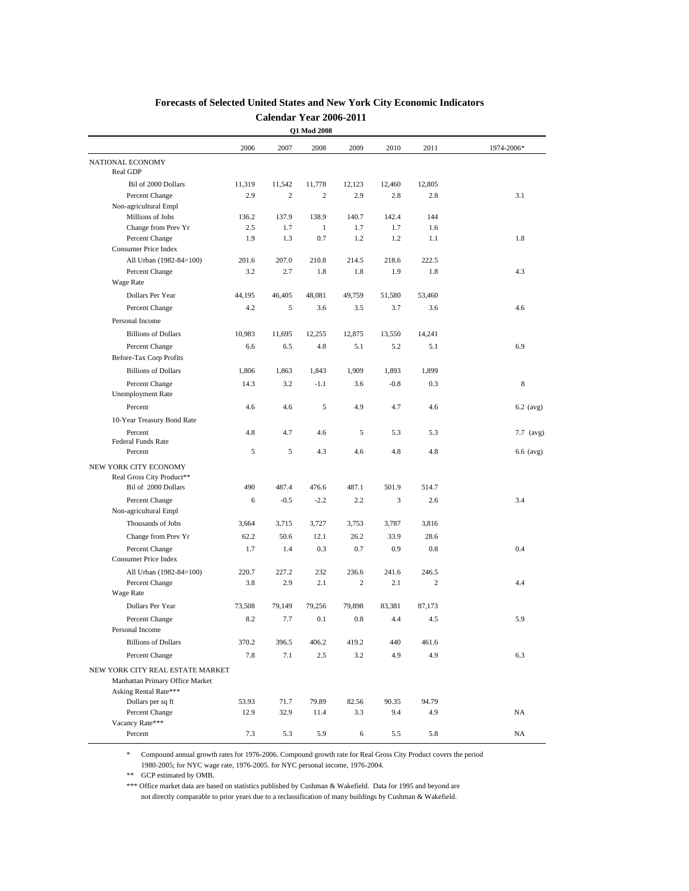|                                                                                              |        |        | Q1 Mod 2008    |        |        |                |             |
|----------------------------------------------------------------------------------------------|--------|--------|----------------|--------|--------|----------------|-------------|
|                                                                                              | 2006   | 2007   | 2008           | 2009   | 2010   | 2011           | 1974-2006*  |
| NATIONAL ECONOMY<br>Real GDP                                                                 |        |        |                |        |        |                |             |
| Bil of 2000 Dollars                                                                          | 11,319 | 11,542 | 11,778         | 12,123 | 12,460 | 12,805         |             |
| Percent Change                                                                               | 2.9    | 2      | $\overline{c}$ | 2.9    | 2.8    | 2.8            | 3.1         |
| Non-agricultural Empl                                                                        |        |        |                |        |        |                |             |
| Millions of Jobs                                                                             | 136.2  | 137.9  | 138.9          | 140.7  | 142.4  | 144            |             |
| Change from Prev Yr                                                                          | 2.5    | 1.7    | 1              | 1.7    | 1.7    | 1.6            |             |
| Percent Change                                                                               | 1.9    | 1.3    | 0.7            | 1.2    | 1.2    | 1.1            | 1.8         |
| <b>Consumer Price Index</b>                                                                  |        |        |                |        |        |                |             |
| All Urban (1982-84=100)                                                                      | 201.6  | 207.0  | 210.8          | 214.5  | 218.6  | 222.5          |             |
| Percent Change                                                                               | 3.2    | 2.7    | 1.8            | 1.8    | 1.9    | 1.8            | 4.3         |
| Wage Rate                                                                                    |        |        |                |        |        |                |             |
| Dollars Per Year                                                                             | 44,195 | 46,405 | 48,081         | 49,759 | 51,580 | 53,460         |             |
| Percent Change                                                                               | 4.2    | 5      | 3.6            | 3.5    | 3.7    | 3.6            | 4.6         |
| Personal Income                                                                              |        |        |                |        |        |                |             |
| <b>Billions of Dollars</b>                                                                   | 10,983 | 11,695 | 12,255         | 12,875 | 13,550 | 14,241         |             |
| Percent Change                                                                               | 6.6    | 6.5    | 4.8            | 5.1    | 5.2    | 5.1            | 6.9         |
| Before-Tax Corp Profits                                                                      |        |        |                |        |        |                |             |
| <b>Billions of Dollars</b>                                                                   | 1,806  | 1,863  | 1,843          | 1,909  | 1,893  | 1,899          |             |
| Percent Change<br><b>Unemployment Rate</b>                                                   | 14.3   | 3.2    | $-1.1$         | 3.6    | $-0.8$ | 0.3            | 8           |
| Percent                                                                                      | 4.6    | 4.6    | 5              | 4.9    | 4.7    | 4.6            | $6.2$ (avg) |
| 10-Year Treasury Bond Rate                                                                   |        |        |                |        |        |                |             |
| Percent                                                                                      | 4.8    | 4.7    | 4.6            | 5      | 5.3    | 5.3            | 7.7 (avg)   |
| <b>Federal Funds Rate</b>                                                                    |        |        |                |        |        |                |             |
| Percent                                                                                      | 5      | 5      | 4.3            | 4.6    | 4.8    | 4.8            | 6.6 (avg)   |
| NEW YORK CITY ECONOMY                                                                        |        |        |                |        |        |                |             |
| Real Gross City Product**                                                                    |        |        |                |        |        |                |             |
| Bil of 2000 Dollars                                                                          | 490    | 487.4  | 476.6          | 487.1  | 501.9  | 514.7          |             |
| Percent Change                                                                               | 6      | $-0.5$ | $-2.2$         | 2.2    | 3      | 2.6            | 3.4         |
| Non-agricultural Empl                                                                        |        |        |                |        |        |                |             |
| Thousands of Jobs                                                                            | 3,664  | 3,715  | 3,727          | 3,753  | 3,787  | 3,816          |             |
| Change from Prev Yr                                                                          | 62.2   | 50.6   | 12.1           | 26.2   | 33.9   | 28.6           |             |
| Percent Change                                                                               | 1.7    | 1.4    | 0.3            | 0.7    | 0.9    | 0.8            | 0.4         |
| Consumer Price Index                                                                         |        |        |                |        |        |                |             |
| All Urban (1982-84=100)                                                                      | 220.7  | 227.2  | 232            | 236.6  | 241.6  | 246.5          |             |
| Percent Change                                                                               | 3.8    | 2.9    | 2.1            | 2      | 2.1    | $\overline{c}$ | 4.4         |
| Wage Rate                                                                                    |        |        |                |        |        |                |             |
| Dollars Per Year                                                                             | 73,508 | 79,149 | 79,256         | 79,898 | 83.381 | 87,173         |             |
| Percent Change<br>Personal Income                                                            | 8.2    | 7.7    | 0.1            | 0.8    | 4.4    | 4.5            | 5.9         |
|                                                                                              | 370.2  |        |                |        | 440    |                |             |
| <b>Billions of Dollars</b>                                                                   |        | 396.5  | 406.2          | 419.2  |        | 461.6          |             |
| Percent Change                                                                               | 7.8    | 7.1    | 2.5            | 3.2    | 4.9    | 4.9            | 6.3         |
| NEW YORK CITY REAL ESTATE MARKET<br>Manhattan Primary Office Market<br>Asking Rental Rate*** |        |        |                |        |        |                |             |
| Dollars per sq ft                                                                            | 53.93  | 71.7   | 79.89          | 82.56  | 90.35  | 94.79          |             |
| Percent Change                                                                               | 12.9   | 32.9   | 11.4           | 3.3    | 9.4    | 4.9            | NA          |
| Vacancy Rate***<br>Percent                                                                   | 7.3    | 5.3    | 5.9            |        | 5.5    | 5.8            | NA          |
|                                                                                              |        |        |                | 6      |        |                |             |

### **Forecasts of Selected United States and New York City Economic Indicators Calendar Year 2006-2011**

\* Compound annual growth rates for 1976-2006. Compound growth rate for Real Gross City Product covers the period 1980-2005; for NYC wage rate, 1976-2005. for NYC personal income, 1976-2004.

\*\* GCP estimated by OMB.

\*\*\* Office market data are based on statistics published by Cushman & Wakefield. Data for 1995 and beyond are not directly comparable to prior years due to a reclassification of many buildings by Cushman & Wakefield.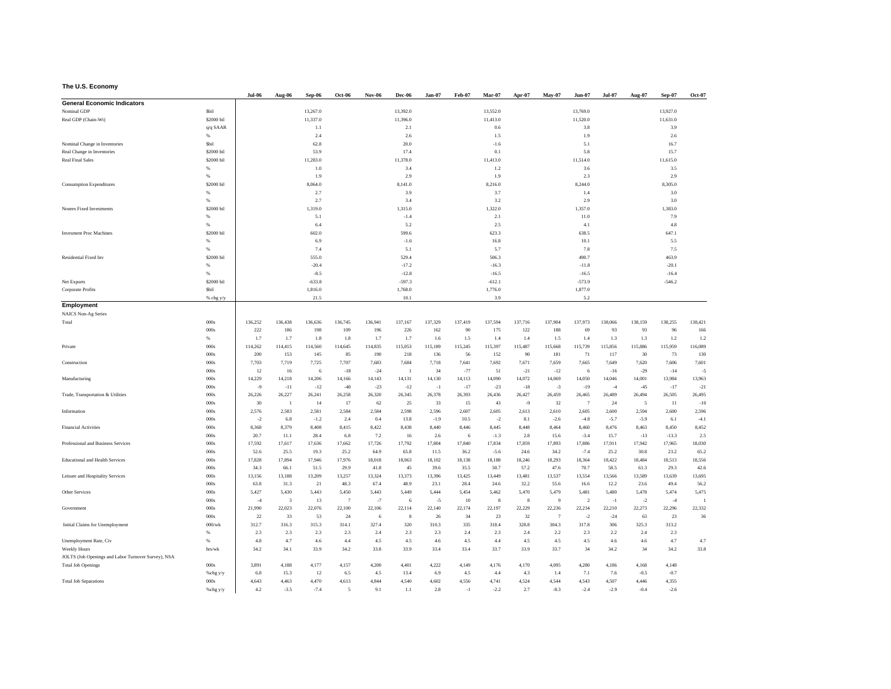#### **The U.S. Economy**

|                                                     |                | <b>Jul-06</b> | Aug-06                  | Sep-06       | <b>Oct-06</b>  | <b>Nov-06</b> | Dec-06           | $Jan-07$     | Feb-07     | Mar-07       | Apr-07       | May-07         | Jun-07         | <b>Jul-07</b> | Aug-07       | Sep-07       | <b>Oct-07</b> |
|-----------------------------------------------------|----------------|---------------|-------------------------|--------------|----------------|---------------|------------------|--------------|------------|--------------|--------------|----------------|----------------|---------------|--------------|--------------|---------------|
| <b>General Economic Indicators</b>                  |                |               |                         |              |                |               |                  |              |            |              |              |                |                |               |              |              |               |
| Nominal GDP                                         | Sbil           |               |                         | 13,267.0     |                |               | 13,392.0         |              |            | 13,552.0     |              |                | 13,769.0       |               |              | 13,927.0     |               |
| Real GDP (Chain-Wt)                                 | \$2000 bil     |               |                         | 11,337.0     |                |               | 11,396.0         |              |            | 11,413.0     |              |                | 11,520.0       |               |              | 11,631.0     |               |
|                                                     | $q/q$ SAAR     |               |                         | 1.1          |                |               | 2.1              |              |            | 0.6          |              |                | 3.8            |               |              | 3.9          |               |
|                                                     | $\%$           |               |                         | 2.4          |                |               | 2.6              |              |            | 1.5          |              |                | 1.9            |               |              | 2.6          |               |
| Nominal Change in Inventories                       | Sbil           |               |                         | 62.8         |                |               | 20.0             |              |            | $-1.6$       |              |                | 5.1            |               |              | 16.7         |               |
| Real Change in Inventories                          | \$2000 bil     |               |                         | 53.9         |                |               | 17.4             |              |            | 0.1          |              |                | 5.8            |               |              | 15.7         |               |
| <b>Real Final Sales</b>                             | \$2000 bil     |               |                         | 11,283.0     |                |               | 11,378.0         |              |            | 11,413.0     |              |                | 11,514.0       |               |              | 11,615.0     |               |
|                                                     | %              |               |                         | 1.0          |                |               | 3.4              |              |            | 1.2          |              |                | 3.6            |               |              | 3.5          |               |
|                                                     | 96             |               |                         | 1.9          |                |               | 2.9              |              |            | 1.9          |              |                | 2.3            |               |              | 2.9          |               |
| <b>Consumption Expenditures</b>                     | \$2000 bil     |               |                         | 8,064.0      |                |               | 8,141.0          |              |            | 8,216.0      |              |                | 8,244.0        |               |              | 8,305.0      |               |
|                                                     | 96             |               |                         | 2.7          |                |               | 3.9              |              |            | 3.7          |              |                | 1.4            |               |              | 3.0          |               |
|                                                     | %              |               |                         | 2.7          |                |               | 3.4              |              |            | 3.2          |              |                | 2.9            |               |              | 3.0          |               |
| Nonres Fixed Investments                            | \$2000 bil     |               |                         | 1,319.0      |                |               | 1,315.0          |              |            | 1,322.0      |              |                | 1,357.0        |               |              | 1,383.0      |               |
|                                                     | $96$           |               |                         | 5.1          |                |               | $-1.4$           |              |            | 2.1          |              |                | 11.0           |               |              | 7.9          |               |
|                                                     | 96             |               |                         | 6.4          |                |               | 5.2              |              |            | 2.5          |              |                | 4.1            |               |              | 4.8          |               |
| <b>Invesment Proc Machines</b>                      | \$2000 bil     |               |                         | 602.0        |                |               | 599.6            |              |            | 623.3        |              |                | 638.5          |               |              | 647.1        |               |
|                                                     | 96             |               |                         | 6.9          |                |               | $-1.6$           |              |            | 16.8         |              |                | 10.1           |               |              | 5.5          |               |
|                                                     | 96             |               |                         | 7.4          |                |               | 5.1              |              |            | 5.7          |              |                | 7.8            |               |              | 7.5          |               |
| Residential Fixed Inv                               | \$2000 bil     |               |                         | 555.0        |                |               | 529.4            |              |            | 506.3        |              |                | 490.7          |               |              | 463.9        |               |
|                                                     | %              |               |                         | $-20.4$      |                |               | $-17.2$          |              |            | $-16.3$      |              |                | $-11.8$        |               |              | $-20.1$      |               |
|                                                     | 96             |               |                         | $-8.5$       |                |               | $-12.8$          |              |            | $-16.5$      |              |                | $-16.5$        |               |              | $-16.4$      |               |
| Net Exports                                         | \$2000 bil     |               |                         | $-633.8$     |                |               | $-597.3$         |              |            | $-612.1$     |              |                | $-573.9$       |               |              | $-546.2$     |               |
| Corporate Profits                                   | Sbil           |               |                         | 1,816.0      |                |               | 1,768.0          |              |            | 1,776.0      |              |                | 1,877.0        |               |              |              |               |
| Employment                                          | % chg y/y      |               |                         | 21.5         |                |               | 10.1             |              |            | 3.9          |              |                | 5.2            |               |              |              |               |
| NAICS Non-Ag Series                                 |                |               |                         |              |                |               |                  |              |            |              |              |                |                |               |              |              |               |
| Total                                               | 000s           | 136,252       | 136,438                 | 136,636      | 136,745        | 136,941       | 137,167          | 137,329      | 137,419    | 137,594      | 137,716      | 137,904        | 137,973        | 138,066       | 138,159      | 138,255      | 138,421       |
|                                                     | 000s           | 222           | 186                     | 198          | 109            | 196           | 226              | 162          | 90         | 175          | 122          | 188            | 69             | 93            | 93           | 96           | 166           |
|                                                     | 96             | 1.7           | 1.7                     | 1.8          | 1.8            | 1.7           | 1.7              | 1.6          | 1.5        | 1.4          | 1.4          | 1.5            | 1.4            | 1.3           | 1.3          | 1.2          | 1.2           |
| Private                                             | 000s           | 114,262       | 114,415                 | 114,560      | 114,645        | 114,835       | 115,053          | 115,189      | 115,245    | 115,397      | 115,487      | 115,668        | 115,739        | 115,856       | 115,886      | 115,959      | 116,089       |
|                                                     | 000s           | 200           | 153                     | 145          | 85             | 190           | 218              | 136          | 56         | 152          | 90           | 181            | 71             | 117           | 30           | 73           | 130           |
| Construction                                        | 000s           | 7,703         | 7,719                   | 7,725        | 7,707          | 7,683         | 7,684            | 7,718        | 7,641      | 7,692        | 7,671        | 7,659          | 7,665          | 7,649         | 7,620        | 7,606        | 7,601         |
|                                                     | 000s           | 12            | 16                      | 6            | $-18$          | $-24$         | $\overline{1}$   | 34           | $-77$      | 51           | $-21$        | $-12$          | 6              | $-16$         | $-29$        | $-14$        | k)            |
| Manufacturing                                       | 000s           | 14,229        | 14,218                  | 14,206       | 14,166         | 14,143        | 14,131           | 14,130       | 14,113     | 14,090       | 14,072       | 14,069         | 14,050         | 14,046        | 14,001       | 13,984       | 13,963        |
|                                                     | 000s           | $-9$          | $-11$                   | $-12$        | $-40$          | $-23$         | $-12$            | $-1$         | $-17$      | $-23$        | $-18$        | $-3$           | $-19$          | $-4$          | $-45$        | $-17$        | $-21$         |
| Trade, Transportation & Utilities                   | 000s           | 26,226        | 26,227                  | 26,241       | 26,258         | 26,320        | 26,345           | 26,378       | 26,393     | 26,436       | 26,427       | 26,459         | 26,465         | 26,489        | 26,494       | 26,505       | 26,495        |
|                                                     | 000s           | 30            | $\overline{1}$          | 14           | 17             | 62            | 25               | 33           | 15         | 43           | $-9$         | 32             | $\overline{7}$ | 24            | 5            | 11           | $-10$         |
| Information                                         | 000s           | 2,576         | 2,583                   | 2,581        | 2,584          | 2,584         | 2,598            | 2,596        | 2,607      | 2,605        | 2,613        | 2,610          | 2,605          | 2,600         | 2.594        | 2,600        | 2,596         |
|                                                     | 000s           | $-2$          | 6.8                     | $-1.2$       | 2.4            | 0.4           | 13.8             | $-1.9$       | 10.5       | $^{\circ2}$  | 8.1          | $-2.6$         | $-4.8$         | $-5.7$        | $-5.9$       | 6.1          | $-4.1$        |
| Financial Activities                                | 000s           | 8,368         | 8,379                   | 8,408        | 8,415          | 8,422         | 8,438            | 8,440        | 8,446      | 8,445        | 8,448        | 8,464          | 8,460          | 8,476         | 8,463        | 8,450        | 8,452         |
|                                                     | 000s           | 20.7          | 11.1                    | 28.4         | 6.8            | 7.2           | 16               | 2.6          | 6          | $-1.3$       | $2.8\,$      | 15.6           | $-3.4$         | 15.7          | $-13$        | $-13.3$      | 2.5           |
| Professional and Business Services                  | 000s           | 17,592        | 17,617                  | 17,636       | 17,662         | 17,726        | 17,792           | 17,804       | 17,840     | 17,834       | 17,859       | 17,893         | 17,886         | 17,911        | 17,942       | 17,965       | 18,030        |
|                                                     | 000s           | 52.6          | 25.5                    | 19.3         | 25.2           | 64.9          | 65.8             | 11.5         | 36.2       | $-5.6$       | 24.6         | 34.2           | $-7.4$         | 25.2          | 30.8         | 23.2         | 65.2          |
| <b>Educational and Health Services</b>              | 000s           | 17,828        | 17,894                  | 17,946       | 17,976         | 18,018        | 18,063           | 18,102       | 18,138     | 18,188       | 18,246       | 18,293         | 18,364         | 18,422        | 18,484       | 18,513       | 18,556        |
|                                                     | 000s           | 343           | 66.1                    | 51.5         | 29.9           | 41.8          | 45               | 39.6         | 35.5       | 50.7         | 57.2         | 47.6           | 70.7           | 58.5          | 61.3         | 29.3         | 42.6          |
| Leisure and Hospitality Services                    | 000s           | 13,156        | 13,188                  | 13,209       | 13,257         | 13,324        | 13,373           | 13,396       | 13,425     | 13,449       | 13,481       | 13,537         | 13,554         | 13,566        | 13,589       | 13,639       | 13,695        |
|                                                     | 000s           | 63.8          | 31.3                    | 21           | 48.3           | 67.4          | 48.9             | 23.1         | 28.4       | 24.6         | 32.2         | 55.6           | 16.6           | 12.2          | 23.6         | 49.4         | 56.2          |
| Other Services                                      | 000s           | 5,427         | 5,430                   | 5,443        | 5,450          | 5,443         | 5,449            | 5,444        | 5,454      | 5,462        | 5,470        | 5,479          | 5,481          | 5,480         | 5,478        | 5,474        | 5,475         |
|                                                     | 000s           | $-4$          | $\overline{\mathbf{3}}$ | 13           | $\overline{7}$ | $-7$          | 6                | $-5$         | $10\,$     | 8            | 8            | $\overline{q}$ | $\overline{2}$ | $^{\rm -1}$   | $\cdot 2$    | $-4$         |               |
| Government                                          | 000s           | 21,990        | 22,023                  | 22,076       | 22,100         | 22,106        | 22,114           | 22,140       | 22,174     | 22,197       | 22,229       | 22,236         | 22,234         | 22,210        | 22,273       | 22,296       | 22,332        |
|                                                     | 000s<br>000/wk | 22            | 33                      | 53           | 24             | 6             | $\boldsymbol{8}$ | 26           | 34         | 23           | 32           | $\overline{7}$ | $-2$           | $-24$         | 63           | 23           | 36            |
| Initial Claims for Unemployment                     | 96             | 312.7<br>2.3  | 316.3<br>2.3            | 315.3<br>2.3 | 314.1<br>2.3   | 327.4<br>2.4  | 320<br>2.3       | 310.3<br>2.3 | 335<br>2.4 | 318.4<br>2.3 | 328.8<br>2.4 | 304.3<br>2.2   | 317.8<br>2.3   | 306<br>2.2    | 325.3<br>2.4 | 313.2<br>2.3 |               |
| Unemployment Rate, Civ                              | %              | 4.8           | 4.7                     | 4.6          | 4.4            | 4.5           | 4.5              | 4.6          | 4.5        | 4.4          | 4.5          | 4.5            | 4.5            | 4.6           | 4.6          | 4.7          | 4.7           |
| Weekly Hours                                        | hrs/wk         | 34.2          | 34.1                    | 33.9         | 34.2           | 33.8          | 33.9             | 33.4         | 33.4       | 33.7         | 33.9         | 33.7           | 34             | 34.2          | 34           | 34.2         | 33.8          |
| JOLTS (Job Openings and Labor Turnover Survey), NSA |                |               |                         |              |                |               |                  |              |            |              |              |                |                |               |              |              |               |
| <b>Total Job Openings</b>                           | 000s           | 3,891         | 4,188                   | 4,177        | 4,157          | 4,200         | 4,401            | 4,222        | 4,149      | 4,176        | 4,170        | 4,095          | 4,280          | 4,186         | 4,168        | 4,148        |               |
|                                                     | %chg y/y       | 6.8           | 15.3                    | 12           | 6.5            | 4.5           | 13.4             | 6.9          | 4.5        | 4.4          | 4.3          | 1.4            | 7.1            | 7.6           | $-0.5$       | $-0.7$       |               |
| <b>Total Job Separations</b>                        | 000s           | 4,643         | 4,463                   | 4,470        | 4,613          | 4,844         | 4,540            | 4,602        | 4,556      | 4,741        | 4,524        | 4,544          | 4,543          | 4,507         | 4,446        | 4,355        |               |
|                                                     | %chg y/y       | 4.2           | $-3.5$                  | $-7.4$       | 5              | 9.1           | 1.1              | 2.8          | $-1$       | $-2.2$       | 2.7          | $-8.3$         | $-2.4$         | $-2.9$        | $-0.4$       | $-2.6$       |               |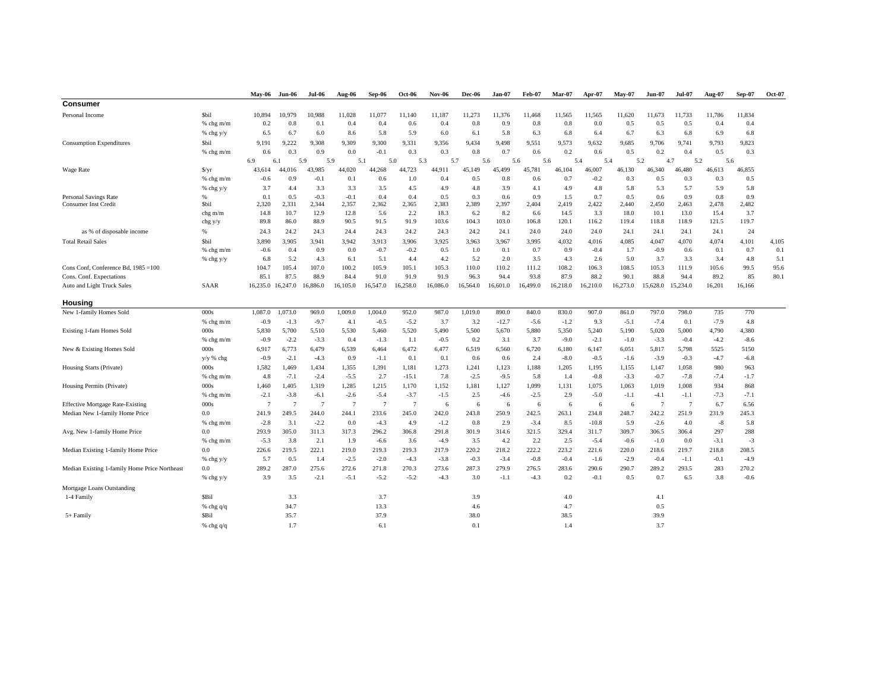|                                               |                        | May-06         | Jun-06            | Jul-06        | Aug-06         | Sep-06         | <b>Oct-06</b>  | <b>Nov-06</b> | Dec-06       | Jan-07       | Feb-07       | Mar-07        | Apr-07       | $Mav-07$      | <b>Jun-07</b>  | <b>Jul-07</b>  | Aug-07        | <b>Sep-07</b> | Oct-07 |
|-----------------------------------------------|------------------------|----------------|-------------------|---------------|----------------|----------------|----------------|---------------|--------------|--------------|--------------|---------------|--------------|---------------|----------------|----------------|---------------|---------------|--------|
| <b>Consumer</b>                               |                        |                |                   |               |                |                |                |               |              |              |              |               |              |               |                |                |               |               |        |
| Personal Income                               | <b>Sbil</b>            | 10,894         | 10,979            | 10,988        | 11,028         | 11,077         | 11,140         | 11,187        | 11,273       | 11,376       | 11,468       | 11,565        | 11,565       | 11,620        | 11,673         | 11,733         | 11,786        | 11,834        |        |
|                                               | % chg m/m              | 0.2            | 0.8               | 0.1           | 0.4            | 0.4            | 0.6            | 0.4           | 0.8          | 0.9          | 0.8          | 0.8           | 0.0          | 0.5           | 0.5            | 0.5            | 0.4           | 0.4           |        |
|                                               | % chg y/y              | 6.5            | 6.7               | 6.0           | 8.6            | 5.8            | 5.9            | 6.0           | 6.1          | 5.8          | 6.3          | 6.8           | 6.4          | 6.7           | 6.3            | 6.8            | 6.9           | 6.8           |        |
| <b>Consumption Expenditures</b>               | <b>Sbil</b>            | 9.191          | 9.222             | 9,308         | 9.309          | 9.300          | 9,331          | 9.356         | 9,434        | 9.498        | 9.551        | 9,573         | 9,632        | 9,685         | 9,706          | 9,741          | 9,793         | 9,823         |        |
|                                               | $%$ chg m/m            | 0.6            | 0.3               | 0.9           | 0.0            | $-0.1$         | 0.3            | 0.3           | 0.8          | 0.7          | 0.6          | 0.2           | 0.6          | 0.5           | 0.2            | 0.4            | 0.5           | 0.3           |        |
|                                               |                        | 6.9            | 6.                | 5.9           | 5.9            | 5.1            | 5.0            | 5.3           | 5.7          | 5.6          | 5.6          | 5.6           | 5.4          | 5.4           | 5.2            | 4.7            | 5.2           | 5.6           |        |
| Wage Rate                                     | $\frac{S}{Y}$          | 43,614         | 44.016            | 43,985        | 44,020         | 44,268         | 44,723         | 44.911        | 45,149       | 45,499       | 45,781       | 46,104        | 46,007       | 46,130        | 46.340         | 46,480         | 46,613        | 46,855        |        |
|                                               | $%$ chg m/m            | $-0.6$         | 0.9               | $-0.1$        | 0.1            | 0.6            | 1.0            | 0.4           | 0.5          | 0.8          | 0.6          | 0.7           | $-0.2$       | 0.3           | 0.5            | 0.3            | 0.3           | 0.5           |        |
|                                               | % chg y/y              | 3.7            | 4.4               | 3.3           | 3.3            | 3.5            | 4.5            | 4.9           | 4.8          | 3.9          | 4.1          | 4.9           | 4.8          | 5.8           | 5.3            | 5.7            | 5.9           | 5.8           |        |
| <b>Personal Savings Rate</b>                  | %                      | 0.1            | 0.5               | $-0.3$        | $-0.1$         | 0.4            | 0.4            | 0.5           | 0.3          | 0.6          | 0.9          | 1.5           | 0.7          | 0.5           | 0.6            | 0.9            | 0.8           | 0.9           |        |
| <b>Consumer Inst Credit</b>                   | <b>Sbil</b><br>chg m/m | 2,320<br>14.8  | 2,331<br>10.7     | 2,344<br>12.9 | 2,357<br>12.8  | 2,362<br>5.6   | 2,365<br>2.2   | 2,383<br>18.3 | 2,389<br>6.2 | 2,397<br>8.2 | 2,404<br>6.6 | 2,419<br>14.5 | 2,422<br>3.3 | 2,440<br>18.0 | 2,450<br>10.1  | 2,463<br>13.0  | 2,478<br>15.4 | 2,482<br>3.7  |        |
|                                               | chg y/y                | 89.8           | 86.0              | 88.9          | 90.5           | 91.5           | 91.9           | 103.6         | 104.3        | 103.0        | 106.8        | 120.1         | 116.2        | 119.4         | 118.8          | 118.9          | 121.5         | 119.7         |        |
| as % of disposable income                     | %                      | 24.3           | 24.2              | 24.3          | 24.4           | 24.3           | 24.2           | 24.3          | 24.2         | 24.1         | 24.0         | 24.0          | 24.0         | 24.1          | 24.1           | 24.1           | 24.1          | 24            |        |
| <b>Total Retail Sales</b>                     | <b>Sbil</b>            | 3.890          | 3.905             | 3,941         | 3,942          | 3,913          | 3,906          | 3,925         | 3,963        | 3,967        | 3,995        | 4,032         | 4,016        | 4,085         | 4,047          | 4,070          | 4,074         | 4,101         | 4,105  |
|                                               | $%$ chg m/m            | $-0.6$         | 0.4               | 0.9           | 0.0            | $-0.7$         | $-0.2$         | 0.5           | 1.0          | 0.1          | 0.7          | 0.9           | $-0.4$       | 1.7           | $-0.9$         | 0.6            | 0.1           | 0.7           | 0.1    |
|                                               | % chg y/y              | 6.8            | 5.2               | 4.3           | 6.1            | 5.1            | 4.4            | 4.2           | 5.2          | 2.0          | 3.5          | 4.3           | 2.6          | 5.0           | 3.7            | 3.3            | 3.4           | 4.8           | 5.1    |
| Cons Conf, Conference Bd, 1985 = 100          |                        | 104.7          | 105.4             | 107.0         | 100.2          | 105.9          | 105.1          | 105.3         | 110.0        | 110.2        | 111.2        | 108.2         | 106.3        | 108.5         | 105.3          | 111.9          | 105.6         | 99.5          | 95.6   |
| Cons. Conf. Expectations                      |                        | 85.1           | 87.5              | 88.9          | 84.4           | 91.0           | 91.9           | 91.9          | 96.3         | 94.4         | 93.8         | 87.9          | 88.2         | 90.1          | 88.8           | 94.4           | 89.2          | 85            | 80.1   |
| Auto and Light Truck Sales                    | SAAR                   |                | 16,235.0 16,247.0 | 16,886.0      | 16,105.0       | 16,547.0       | 16,258.0       | 16,086.0      | 16,564.0     | 16,601.0     | 16,499.0     | 16,218.0      | 16,210.0     | 16,273.0      | 15,628.0       | 15,234.0       | 16,201        | 16,166        |        |
| Housing                                       |                        |                |                   |               |                |                |                |               |              |              |              |               |              |               |                |                |               |               |        |
| New 1-family Homes Sold                       | 000s                   | 1,087.0        | ,073.0            | 969.0         | 1,009.0        | 1,004.0        | 952.0          | 987.0         | 1,019.0      | 890.0        | 840.0        | 830.0         | 907.0        | 861.0         | 797.0          | 798.0          | 735           | 770           |        |
|                                               | % chg m/m              | $-0.9$         | $-1.3$            | $-9.7$        | 4.1            | $-0.5$         | $-5.2$         | 3.7           | 3.2          | $-12.7$      | $-5.6$       | $-1.2$        | 9.3          | $-5.1$        | $-7.4$         | 0.1            | $-7.9$        | 4.8           |        |
| Existing 1-fam Homes Sold                     | 000s                   | 5,830          | 5,700             | 5,510         | 5,530          | 5,460          | 5,520          | 5,490         | 5,500        | 5,670        | 5,880        | 5,350         | 5,240        | 5,190         | 5,020          | 5,000          | 4,790         | 4,380         |        |
|                                               | $%$ chg m/m            | $-0.9$         | $-2.2$            | $-3.3$        | 0.4            | $-1.3$         | 1.1            | $-0.5$        | 0.2          | 3.1          | 3.7          | $-9.0$        | $-2.1$       | $-1.0$        | $-3.3$         | $-0.4$         | $-4.2$        | $-8.6$        |        |
| New & Existing Homes Sold                     | 000s                   | 6.917          | 6,773             | 6.479         | 6.539          | 6.464          | 6,472          | 6,477         | 6,519        | 6,560        | 6,720        | 6,180         | 6.147        | 6,051         | 5,817          | 5,798          | 5525          | 5150          |        |
|                                               | $y/y$ % chg            | $-0.9$         | $-2.1$            | $-4.3$        | 0.9            | $-1.1$         | 0.1            | 0.1           | 0.6          | 0.6          | 2.4          | $-8.0$        | $-0.5$       | $-1.6$        | $-3.9$         | $-0.3$         | $-4.7$        | $-6.8$        |        |
| Housing Starts (Private)                      | 000s                   | 1,582          | 1,469             | 1,434         | 1,355          | 1,391          | 1,181          | 1,273         | 1,241        | 1,123        | 1,188        | 1,205         | 1,195        | 1,155         | 1,147          | 1,058          | 980           | 963           |        |
|                                               | $%$ chg m/m            | 4.8            | $-7.1$            | $-2.4$        | $-5.5$         | 2.7            | $-15.1$        | 7.8           | $-2.5$       | $-9.5$       | 5.8          | 1.4           | $-0.8$       | $-3.3$        | $-0.7$         | $-7.8$         | $-7.4$        | $-1.7$        |        |
| Housing Permits (Private)                     | 000s                   | 1.460          | 1,405             | 1,319         | 1,285          | 1,215          | 1,170          | 1,152         | 1,181        | 1,127        | 1,099        | 1,131         | 1,075        | 1,063         | 1,019          | 1,008          | 934           | 868           |        |
|                                               | $%$ chg m/m            | $-2.1$         | $-3.8$            | $-6.1$        | $-2.6$         | $-5.4$         | $-3.7$         | $-1.5$        | 2.5          | $-4.6$       | $-2.5$       | 2.9           | $-5.0$       | $-1.1$        | $-4.1$         | $-1.1$         | $-7.3$        | $-7.1$        |        |
| <b>Effective Mortgage Rate-Existing</b>       | 000s                   | $\overline{7}$ | 7                 | -7            | $\overline{7}$ | $\overline{7}$ | $\overline{7}$ | 6             | 6            | 6            | 6            | 6             | 6            | 6             | $\overline{7}$ | $\overline{7}$ | 6.7           | 6.56          |        |
| Median New 1-family Home Price                | 0.0                    | 241.9          | 249.5             | 244.0         | 244.1          | 233.6          | 245.0          | 242.0         | 243.8        | 250.9        | 242.5        | 263.1         | 234.8        | 248.7         | 242.2          | 251.9          | 231.9         | 245.3         |        |
|                                               | $%$ chg m/m            | $-2.8$         | 3.1               | $-2.2$        | 0.0            | $-4.3$         | 4.9            | $-1.2$        | 0.8          | 2.9          | $-3.4$       | 8.5           | $-10.8$      | 5.9           | $-2.6$         | 4.0            | $-8$          | 5.8           |        |
| Avg. New 1-family Home Price                  | 0.0                    | 293.9          | 305.0             | 311.3         | 317.3          | 296.2          | 306.8          | 291.8         | 301.9        | 314.6        | 321.5        | 329.4         | 311.7        | 309.7         | 306.5          | 306.4          | 297           | 288           |        |
|                                               | $%$ chg m/m            | $-5.3$         | 3.8               | 2.1           | 1.9            | $-6.6$         | 3.6            | $-4.9$        | 3.5          | 4.2          | 2.2          | 2.5           | $-5.4$       | $-0.6$        | $-1.0$         | 0.0            | $-3.1$        | $-3$          |        |
| Median Existing 1-family Home Price           | 0.0                    | 226.6          | 219.5             | 222.1         | 219.0          | 219.3          | 219.3          | 217.9         | 220.2        | 218.2        | 222.2        | 223.2         | 221.6        | 220.0         | 218.6          | 219.7          | 218.8         | 208.5         |        |
|                                               | % chg y/y              | 5.7            | 0.5               | 1.4           | $-2.5$         | $-2.0$         | $-4.3$         | $-3.8$        | $-0.3$       | $-3.4$       | $-0.8$       | $-0.4$        | $-1.6$       | $-2.9$        | $-0.4$         | $-1.1$         | $-0.1$        | $-4.9$        |        |
| Median Existing 1-family Home Price Northeast | 0.0                    | 289.2          | 287.0             | 275.6         | 272.6          | 271.8          | 270.3          | 273.6         | 287.3        | 279.9        | 276.5        | 283.6         | 290.6        | 290.7         | 289.2          | 293.5          | 283           | 270.2         |        |
|                                               | % chg y/y              | 3.9            | 3.5               | $-2.1$        | $-5.1$         | $-5.2$         | $-5.2$         | $-4.3$        | 3.0          | $-1.1$       | $-4.3$       | 0.2           | $-0.1$       | 0.5           | 0.7            | 6.5            | 3.8           | $-0.6$        |        |
| Mortgage Loans Outstanding                    |                        |                |                   |               |                |                |                |               |              |              |              |               |              |               |                |                |               |               |        |
| 1-4 Family                                    | <b>SBil</b>            |                | 3.3               |               |                | 3.7            |                |               | 3.9          |              |              | 4.0           |              |               | 4.1            |                |               |               |        |
|                                               | % chg $q/q$            |                | 34.7              |               |                | 13.3           |                |               | 4.6          |              |              | 4.7           |              |               | 0.5            |                |               |               |        |
| $5+ Family$                                   | <b>SBil</b>            |                | 35.7              |               |                | 37.9           |                |               | 38.0         |              |              | 38.5          |              |               | 39.9           |                |               |               |        |
|                                               | % chg $q/q$            |                | 1.7               |               |                | 6.1            |                |               | 0.1          |              |              | 1.4           |              |               | 3.7            |                |               |               |        |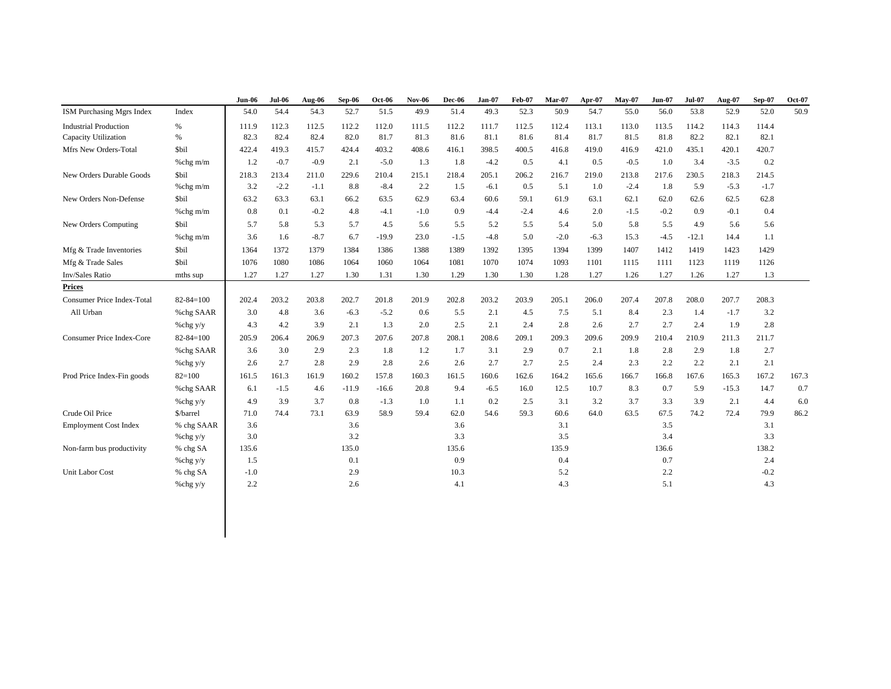|                                   |                 | <b>Jun-06</b> | $Jul-06$ | Aug-06 | Sep-06  | Oct-06  | <b>Nov-06</b> | <b>Dec-06</b> | Jan-07 | <b>Feb-07</b> | <b>Mar-07</b> | Apr-07 | $May-07$ | <b>Jun-07</b> | <b>Jul-07</b> | Aug-07  | Sep-07 | <b>Oct-07</b> |
|-----------------------------------|-----------------|---------------|----------|--------|---------|---------|---------------|---------------|--------|---------------|---------------|--------|----------|---------------|---------------|---------|--------|---------------|
| ISM Purchasing Mgrs Index         | Index           | 54.0          | 54.4     | 54.3   | 52.7    | 51.5    | 49.9          | 51.4          | 49.3   | 52.3          | 50.9          | 54.7   | 55.0     | 56.0          | 53.8          | 52.9    | 52.0   | 50.9          |
| <b>Industrial Production</b>      | $\%$            | 111.9         | 112.3    | 112.5  | 112.2   | 112.0   | 111.5         | 112.2         | 111.7  | 112.5         | 112.4         | 113.1  | 113.0    | 113.5         | 114.2         | 114.3   | 114.4  |               |
| Capacity Utilization              | $\%$            | 82.3          | 82.4     | 82.4   | 82.0    | 81.7    | 81.3          | 81.6          | 81.1   | 81.6          | 81.4          | 81.7   | 81.5     | 81.8          | 82.2          | 82.1    | 82.1   |               |
| Mfrs New Orders-Total             | \$bil           | 422.4         | 419.3    | 415.7  | 424.4   | 403.2   | 408.6         | 416.1         | 398.5  | 400.5         | 416.8         | 419.0  | 416.9    | 421.0         | 435.1         | 420.1   | 420.7  |               |
|                                   | %chg m/m        | 1.2           | $-0.7$   | $-0.9$ | 2.1     | $-5.0$  | 1.3           | 1.8           | $-4.2$ | 0.5           | 4.1           | 0.5    | $-0.5$   | 1.0           | 3.4           | $-3.5$  | 0.2    |               |
| New Orders Durable Goods          | \$bil           | 218.3         | 213.4    | 211.0  | 229.6   | 210.4   | 215.1         | 218.4         | 205.1  | 206.2         | 216.7         | 219.0  | 213.8    | 217.6         | 230.5         | 218.3   | 214.5  |               |
|                                   | %chg m/m        | 3.2           | $-2.2$   | $-1.1$ | 8.8     | $-8.4$  | 2.2           | 1.5           | $-6.1$ | 0.5           | 5.1           | 1.0    | $-2.4$   | 1.8           | 5.9           | $-5.3$  | $-1.7$ |               |
| New Orders Non-Defense            | \$bil           | 63.2          | 63.3     | 63.1   | 66.2    | 63.5    | 62.9          | 63.4          | 60.6   | 59.1          | 61.9          | 63.1   | 62.1     | 62.0          | 62.6          | 62.5    | 62.8   |               |
|                                   | %chg m/m        | 0.8           | 0.1      | $-0.2$ | 4.8     | $-4.1$  | $-1.0$        | 0.9           | $-4.4$ | $-2.4$        | 4.6           | 2.0    | $-1.5$   | $-0.2$        | 0.9           | $-0.1$  | 0.4    |               |
| New Orders Computing              | \$bil           | 5.7           | 5.8      | 5.3    | 5.7     | 4.5     | 5.6           | 5.5           | 5.2    | 5.5           | 5.4           | 5.0    | 5.8      | 5.5           | 4.9           | 5.6     | 5.6    |               |
|                                   | %chg m/m        | 3.6           | 1.6      | $-8.7$ | 6.7     | $-19.9$ | 23.0          | $-1.5$        | $-4.8$ | 5.0           | $-2.0$        | $-6.3$ | 15.3     | $-4.5$        | $-12.1$       | 14.4    | 1.1    |               |
| Mfg & Trade Inventories           | \$bil           | 1364          | 1372     | 1379   | 1384    | 1386    | 1388          | 1389          | 1392   | 1395          | 1394          | 1399   | 1407     | 1412          | 1419          | 1423    | 1429   |               |
| Mfg & Trade Sales                 | \$bil           | 1076          | 1080     | 1086   | 1064    | 1060    | 1064          | 1081          | 1070   | 1074          | 1093          | 1101   | 1115     | 1111          | 1123          | 1119    | 1126   |               |
| Inv/Sales Ratio                   | mths sup        | 1.27          | 1.27     | 1.27   | 1.30    | 1.31    | 1.30          | 1.29          | 1.30   | 1.30          | 1.28          | 1.27   | 1.26     | 1.27          | 1.26          | 1.27    | 1.3    |               |
| <b>Prices</b>                     |                 |               |          |        |         |         |               |               |        |               |               |        |          |               |               |         |        |               |
| <b>Consumer Price Index-Total</b> | $82 - 84 = 100$ | 202.4         | 203.2    | 203.8  | 202.7   | 201.8   | 201.9         | 202.8         | 203.2  | 203.9         | 205.1         | 206.0  | 207.4    | 207.8         | 208.0         | 207.7   | 208.3  |               |
| All Urban                         | %chg SAAR       | 3.0           | 4.8      | 3.6    | $-6.3$  | $-5.2$  | 0.6           | 5.5           | 2.1    | 4.5           | 7.5           | 5.1    | 8.4      | 2.3           | 1.4           | $-1.7$  | 3.2    |               |
|                                   | %chg y/y        | 4.3           | 4.2      | 3.9    | 2.1     | 1.3     | 2.0           | 2.5           | 2.1    | 2.4           | 2.8           | 2.6    | 2.7      | 2.7           | 2.4           | 1.9     | 2.8    |               |
| Consumer Price Index-Core         | $82 - 84 = 100$ | 205.9         | 206.4    | 206.9  | 207.3   | 207.6   | 207.8         | 208.1         | 208.6  | 209.1         | 209.3         | 209.6  | 209.9    | 210.4         | 210.9         | 211.3   | 211.7  |               |
|                                   | %chg SAAR       | 3.6           | 3.0      | 2.9    | 2.3     | 1.8     | 1.2           | 1.7           | 3.1    | 2.9           | 0.7           | 2.1    | 1.8      | 2.8           | 2.9           | 1.8     | 2.7    |               |
|                                   | %chg y/y        | 2.6           | 2.7      | 2.8    | 2.9     | 2.8     | 2.6           | 2.6           | 2.7    | 2.7           | 2.5           | 2.4    | 2.3      | 2.2           | 2.2           | 2.1     | 2.1    |               |
| Prod Price Index-Fin goods        | $82 = 100$      | 161.5         | 161.3    | 161.9  | 160.2   | 157.8   | 160.3         | 161.5         | 160.6  | 162.6         | 164.2         | 165.6  | 166.7    | 166.8         | 167.6         | 165.3   | 167.2  | 167.3         |
|                                   | %chg SAAR       | 6.1           | $-1.5$   | 4.6    | $-11.9$ | $-16.6$ | 20.8          | 9.4           | $-6.5$ | 16.0          | 12.5          | 10.7   | 8.3      | 0.7           | 5.9           | $-15.3$ | 14.7   | 0.7           |
|                                   | %chg y/y        | 4.9           | 3.9      | 3.7    | $0.8\,$ | $-1.3$  | 1.0           | 1.1           | 0.2    | 2.5           | 3.1           | 3.2    | 3.7      | 3.3           | 3.9           | 2.1     | 4.4    | 6.0           |
| Crude Oil Price                   | \$/barrel       | 71.0          | 74.4     | 73.1   | 63.9    | 58.9    | 59.4          | 62.0          | 54.6   | 59.3          | 60.6          | 64.0   | 63.5     | 67.5          | 74.2          | 72.4    | 79.9   | 86.2          |
| <b>Employment Cost Index</b>      | % chg SAAR      | 3.6           |          |        | 3.6     |         |               | 3.6           |        |               | 3.1           |        |          | 3.5           |               |         | 3.1    |               |
|                                   | %chg y/y        | 3.0           |          |        | 3.2     |         |               | 3.3           |        |               | 3.5           |        |          | 3.4           |               |         | 3.3    |               |
| Non-farm bus productivity         | % chg SA        | 135.6         |          |        | 135.0   |         |               | 135.6         |        |               | 135.9         |        |          | 136.6         |               |         | 138.2  |               |
|                                   | %chg y/y        | 1.5           |          |        | 0.1     |         |               | 0.9           |        |               | 0.4           |        |          | 0.7           |               |         | 2.4    |               |
| Unit Labor Cost                   | % chg SA        | $-1.0$        |          |        | 2.9     |         |               | 10.3          |        |               | 5.2           |        |          | $2.2\,$       |               |         | $-0.2$ |               |
|                                   | %chg y/y        | 2.2           |          |        | 2.6     |         |               | 4.1           |        |               | 4.3           |        |          | 5.1           |               |         | 4.3    |               |
|                                   |                 |               |          |        |         |         |               |               |        |               |               |        |          |               |               |         |        |               |
|                                   |                 |               |          |        |         |         |               |               |        |               |               |        |          |               |               |         |        |               |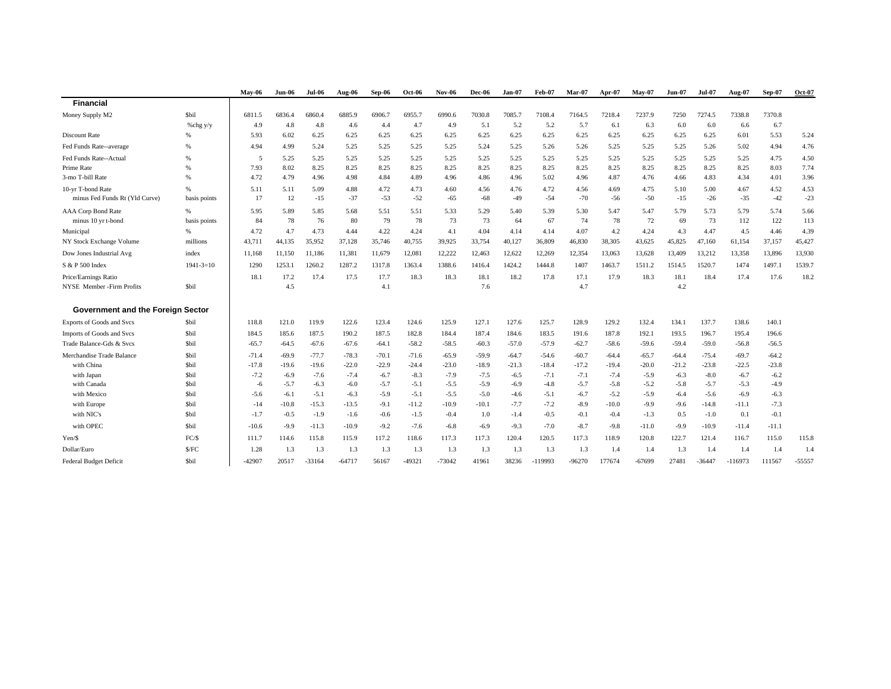|                                   |                 | $Mav-06$ | $Jun-06$ | <b>Jul-06</b> | Aug-06   | Sep-06  | <b>Oct-06</b> | <b>Nov-06</b> | <b>Dec-06</b> | Jan-07  | <b>Feb-07</b> | $Mar-07$ | Apr-07  | $Mav-07$ | <b>Jun-07</b> | <b>Jul-07</b> | Aug-07    | <b>Sep-07</b> | Oct-07   |
|-----------------------------------|-----------------|----------|----------|---------------|----------|---------|---------------|---------------|---------------|---------|---------------|----------|---------|----------|---------------|---------------|-----------|---------------|----------|
| <b>Financial</b>                  |                 |          |          |               |          |         |               |               |               |         |               |          |         |          |               |               |           |               |          |
| Money Supply M2                   | <b>Sbil</b>     | 6811.5   | 6836.4   | 6860.4        | 6885.9   | 6906.7  | 6955.7        | 6990.6        | 7030.8        | 7085.7  | 7108.4        | 7164.5   | 7218.4  | 7237.9   | 7250          | 7274.5        | 7338.8    | 7370.8        |          |
|                                   | % $chg y/y$     | 4.9      | 4.8      | 4.8           | 4.6      | 4.4     | 4.7           | 4.9           | 5.1           | 5.2     | 5.2           | 5.7      | 6.1     | 6.3      | 6.0           | 6.0           | 6.6       | 6.7           |          |
| <b>Discount Rate</b>              |                 | 5.93     | 6.02     | 6.25          | 6.25     | 6.25    | 6.25          | 6.25          | 6.25          | 6.25    | 6.25          | 6.25     | 6.25    | 6.25     | 6.25          | 6.25          | 6.01      | 5.53          | 5.24     |
| Fed Funds Rate--average           | %               | 4.94     | 4.99     | 5.24          | 5.25     | 5.25    | 5.25          | 5.25          | 5.24          | 5.25    | 5.26          | 5.26     | 5.25    | 5.25     | 5.25          | 5.26          | 5.02      | 4.94          | 4.76     |
| Fed Funds Rate--Actual            | $\%$            | -5       | 5.25     | 5.25          | 5.25     | 5.25    | 5.25          | 5.25          | 5.25          | 5.25    | 5.25          | 5.25     | 5.25    | 5.25     | 5.25          | 5.25          | 5.25      | 4.75          | 4.50     |
| Prime Rate                        | %               | 7.93     | 8.02     | 8.25          | 8.25     | 8.25    | 8.25          | 8.25          | 8.25          | 8.25    | 8.25          | 8.25     | 8.25    | 8.25     | 8.25          | 8.25          | 8.25      | 8.03          | 7.74     |
| 3-mo T-bill Rate                  | $\%$            | 4.72     | 4.79     | 4.96          | 4.98     | 4.84    | 4.89          | 4.96          | 4.86          | 4.96    | 5.02          | 4.96     | 4.87    | 4.76     | 4.66          | 4.83          | 4.34      | 4.01          | 3.96     |
| 10-yr T-bond Rate                 | %               | 5.11     | 5.11     | 5.09          | 4.88     | 4.72    | 4.73          | 4.60          | 4.56          | 4.76    | 4.72          | 4.56     | 4.69    | 4.75     | 5.10          | 5.00          | 4.67      | 4.52          | 4.53     |
| minus Fed Funds Rt (Yld Curve)    | basis points    | 17       | 12       | $-15$         | $-37$    | $-53$   | $-52$         | $-65$         | $-68$         | $-49$   | $-54$         | $-70$    | $-56$   | $-50$    | $-15$         | $-26$         | $-35$     | $-42$         | $-23$    |
| <b>AAA Corp Bond Rate</b>         | %               | 5.95     | 5.89     | 5.85          | 5.68     | 5.51    | 5.51          | 5.33          | 5.29          | 5.40    | 5.39          | 5.30     | 5.47    | 5.47     | 5.79          | 5.73          | 5.79      | 5.74          | 5.66     |
| minus 10 yr t-bond                | basis points    | 84       | 78       | 76            | 80       | 79      | 78            | 73            | 73            | 64      | 67            | 74       | 78      | 72       | 69            | 73            | 112       | 122           | 113      |
| Municipal                         | 96              | 4.72     | 4.7      | 4.73          | 4.44     | 4.22    | 4.24          | 4.1           | 4.04          | 4.14    | 4.14          | 4.07     | 4.2     | 4.24     | 4.3           | 4.47          | 4.5       | 4.46          | 4.39     |
| NY Stock Exchange Volume          | millions        | 43,711   | 44,135   | 35,952        | 37,128   | 35,746  | 40,755        | 39,925        | 33,754        | 40,127  | 36,809        | 46,830   | 38,305  | 43,625   | 45,825        | 47,160        | 61,154    | 37,157        | 45,427   |
| Dow Jones Industrial Avg          | index           | 11,168   | 11,150   | 11,186        | 11,381   | 11,679  | 12,081        | 12,222        | 12,463        | 12,622  | 12,269        | 12,354   | 13,063  | 13,628   | 13,409        | 13,212        | 13,358    | 13,896        | 13,930   |
| S & P 500 Index                   | $1941 - 3 = 10$ | 1290     | 1253.1   | 1260.2        | 1287.2   | 1317.8  | 1363.4        | 1388.6        | 1416.4        | 1424.2  | 1444.8        | 1407     | 1463.7  | 1511.2   | 1514.5        | 1520.7        | 1474      | 1497.1        | 1539.7   |
| Price/Earnings Ratio              |                 | 18.1     | 17.2     | 17.4          | 17.5     | 17.7    | 18.3          | 18.3          | 18.1          | 18.2    | 17.8          | 17.1     | 17.9    | 18.3     | 18.1          | 18.4          | 17.4      | 17.6          | 18.2     |
| NYSE Member -Firm Profits         | Sbil            |          | 4.5      |               |          | 4.1     |               |               | 7.6           |         |               | 4.7      |         |          | 4.2           |               |           |               |          |
| Government and the Foreign Sector |                 |          |          |               |          |         |               |               |               |         |               |          |         |          |               |               |           |               |          |
| <b>Exports of Goods and Svcs</b>  | \$bil           | 118.8    | 121.0    | 119.9         | 122.6    | 123.4   | 124.6         | 125.9         | 127.1         | 127.6   | 125.7         | 128.9    | 129.2   | 132.4    | 134.1         | 137.7         | 138.6     | 140.1         |          |
| Imports of Goods and Svcs         | \$bil           | 184.5    | 185.6    | 187.5         | 190.2    | 187.5   | 182.8         | 184.4         | 187.4         | 184.6   | 183.5         | 191.6    | 187.8   | 192.1    | 193.5         | 196.7         | 195.4     | 196.6         |          |
| Trade Balance-Gds & Svcs          | <b>Sbil</b>     | $-65.7$  | $-64.5$  | $-67.6$       | $-67.6$  | $-64.1$ | $-58.2$       | $-58.5$       | $-60.3$       | $-57.0$ | $-57.9$       | $-62.7$  | $-58.6$ | $-59.6$  | $-59.4$       | $-59.0$       | $-56.8$   | $-56.5$       |          |
| Merchandise Trade Balance         | <b>Sbil</b>     | $-71.4$  | $-69.9$  | $-77.7$       | $-78.3$  | $-70.1$ | $-71.6$       | $-65.9$       | $-59.9$       | $-64.7$ | $-54.6$       | $-60.7$  | $-64.4$ | $-65.7$  | $-64.4$       | $-75.4$       | $-69.7$   | $-64.2$       |          |
| with China                        | <b>Sbil</b>     | $-17.8$  | $-19.6$  | $-19.6$       | $-22.0$  | $-22.9$ | $-24.4$       | $-23.0$       | $-18.9$       | $-21.3$ | $-18.4$       | $-17.2$  | $-19.4$ | $-20.0$  | $-21.2$       | $-23.8$       | $-22.5$   | $-23.8$       |          |
| with Japan                        | <b>Sbil</b>     | $-7.2$   | $-6.9$   | $-7.6$        | $-7.4$   | $-6.7$  | $-8.3$        | $-7.9$        | $-7.5$        | $-6.5$  | $-7.1$        | $-7.1$   | $-7.4$  | $-5.9$   | $-6.3$        | $-8.0$        | $-6.7$    | $-6.2$        |          |
| with Canada                       | <b>Sbil</b>     | $-6$     | $-5.7$   | $-6.3$        | $-6.0$   | $-5.7$  | $-5.1$        | $-5.5$        | $-5.9$        | $-6.9$  | $-4.8$        | $-5.7$   | $-5.8$  | $-5.2$   | $-5.8$        | $-5.7$        | $-5.3$    | $-4.9$        |          |
| with Mexico                       | <b>Sbil</b>     | $-5.6$   | $-6.1$   | $-5.1$        | $-6.3$   | $-5.9$  | $-5.1$        | $-5.5$        | $-5.0$        | $-4.6$  | $-5.1$        | $-6.7$   | $-5.2$  | $-5.9$   | $-6.4$        | $-5.6$        | $-6.9$    | $-6.3$        |          |
| with Europe                       | <b>Sbil</b>     | $-14$    | $-10.8$  | $-15.3$       | $-13.5$  | $-9.1$  | $-11.2$       | $-10.9$       | $-10.1$       | $-7.7$  | $-7.2$        | $-8.9$   | $-10.0$ | $-9.9$   | -9.6          | $-14.8$       | $-11.1$   | $-7.3$        |          |
| with NIC's                        | \$bil           | $-1.7$   | $-0.5$   | $-1.9$        | $-1.6$   | $-0.6$  | $-1.5$        | $-0.4$        | 1.0           | $-1.4$  | $-0.5$        | $-0.1$   | $-0.4$  | $-1.3$   | 0.5           | $-1.0$        | 0.1       | $-0.1$        |          |
| with OPEC                         | \$bil           | $-10.6$  | $-9.9$   | $-11.3$       | $-10.9$  | $-9.2$  | $-7.6$        | $-6.8$        | $-6.9$        | $-9.3$  | $-7.0$        | $-8.7$   | $-9.8$  | $-11.0$  | $-9.9$        | $-10.9$       | $-11.4$   | $-11.1$       |          |
| Yen/S                             | FC/S            | 111.7    | 114.6    | 115.8         | 115.9    | 117.2   | 118.6         | 117.3         | 117.3         | 120.4   | 120.5         | 117.3    | 118.9   | 120.8    | 122.7         | 121.4         | 116.7     | 115.0         | 115.8    |
| Dollar/Euro                       | \$/FC           | 1.28     | 1.3      | 1.3           | 1.3      | 1.3     | 1.3           | 1.3           | 1.3           | 1.3     | 1.3           | 1.3      | 1.4     | 1.4      | 1.3           | 1.4           | 1.4       | 1.4           | 1.4      |
| Federal Budget Deficit            | <b>Sbil</b>     | $-42907$ | 20517    | $-33164$      | $-64717$ | 56167   | $-49321$      | $-73042$      | 41961         | 38236   | $-119993$     | $-96270$ | 177674  | $-67699$ | 27481         | $-36447$      | $-116973$ | 111567        | $-55557$ |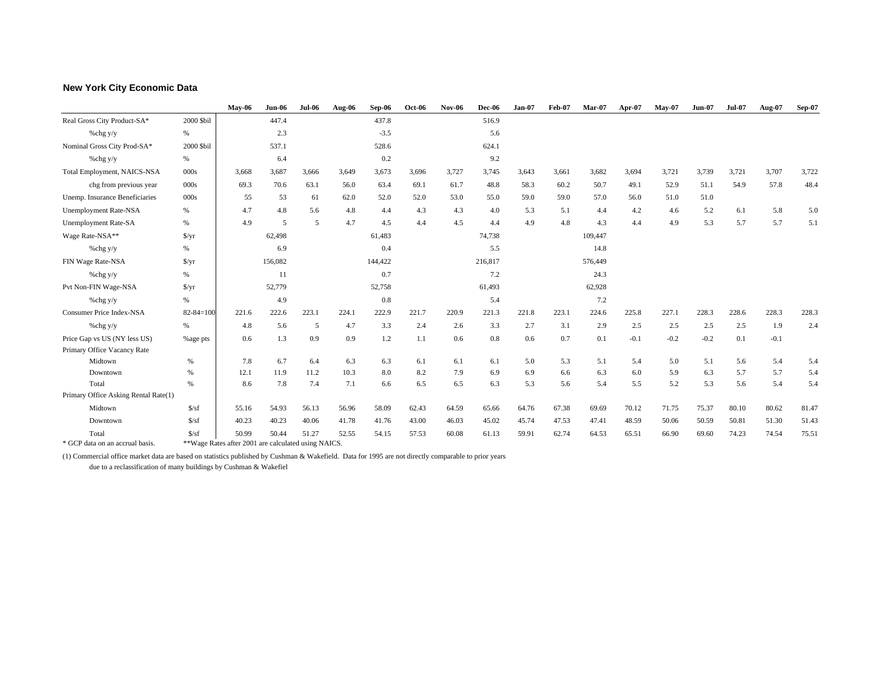### **New York City Economic Data**

|                                      |                      | <b>May-06</b>                                       | <b>Jun-06</b> | <b>Jul-06</b> | Aug 06 | Sep-06  | $Oct-06$ | <b>Nov-06</b> | <b>Dec-06</b> | <b>Jan-07</b> | Feb-07 | $Mar-07$ | Apr-07 | $Mav-07$ | <b>Jun-07</b> | <b>Jul-07</b> | Aug-07 | $Sep-07$ |
|--------------------------------------|----------------------|-----------------------------------------------------|---------------|---------------|--------|---------|----------|---------------|---------------|---------------|--------|----------|--------|----------|---------------|---------------|--------|----------|
| Real Gross City Product-SA*          | 2000 \$bil           |                                                     | 447.4         |               |        | 437.8   |          |               | 516.9         |               |        |          |        |          |               |               |        |          |
| %chg y/y                             | $\%$                 |                                                     | 2.3           |               |        | $-3.5$  |          |               | 5.6           |               |        |          |        |          |               |               |        |          |
| Nominal Gross City Prod-SA*          | 2000 \$bil           |                                                     | 537.1         |               |        | 528.6   |          |               | 624.1         |               |        |          |        |          |               |               |        |          |
| %chg y/y                             | %                    |                                                     | 6.4           |               |        | 0.2     |          |               | 9.2           |               |        |          |        |          |               |               |        |          |
| <b>Total Employment, NAICS-NSA</b>   | 000s                 | 3,668                                               | 3,687         | 3,666         | 3,649  | 3,673   | 3,696    | 3,727         | 3,745         | 3,643         | 3,661  | 3,682    | 3,694  | 3,721    | 3,739         | 3,721         | 3,707  | 3,722    |
| chg from previous year               | 000s                 | 69.3                                                | 70.6          | 63.1          | 56.0   | 63.4    | 69.1     | 61.7          | 48.8          | 58.3          | 60.2   | 50.7     | 49.1   | 52.9     | 51.1          | 54.9          | 57.8   | 48.4     |
| Unemp. Insurance Beneficiaries       | 000s                 | 55                                                  | 53            | 61            | 62.0   | 52.0    | 52.0     | 53.0          | 55.0          | 59.0          | 59.0   | 57.0     | 56.0   | 51.0     | 51.0          |               |        |          |
| <b>Unemployment Rate-NSA</b>         | %                    | 4.7                                                 | 4.8           | 5.6           | 4.8    | 4.4     | 4.3      | 4.3           | 4.0           | 5.3           | 5.1    | 4.4      | 4.2    | 4.6      | 5.2           | 6.1           | 5.8    | 5.0      |
| <b>Unemployment Rate-SA</b>          | %                    | 4.9                                                 | 5             | 5             | 4.7    | 4.5     | 4.4      | 4.5           | 4.4           | 4.9           | 4.8    | 4.3      | 4.4    | 4.9      | 5.3           | 5.7           | 5.7    | 5.1      |
| Wage Rate-NSA**                      | $\frac{f}{f}$        |                                                     | 62,498        |               |        | 61,483  |          |               | 74,738        |               |        | 109,447  |        |          |               |               |        |          |
| %chg y/y                             | %                    |                                                     | 6.9           |               |        | 0.4     |          |               | 5.5           |               |        | 14.8     |        |          |               |               |        |          |
| FIN Wage Rate-NSA                    | $\frac{\sqrt{2}}{2}$ |                                                     | 156,082       |               |        | 144,422 |          |               | 216,817       |               |        | 576,449  |        |          |               |               |        |          |
| % $chg y/y$                          | %                    |                                                     | 11            |               |        | 0.7     |          |               | 7.2           |               |        | 24.3     |        |          |               |               |        |          |
| Pvt Non-FIN Wage-NSA                 | $\frac{\sqrt{3}}{2}$ |                                                     | 52,779        |               |        | 52,758  |          |               | 61,493        |               |        | 62,928   |        |          |               |               |        |          |
| % $chg y/y$                          | %                    |                                                     | 4.9           |               |        | 0.8     |          |               | 5.4           |               |        | 7.2      |        |          |               |               |        |          |
| <b>Consumer Price Index-NSA</b>      | $82 - 84 = 100$      | 221.6                                               | 222.6         | 223.1         | 224.1  | 222.9   | 221.7    | 220.9         | 221.3         | 221.8         | 223.1  | 224.6    | 225.8  | 227.1    | 228.3         | 228.6         | 228.3  | 228.3    |
| %chg y/y                             | %                    | 4.8                                                 | 5.6           | 5             | 4.7    | 3.3     | 2.4      | 2.6           | 3.3           | 2.7           | 3.1    | 2.9      | 2.5    | 2.5      | 2.5           | 2.5           | 1.9    | 2.4      |
| Price Gap vs US (NY less US)         | %age pts             | 0.6                                                 | 1.3           | 0.9           | 0.9    | 1.2     | 1.1      | 0.6           | 0.8           | 0.6           | 0.7    | 0.1      | $-0.1$ | $-0.2$   | $-0.2$        | 0.1           | $-0.1$ |          |
| Primary Office Vacancy Rate          |                      |                                                     |               |               |        |         |          |               |               |               |        |          |        |          |               |               |        |          |
| Midtown                              | $\%$                 | 7.8                                                 | 6.7           | 6.4           | 6.3    | 6.3     | 6.1      | 6.1           | 6.1           | 5.0           | 5.3    | 5.1      | 5.4    | 5.0      | 5.1           | 5.6           | 5.4    | 5.4      |
| Downtown                             | %                    | 12.1                                                | 11.9          | 11.2          | 10.3   | 8.0     | 8.2      | 7.9           | 6.9           | 6.9           | 6.6    | 6.3      | 6.0    | 5.9      | 6.3           | 5.7           | 5.7    | 5.4      |
| Total                                | $\%$                 | 8.6                                                 | 7.8           | 7.4           | 7.1    | 6.6     | 6.5      | 6.5           | 6.3           | 5.3           | 5.6    | 5.4      | 5.5    | 5.2      | 5.3           | 5.6           | 5.4    | 5.4      |
| Primary Office Asking Rental Rate(1) |                      |                                                     |               |               |        |         |          |               |               |               |        |          |        |          |               |               |        |          |
| Midtown                              | S/sf                 | 55.16                                               | 54.93         | 56.13         | 56.96  | 58.09   | 62.43    | 64.59         | 65.66         | 64.76         | 67.38  | 69.69    | 70.12  | 71.75    | 75.37         | 80.10         | 80.62  | 81.47    |
| Downtown                             | S/sf                 | 40.23                                               | 40.23         | 40.06         | 41.78  | 41.76   | 43.00    | 46.03         | 45.02         | 45.74         | 47.53  | 47.41    | 48.59  | 50.06    | 50.59         | 50.81         | 51.30  | 51.43    |
| Total                                | S/sf                 | 50.99                                               | 50.44         | 51.27         | 52.55  | 54.15   | 57.53    | 60.08         | 61.13         | 59.91         | 62.74  | 64.53    | 65.51  | 66.90    | 69.60         | 74.23         | 74.54  | 75.51    |
| * GCP data on an accrual basis.      |                      | **Wage Rates after 2001 are calculated using NAICS. |               |               |        |         |          |               |               |               |        |          |        |          |               |               |        |          |

(1) Commercial office market data are based on statistics published by Cushman & Wakefield. Data for 1995 are not directly comparable to prior years due to a reclassification of many buildings by Cushman & Wakefiel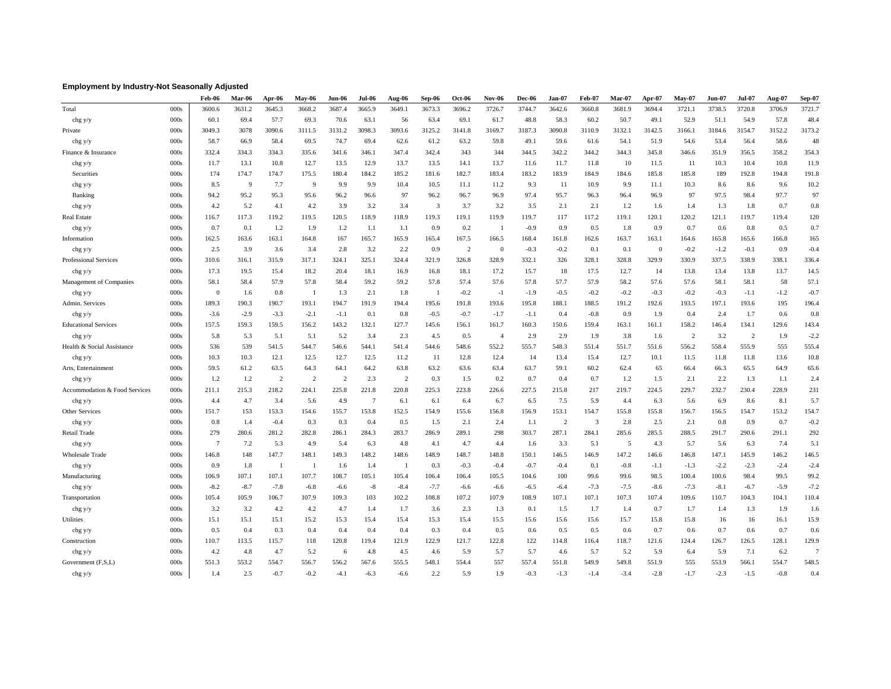### **Employment by Industry-Not Seasonally Adjusted**

|                               |      | Feb-06   | Mar-06 | Apr-06         | May-06         | Jun-06         | $Jul-06$       | Aug-06 | Sep-06         | <b>Oct-06</b>  | <b>Nov-06</b>  | <b>Dec-06</b> | Jan-07 | Feb-07        | Mar-07 | Apr-07   | $Mav-07$       | $Jun-07$ | <b>Jul-07</b>  | Aug-07 | Sep-07         |
|-------------------------------|------|----------|--------|----------------|----------------|----------------|----------------|--------|----------------|----------------|----------------|---------------|--------|---------------|--------|----------|----------------|----------|----------------|--------|----------------|
| Total                         | 000s | 3600.6   | 3631.2 | 3645.3         | 3668.2         | 3687.4         | 3665.9         | 3649.1 | 3673.3         | 3696.2         | 3726.7         | 3744.7        | 3642.6 | 3660.8        | 3681.9 | 3694.4   | 3721.1         | 3738.5   | 3720.8         | 3706.9 | 3721.7         |
| chg y/y                       | 000s | 60.1     | 69.4   | 57.7           | 69.3           | 70.6           | 63.1           | 56     | 63.4           | 69.1           | 61.7           | 48.8          | 58.3   | 60.2          | 50.7   | 49.1     | 52.9           | 51.1     | 54.9           | 57.8   | 48.4           |
| Private                       | 000s | 3049.3   | 3078   | 3090.6         | 3111.5         | 3131.2         | 3098.3         | 3093.6 | 3125.2         | 3141.8         | 3169.7         | 3187.3        | 3090.8 | 3110.9        | 3132.1 | 3142.5   | 3166.1         | 3184.6   | 3154.7         | 3152.2 | 3173.2         |
| chg y/y                       | 000s | 58.7     | 66.9   | 58.4           | 69.5           | 74.7           | 69.4           | 62.6   | 61.2           | 63.2           | 59.8           | 49.1          | 59.6   | 61.6          | 54.1   | 51.9     | 54.6           | 53.4     | 56.4           | 58.6   | 48             |
| Finance & Insurance           | 000s | 332.4    | 334.3  | 334.3          | 335.6          | 341.6          | 346.1          | 347.4  | 342.4          | 343            | 344            | 344.5         | 342.2  | 344.2         | 344.3  | 345.8    | 346.6          | 351.9    | 356.5          | 358.2  | 354.3          |
| chg y/y                       | 000s | 11.7     | 13.1   | 10.8           | 12.7           | 13.5           | 12.9           | 13.7   | 13.5           | 14.1           | 13.7           | 11.6          | 11.7   | 11.8          | 10     | 11.5     | 11             | 10.3     | 10.4           | 10.8   | 11.9           |
| Securities                    | 000s | 174      | 174.7  | 174.7          | 175.5          | 180.4          | 184.2          | 185.2  | 181.6          | 182.7          | 183.4          | 183.2         | 183.9  | 184.9         | 184.6  | 185.8    | 185.8          | 189      | 192.8          | 194.8  | 191.8          |
| chg y/y                       | 000s | 8.5      | 9      | 7.7            | 9              | 9.9            | 9.9            | 10.4   | 10.5           | 11.1           | 11.2           | 9.3           | 11     | 10.9          | 9.9    | 11.1     | 10.3           | 8.6      | 8.6            | 9.6    | 10.2           |
| Banking                       | 000s | 94.2     | 95.2   | 95.3           | 95.6           | 96.2           | 96.6           | 97     | 96.2           | 96.7           | 96.9           | 97.4          | 95.7   | 96.3          | 96.4   | 96.9     | 97             | 97.5     | 98.4           | 97.7   | 97             |
| chg y/y                       | 000s | 4.2      | 5.2    | 4.1            | 4.2            | 3.9            | 3.2            | 3.4    | 3              | 3.7            | 3.2            | 3.5           | 2.1    | 2.1           | 1.2    | 1.6      | 1.4            | 1.3      | 1.8            | 0.7    | 0.8            |
| <b>Real Estate</b>            | 000s | 116.7    | 117.3  | 119.2          | 119.5          | 120.5          | 118.9          | 118.9  | 119.3          | 119.1          | 119.9          | 119.7         | 117    | 117.2         | 119.1  | 120.1    | 120.2          | 121.1    | 119.7          | 119.4  | 120            |
| chg y/y                       | 000s | 0.7      | 0.1    | 1.2            | 1.9            | 1.2            | 1.1            | 1.1    | 0.9            | 0.2            | $\overline{1}$ | $-0.9$        | 0.9    | 0.5           | 1.8    | 0.9      | 0.7            | 0.6      | 0.8            | 0.5    | 0.7            |
| Information                   | 000s | 162.5    | 163.6  | 163.1          | 164.8          | 167            | 165.7          | 165.9  | 165.4          | 167.5          | 166.5          | 168.4         | 161.8  | 162.6         | 163.7  | 163.1    | 164.6          | 165.8    | 165.6          | 166.8  | 165            |
| chg y/y                       | 000s | 2.5      | 3.9    | 3.6            | 3.4            | 2.8            | 3.2            | 2.2    | 0.9            | $\overline{2}$ | $\overline{0}$ | $-0.3$        | $-0.2$ | 0.1           | 0.1    | $\theta$ | $-0.2$         | $-1.2$   | $-0.1$         | 0.9    | $-0.4$         |
| Professional Services         | 000s | 310.6    | 316.1  | 315.9          | 317.1          | 324.1          | 325.1          | 324.4  | 321.9          | 326.8          | 328.9          | 332.1         | 326    | 328.1         | 328.8  | 329.9    | 330.9          | 337.5    | 338.9          | 338.1  | 336.4          |
| chg y/y                       | 000s | 17.3     | 19.5   | 15.4           | 18.2           | 20.4           | 18.1           | 16.9   | 16.8           | 18.1           | 17.2           | 15.7          | 18     | 17.5          | 12.7   | 14       | 13.8           | 13.4     | 13.8           | 13.7   | 14.5           |
| Management of Companies       | 000s | 58.1     | 58.4   | 57.9           | 57.8           | 58.4           | 59.2           | 59.2   | 57.8           | 57.4           | 57.6           | 57.8          | 57.7   | 57.9          | 58.2   | 57.6     | 57.6           | 58.1     | 58.1           | 58     | 57.1           |
| chg y/y                       | 000s | $\theta$ | 1.6    | 0.8            | -1             | 1.3            | 2.1            | 1.8    | $\overline{1}$ | $-0.2$         | $-1$           | $-1.9$        | $-0.5$ | $-0.2$        | $-0.2$ | $-0.3$   | $-0.2$         | $-0.3$   | $-1.1$         | $-1.2$ | $-0.7$         |
| Admin. Services               | 000s | 189.3    | 190.3  | 190.7          | 193.1          | 194.7          | 191.9          | 194.4  | 195.6          | 191.8          | 193.6          | 195.8         | 188.1  | 188.5         | 191.2  | 192.6    | 193.5          | 197.1    | 193.6          | 195    | 196.4          |
| chg y/y                       | 000s | $-3.6$   | $-2.9$ | $-3.3$         | $-2.1$         | $-1.1$         | 0.1            | 0.8    | $-0.5$         | $-0.7$         | $-1.7$         | $-1.1$        | 0.4    | $-0.8$        | 0.9    | 1.9      | 0.4            | 2.4      | 1.7            | 0.6    | 0.8            |
| <b>Educational Services</b>   | 000s | 157.5    | 159.3  | 159.5          | 156.2          | 143.2          | 132.1          | 127.7  | 145.6          | 156.1          | 161.7          | 160.3         | 150.6  | 159.4         | 163.1  | 161.1    | 158.2          | 146.4    | 134.1          | 129.6  | 143.4          |
| chg y/y                       | 000s | 5.8      | 5.3    | 5.1            | 5.1            | 5.2            | 3.4            | 2.3    | 4.5            | 0.5            | $\overline{4}$ | 2.9           | 2.9    | 1.9           | 3.8    | 1.6      | $\overline{c}$ | 3.2      | $\overline{2}$ | 1.9    | $-2.2$         |
| Health & Social Assistance    | 000s | 536      | 539    | 541.5          | 544.7          | 546.6          | 544.1          | 541.4  | 544.6          | 548.6          | 552.2          | 555.7         | 548.3  | 551.4         | 551.7  | 551.6    | 556.2          | 558.4    | 555.9          | 555    | 555.4          |
| chg y/y                       | 000s | 10.3     | 10.3   | 12.1           | 12.5           | 12.7           | 12.5           | 11.2   | 11             | 12.8           | 12.4           | 14            | 13.4   | 15.4          | 12.7   | 10.1     | 11.5           | 11.8     | 11.8           | 13.6   | 10.8           |
| Arts, Entertainment           | 000s | 59.5     | 61.2   | 63.5           | 64.3           | 64.1           | 64.2           | 63.8   | 63.2           | 63.6           | 63.4           | 63.7          | 59.1   | 60.2          | 62.4   | 65       | 66.4           | 66.3     | 65.5           | 64.9   | 65.6           |
| chg y/y                       | 000s | 1.2      | 1.2    | $\overline{2}$ | $\overline{2}$ | $\overline{2}$ | 2.3            | 2      | 0.3            | 1.5            | 0.2            | 0.7           | 0.4    | 0.7           | 1.2    | 1.5      | 2.1            | 2.2      | 1.3            | 1.1    | 2.4            |
| Accommodation & Food Services | 000s | 211.1    | 215.3  | 218.2          | 224.1          | 225.8          | 221.8          | 220.8  | 225.3          | 223.8          | 226.6          | 227.5         | 215.8  | 217           | 219.7  | 224.5    | 229.7          | 232.7    | 230.4          | 228.9  | 231            |
| chg y/y                       | 000s | 4.4      | 4.7    | 3.4            | 5.6            | 4.9            | $\overline{7}$ | 6.1    | 6.1            | 6.4            | 6.7            | 6.5           | 7.5    | 5.9           | 4.4    | 6.3      | 5.6            | 6.9      | 8.6            | 8.1    | 5.7            |
| Other Services                | 000s | 151.7    | 153    | 153.3          | 154.6          | 155.7          | 153.8          | 152.5  | 154.9          | 155.6          | 156.8          | 156.9         | 153.1  | 154.7         | 155.8  | 155.8    | 156.7          | 156.5    | 154.7          | 153.2  | 154.7          |
| chg y/y                       | 000s | 0.8      | 1.4    | $-0.4$         | 0.3            | 0.3            | 0.4            | 0.5    | 1.5            | 2.1            | 2.4            | 1.1           | 2      | $\mathcal{E}$ | 2.8    | 2.5      | 2.1            | 0.8      | 0.9            | 0.7    | $-0.2$         |
| Retail Trade                  | 000s | 279      | 280.6  | 281.2          | 282.8          | 286.1          | 284.3          | 283.7  | 286.9          | 289.1          | 298            | 303.7         | 287.1  | 284.1         | 285.6  | 285.5    | 288.5          | 291.7    | 290.6          | 291.1  | 292            |
| chg y/y                       | 000s | 7        | 7.2    | 5.3            | 4.9            | 5.4            | 6.3            | 4.8    | 4.1            | 4.7            | 4.4            | 1.6           | 3.3    | 5.1           | 5      | 4.3      | 5.7            | 5.6      | 6.3            | 7.4    | 5.1            |
| <b>Wholesale Trade</b>        | 000s | 146.8    | 148    | 147.7          | 148.1          | 149.3          | 148.2          | 148.6  | 148.9          | 148.7          | 148.8          | 150.1         | 146.5  | 146.9         | 147.2  | 146.6    | 146.8          | 147.1    | 145.9          | 146.2  | 146.5          |
| chg y/y                       | 000s | 0.9      | 1.8    | -1             | -1             | 1.6            | 1.4            | -1     | 0.3            | $-0.3$         | $-0.4$         | $-0.7$        | $-0.4$ | 0.1           | $-0.8$ | $-1.1$   | $-1.3$         | $-2.2$   | $-2.3$         | $-2.4$ | $-2.4$         |
| Manufacturing                 | 000s | 106.9    | 107.1  | 107.1          | 107.7          | 108.7          | 105.1          | 105.4  | 106.4          | 106.4          | 105.5          | 104.6         | 100    | 99.6          | 99.6   | 98.5     | 100.4          | 100.6    | 98.4           | 99.5   | 99.2           |
| chg y/y                       | 000s | $-8.2$   | $-8.7$ | $-7.8$         | $-6.8$         | $-6.6$         | $-8$           | $-8.4$ | $-7.7$         | $-6.6$         | $-6.6$         | $-6.5$        | $-6.4$ | $-7.3$        | $-7.5$ | $-8.6$   | $-7.3$         | $-8.1$   | $-6.7$         | $-5.9$ | $-7.2$         |
| Transportation                | 000s | 105.4    | 105.9  | 106.7          | 107.9          | 109.3          | 103            | 102.2  | 108.8          | 107.2          | 107.9          | 108.9         | 107.1  | 107.1         | 107.3  | 107.4    | 109.6          | 110.7    | 104.3          | 104.1  | 110.4          |
| chg y/y                       | 000s | 3.2      | 3.2    | 4.2            | 4.2            | 4.7            | 1.4            | 1.7    | 3.6            | 2.3            | 1.3            | 0.1           | 1.5    | 1.7           | 1.4    | 0.7      | 1.7            | 1.4      | 1.3            | 1.9    | 1.6            |
| Utilities                     | 000s | 15.1     | 15.1   | 15.1           | 15.2           | 15.3           | 15.4           | 15.4   | 15.3           | 15.4           | 15.5           | 15.6          | 15.6   | 15.6          | 15.7   | 15.8     | 15.8           | 16       | 16             | 16.1   | 15.9           |
| chg y/y                       | 000s | 0.5      | 0.4    | 0.3            | 0.4            | 0.4            | 0.4            | 0.4    | 0.3            | 0.4            | 0.5            | 0.6           | 0.5    | 0.5           | 0.6    | 0.7      | 0.6            | 0.7      | 0.6            | 0.7    | 0.6            |
| Construction                  | 000s | 110.7    | 113.5  | 115.7          | 118            | 120.8          | 119.4          | 121.9  | 122.9          | 121.7          | 122.8          | 122           | 114.8  | 116.4         | 118.7  | 121.6    | 124.4          | 126.7    | 126.5          | 128.1  | 129.9          |
| chg y/y                       | 000s | 4.2      | 4.8    | 4.7            | 5.2            | 6              | 4.8            | 4.5    | 4.6            | 5.9            | 5.7            | 5.7           | 4.6    | 5.7           | 5.2    | 5.9      | 6.4            | 5.9      | 7.1            | 6.2    | $\overline{7}$ |
| Government (F,S,L)            | 000s | 551.3    | 553.2  | 554.7          | 556.7          | 556.2          | 567.6          | 555.5  | 548.1          | 554.4          | 557            | 557.4         | 551.8  | 549.9         | 549.8  | 551.9    | 555            | 553.9    | 566.1          | 554.7  | 548.5          |
| chg y/y                       | 000s | 1.4      | 2.5    | $-0.7$         | $-0.2$         | $-4.1$         | $-6.3$         | $-6.6$ | 2.2            | 5.9            | 1.9            | $-0.3$        | $-1.3$ | $-1.4$        | $-3.4$ | $-2.8$   | $-1.7$         | $-2.3$   | $-1.5$         | $-0.8$ | 0.4            |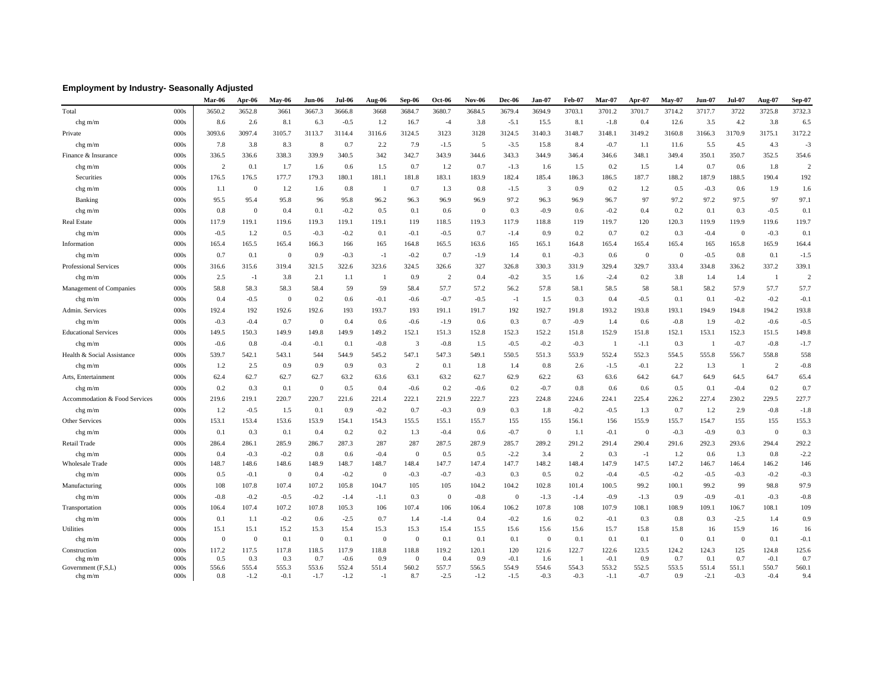### **Employment by Industry- Seasonally Adjusted**

|                               |              | Mar-06       | Apr-06         | May-06         | Jun-06       | Jul-06          | Aug-06       | Sep-06            | <b>Oct-06</b>  | <b>Nov-06</b> | <b>Dec-06</b>  | Jan-07         | Feb-07         | Mar-07          | Apr-07         | $Mav-07$     | $Jun-07$     | <b>Jul-07</b>  | Aug-07          | <b>Sep-07</b>  |
|-------------------------------|--------------|--------------|----------------|----------------|--------------|-----------------|--------------|-------------------|----------------|---------------|----------------|----------------|----------------|-----------------|----------------|--------------|--------------|----------------|-----------------|----------------|
| Total                         | 000s         | 3650.2       | 3652.8         | 3661           | 3667.3       | 3666.8          | 3668         | 3684.7            | 3680.7         | 3684.5        | 3679.4         | 3694.9         | 3703.1         | 3701.2          | 3701.7         | 3714.2       | 3717.7       | 3722           | 3725.8          | 3732.3         |
| chg m/m                       | 000s         | 8.6          | 2.6            | 8.1            | 6.3          | $-0.5$          | 1.2          | 16.7              | $-4$           | 3.8           | $-5.1$         | 15.5           | 8.1            | $-1.8$          | 0.4            | 12.6         | 3.5          | 4.2            | 3.8             | 6.5            |
| Private                       | 000s         | 3093.6       | 3097.4         | 3105.7         | 3113.7       | 3114.4          | 3116.6       | 3124.5            | 3123           | 3128          | 3124.5         | 3140.3         | 3148.7         | 3148.1          | 3149.2         | 3160.8       | 3166.3       | 3170.9         | 3175.1          | 3172.2         |
| chg m/m                       | 000s         | 7.8          | 3.8            | 8.3            | 8            | 0.7             | 2.2          | 7.9               | $-1.5$         | 5             | $-3.5$         | 15.8           | 8.4            | $-0.7$          | 1.1            | 11.6         | 5.5          | 4.5            | 4.3             | $-3$           |
| Finance & Insurance           | 000s         | 336.5        | 336.6          | 338.3          | 339.9        | 340.5           | 342          | 342.7             | 343.9          | 344.6         | 343.3          | 344.9          | 346.4          | 346.6           | 348.1          | 349.4        | 350.1        | 350.7          | 352.5           | 354.6          |
| $chg$ m/m                     | 000s         | 2            | 0.1            | 1.7            | 1.6          | 0.6             | 1.5          | 0.7               | 1.2            | 0.7           | $-1.3$         | 1.6            | 1.5            | 0.2             | 1.5            | 1.4          | 0.7          | 0.6            | 1.8             | $\overline{c}$ |
| Securities                    | 000s         | 176.5        | 176.5          | 177.7          | 179.3        | 180.1           | 181.1        | 181.8             | 183.1          | 183.9         | 182.4          | 185.4          | 186.3          | 186.5           | 187.7          | 188.2        | 187.9        | 188.5          | 190.4           | 192            |
| chg m/m                       | 000s         | 1.1          | $\overline{0}$ | 1.2            | 1.6          | 0.8             | -1           | 0.7               | 1.3            | 0.8           | $-1.5$         | 3              | 0.9            | 0.2             | 1.2            | 0.5          | $-0.3$       | 0.6            | 1.9             | 1.6            |
| Banking                       | 000s         | 95.5         | 95.4           | 95.8           | 96           | 95.8            | 96.2         | 96.3              | 96.9           | 96.9          | 97.2           | 96.3           | 96.9           | 96.7            | 97             | 97.2         | 97.2         | 97.5           | 97              | 97.1           |
| $chg$ m/m                     | 000s         | 0.8          | $\Omega$       | 0.4            | 0.1          | $-0.2$          | 0.5          | 0.1               | 0.6            | $\mathbf{0}$  | 0.3            | $-0.9$         | 0.6            | $-0.2$          | 0.4            | 0.2          | 0.1          | 0.3            | $-0.5$          | 0.1            |
| <b>Real Estate</b>            | 000s         | 117.9        | 119.1          | 119.6          | 119.3        | 119.1           | 119.1        | 119               | 118.5          | 119.3         | 117.9          | 118.8          | 119            | 119.7           | 120            | 120.3        | 119.9        | 119.9          | 119.6           | 119.7          |
| $chg$ m/m                     | 000s         | $-0.5$       | 1.2            | 0.5            | $-0.3$       | $-0.2$          | 0.1          | $-0.1$            | $-0.5$         | 0.7           | $-1.4$         | 0.9            | 0.2            | 0.7             | 0.2            | 0.3          | $-0.4$       | $\overline{0}$ | $-0.3$          | 0.1            |
| Information                   | 000s         | 165.4        | 165.5          | 165.4          | 166.3        | 166             | 165          | 164.8             | 165.5          | 163.6         | 165            | 165.1          | 164.8          | 165.4           | 165.4          | 165.4        | 165          | 165.8          | 165.9           | 164.4          |
| $chg$ m/m                     | 000s         | 0.7          | 0.1            | $\Omega$       | 0.9          | $-0.3$          | $-1$         | $-0.2$            | 0.7            | $-1.9$        | 1.4            | 0.1            | $-0.3$         | 0.6             | $\overline{0}$ | $\Omega$     | $-0.5$       | 0.8            | 0.1             | $-1.5$         |
| <b>Professional Services</b>  | 000s         | 316.6        | 315.6          | 319.4          | 321.5        | 322.6           | 323.6        | 324.5             | 326.6          | 327           | 326.8          | 330.3          | 331.9          | 329.4           | 329.7          | 333.4        | 334.8        | 336.2          | 337.2           | 339.1          |
| chg m/m                       | 000s         | 2.5          | $-1$           | 3.8            | 2.1          | 1.1             | -1           | 0.9               | $\overline{2}$ | 0.4           | $-0.2$         | 3.5            | 1.6            | $-2.4$          | 0.2            | 3.8          | 1.4          | 1.4            | -1              | $\overline{2}$ |
| Management of Companies       | 000s         | 58.8         | 58.3           | 58.3           | 58.4         | 59              | 59           | 58.4              | 57.7           | 57.2          | 56.2           | 57.8           | 58.1           | 58.5            | 58             | 58.1         | 58.2         | 57.9           | 57.7            | 57.7           |
| $chg$ m/m                     | 000s         | 0.4          | $-0.5$         | $\Omega$       | 0.2          | 0.6             | $-0.1$       | $-0.6$            | $-0.7$         | $-0.5$        | $-1$           | 1.5            | 0.3            | 0.4             | $-0.5$         | 0.1          | 0.1          | $-0.2$         | $-0.2$          | $-0.1$         |
| Admin. Services               | 000s         | 192.4        | 192            | 192.6          | 192.6        | 193             | 193.7        | 193               | 191.1          | 191.7         | 192            | 192.7          | 191.8          | 193.2           | 193.8          | 193.1        | 194.9        | 194.8          | 194.2           | 193.8          |
| $chg$ m/m                     | 000s         | $-0.3$       | $-0.4$         | 0.7            | $\Omega$     | 0.4             | 0.6          | $-0.6$            | $-1.9$         | 0.6           | 0.3            | 0.7            | $-0.9$         | 1.4             | 0.6            | $-0.8$       | 1.9          | $-0.2$         | $-0.6$          | $-0.5$         |
| <b>Educational Services</b>   | 000s         | 149.5        | 150.3          | 149.9          | 149.8        | 149.9           | 149.2        | 152.1             | 151.3          | 152.8         | 152.3          | 152.2          | 151.8          | 152.9           | 151.8          | 152.1        | 153.1        | 152.3          | 151.5           | 149.8          |
| chg m/m                       | 000s         | $-0.6$       | 0.8            | $-0.4$         | $-0.1$       | 0.1             | $-0.8$       | 3                 | $-0.8$         | 1.5           | $-0.5$         | $-0.2$         | $-0.3$         | - 1             | $-1.1$         | 0.3          | - 1          | $-0.7$         | $-0.8$          | $-1.7$         |
| Health & Social Assistance    | 000s         | 539.7        | 542.1          | 543.1          | 544          | 544.9           | 545.2        | 547.1             | 547.3          | 549.1         | 550.5          | 551.3          | 553.9          | 552.4           | 552.3          | 554.5        | 555.8        | 556.7          | 558.8           | 558            |
| $chg$ m/m                     | 000s         | 1.2          | 2.5            | 0.9            | 0.9          | 0.9             | 0.3          | $\overline{c}$    | 0.1            | 1.8           | 1.4            | 0.8            | 2.6            | $-1.5$          | $-0.1$         | 2.2          | 1.3          | - 1            | 2               | $-0.8$         |
| Arts, Entertainment           | 000s         | 62.4         | 62.7           | 62.7           | 62.7         | 63.2            | 63.6         | 63.1              | 63.2           | 62.7          | 62.9           | 62.2           | 63             | 63.6            | 64.2           | 64.7         | 64.9         | 64.5           | 64.7            | 65.4           |
| $chg$ m/m                     | 000s         | 0.2          | 0.3            | 0.1            | $\Omega$     | 0.5             | 0.4          | $-0.6$            | 0.2            | $-0.6$        | 0.2            | $-0.7$         | 0.8            | 0.6             | 0.6            | 0.5          | 0.1          | $-0.4$         | 0.2             | 0.7            |
| Accommodation & Food Services | 000s         | 219.6        | 219.1          | 220.7          | 220.7        | 221.6           | 221.4        | 222.1             | 221.9          | 222.7         | 223            | 224.8          | 224.6          | 224.1           | 225.4          | 226.2        | 227.4        | 230.2          | 229.5           | 227.7          |
| $chg$ m/m                     | 000s         | 1.2          | $-0.5$         | 1.5            | 0.1          | 0.9             | $-0.2$       | 0.7               | $-0.3$         | 0.9           | 0.3            | 1.8            | $-0.2$         | $-0.5$          | 1.3            | 0.7          | 1.2          | 2.9            | $-0.8$          | $-1.8$         |
| Other Services                | 000s         | 153.1        | 153.4          | 153.6          | 153.9        | 154.1           | 154.3        | 155.5             | 155.1          | 155.7         | 155            | 155            | 156.1          | 156             | 155.9          | 155.7        | 154.7        | 155            | 155             | 155.3          |
| $chg$ m/m                     | 000s         | 0.1          | 0.3            | 0.1            | 0.4          | 0.2             | 0.2          | 1.3               | $-0.4$         | 0.6           | $-0.7$         | $\overline{0}$ | 1.1            | $-0.1$          | $\overline{0}$ | $-0.3$       | $-0.9$       | 0.3            | $\overline{0}$  | 0.3            |
| Retail Trade                  | 000s         | 286.4        | 286.1          | 285.9          | 286.7        | 287.3           | 287          | 287               | 287.5          | 287.9         | 285.7          | 289.2          | 291.2          | 291.4           | 290.4          | 291.6        | 292.3        | 293.6          | 294.4           | 292.2          |
| chg m/m                       | 000s         | 0.4          | $-0.3$         | $-0.2$         | 0.8          | 0.6             | $-0.4$       | $\mathbf{0}$      | 0.5            | 0.5           | $-2.2$         | 3.4            | $\overline{2}$ | 0.3             | $^{-1}$        | 1.2          | 0.6          | 1.3            | 0.8             | $-2.2$         |
| Wholesale Trade               | 000s         | 148.7        | 148.6          | 148.6          | 148.9        | 148.7           | 148.7        | 148.4             | 147.7          | 147.4         | 147.7          | 148.2          | 148.4          | 147.9           | 147.5          | 147.2        | 146.7        | 146.4          | 146.2           | 146            |
| chg m/m                       | 000s         | 0.5          | $-0.1$         | $\overline{0}$ | 0.4          | $-0.2$          | $\theta$     | $-0.3$            | $-0.7$         | $-0.3$        | 0.3            | 0.5            | 0.2            | $-0.4$          | $-0.5$         | $-0.2$       | $-0.5$       | $-0.3$         | $-0.2$          | $-0.3$         |
| Manufacturing                 | 000s         | 108          | 107.8          | 107.4          | 107.2        | 105.8           | 104.7        | 105               | 105            | 104.2         | 104.2          | 102.8          | 101.4          | 100.5           | 99.2           | 100.1        | 99.2         | 99             | 98.8            | 97.9           |
| chg m/m                       | 000s         | $-0.8$       | $-0.2$         | $-0.5$         | $-0.2$       | $-1.4$          | $-1.1$       | 0.3               | $\overline{0}$ | $-0.8$        | $\overline{0}$ | $-1.3$         | $-1.4$         | $-0.9$          | $-1.3$         | 0.9          | $-0.9$       | $-0.1$         | $-0.3$          | $-0.8$         |
| Transportation                | 000s         | 106.4        | 107.4          | 107.2          | 107.8        | 105.3           | 106          | 107.4             | 106            | 106.4         | 106.2          | 107.8          | 108            | 107.9           | 108.1          | 108.9        | 109.1        | 106.7          | 108.1           | 109            |
| chg m/m                       | 000s         | 0.1          | 1.1            | $-0.2$         | 0.6          | $-2.5$          | 0.7          | 1.4               | $-1.4$         | 0.4           | $-0.2$         | 1.6            | 0.2            | $-0.1$          | 0.3            | 0.8          | 0.3          | $-2.5$         | 1.4             | 0.9            |
| Utilities                     | 000s         | 15.1         | 15.1           | 15.2           | 15.3         | 15.4            | 15.3         | 15.3              | 15.4           | 15.5          | 15.6           | 15.6           | 15.6           | 15.7            | 15.8           | 15.8         | 16           | 15.9           | 16              | 16             |
| chg m/m                       | 000s         | $\Omega$     | $\Omega$       | 0.1            | $\Omega$     | 0.1             | $\Omega$     | $\Omega$          | 0.1            | 0.1           | 0.1            | $\mathbf{0}$   | 0.1            | 0.1             | 0.1            | $\Omega$     | 0.1          | $\overline{0}$ | 0.1             | $-0.1$         |
| Construction<br>chg $m/m$     | 000s<br>000s | 117.2<br>0.5 | 117.5<br>0.3   | 117.8<br>0.3   | 118.5<br>0.7 | 117.9<br>$-0.6$ | 118.8<br>0.9 | 118.8<br>$\theta$ | 119.2<br>0.4   | 120.1<br>0.9  | 120<br>$-0.1$  | 121.6<br>1.6   | 122.7<br>- 1   | 122.6<br>$-0.1$ | 123.5<br>0.9   | 124.2<br>0.7 | 124.3<br>0.1 | 125<br>0.7     | 124.8<br>$-0.1$ | 125.6<br>0.7   |
| Government (F,S,L)            | 000s         | 556.6        | 555.4          | 555.3          | 553.6        | 552.4           | 551.4        | 560.2             | 557.7          | 556.5         | 554.9          | 554.6          | 554.3          | 553.2           | 552.5          | 553.5        | 551.4        | 551.1          | 550.7           | 560.1          |
| chg m/m                       | 000s         | 0.8          | $-1.2$         | $-0.1$         | $-1.7$       | $-1.2$          | $-1$         | 8.7               | $-2.5$         | $-1.2$        | $-1.5$         | $-0.3$         | $-0.3$         | $-1.1$          | $-0.7$         | 0.9          | $-2.1$       | $-0.3$         | $-0.4$          | 9.4            |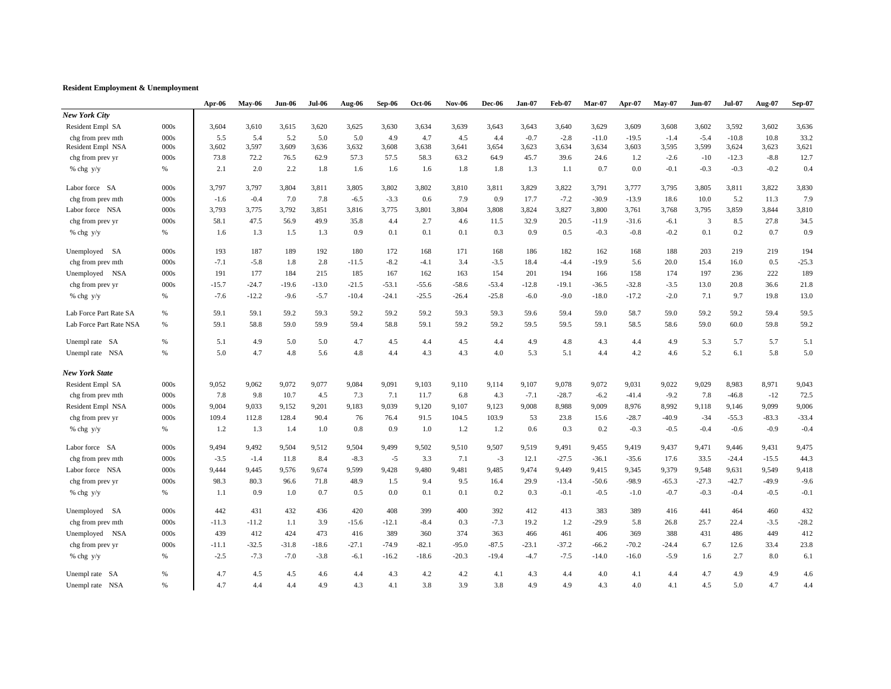#### **Resident Employment & Unemployment**

|                          |      | Apr-06  | $Mav-06$ | <b>Jun-06</b> | <b>Jul-06</b> | Aug-06  | Sep-06  | <b>Oct-06</b> | <b>Nov-06</b> | <b>Dec-06</b> | <b>Jan-07</b> | <b>Feb-07</b> | Mar-07  | Apr-07  | <b>May-07</b> | <b>Jun-07</b>           | <b>Jul-07</b> | Aug-07  | <b>Sep-07</b> |
|--------------------------|------|---------|----------|---------------|---------------|---------|---------|---------------|---------------|---------------|---------------|---------------|---------|---------|---------------|-------------------------|---------------|---------|---------------|
| <b>New York City</b>     |      |         |          |               |               |         |         |               |               |               |               |               |         |         |               |                         |               |         |               |
| Resident Empl SA         | 000s | 3,604   | 3,610    | 3,615         | 3,620         | 3,625   | 3,630   | 3,634         | 3,639         | 3,643         | 3,643         | 3,640         | 3,629   | 3,609   | 3,608         | 3,602                   | 3,592         | 3,602   | 3,636         |
| chg from prev mth        | 000s | 5.5     | 5.4      | 5.2           | 5.0           | 5.0     | 4.9     | 4.7           | 4.5           | 4.4           | $-0.7$        | $-2.8$        | $-11.0$ | $-19.5$ | $-1.4$        | $-5.4$                  | $-10.8$       | 10.8    | 33.2          |
| Resident Empl NSA        | 000s | 3,602   | 3,597    | 3,609         | 3,636         | 3,632   | 3,608   | 3,638         | 3,641         | 3,654         | 3,623         | 3,634         | 3,634   | 3,603   | 3,595         | 3,599                   | 3,624         | 3,623   | 3,621         |
| chg from prev yr         | 000s | 73.8    | 72.2     | 76.5          | 62.9          | 57.3    | 57.5    | 58.3          | 63.2          | 64.9          | 45.7          | 39.6          | 24.6    | 1.2     | $-2.6$        | $-10$                   | $-12.3$       | $-8.8$  | 12.7          |
| % chg y/y                | $\%$ | 2.1     | 2.0      | 2.2           | 1.8           | 1.6     | 1.6     | 1.6           | 1.8           | 1.8           | 1.3           | 1.1           | 0.7     | 0.0     | $-0.1$        | $-0.3$                  | $-0.3$        | $-0.2$  | 0.4           |
| Labor force SA           | 000s | 3,797   | 3,797    | 3,804         | 3,811         | 3,805   | 3,802   | 3,802         | 3,810         | 3,811         | 3,829         | 3,822         | 3,791   | 3,777   | 3,795         | 3,805                   | 3,811         | 3,822   | 3,830         |
| chg from prev mth        | 000s | $-1.6$  | $-0.4$   | 7.0           | 7.8           | $-6.5$  | $-3.3$  | 0.6           | 7.9           | 0.9           | 17.7          | $-7.2$        | $-30.9$ | $-13.9$ | 18.6          | 10.0                    | 5.2           | 11.3    | 7.9           |
| Labor force NSA          | 000s | 3,793   | 3,775    | 3,792         | 3,851         | 3,816   | 3,775   | 3,801         | 3,804         | 3,808         | 3,824         | 3,827         | 3,800   | 3,761   | 3,768         | 3,795                   | 3,859         | 3,844   | 3,810         |
| chg from prev yr         | 000s | 58.1    | 47.5     | 56.9          | 49.9          | 35.8    | 4.4     | 2.7           | 4.6           | 11.5          | 32.9          | 20.5          | $-11.9$ | $-31.6$ | $-6.1$        | $\overline{\mathbf{3}}$ | 8.5           | 27.8    | 34.5          |
| % chg y/y                | $\%$ | 1.6     | 1.3      | 1.5           | 1.3           | 0.9     | 0.1     | 0.1           | 0.1           | 0.3           | 0.9           | 0.5           | $-0.3$  | $-0.8$  | $-0.2$        | 0.1                     | 0.2           | 0.7     | 0.9           |
| Unemployed<br>SA         | 000s | 193     | 187      | 189           | 192           | 180     | 172     | 168           | 171           | 168           | 186           | 182           | 162     | 168     | 188           | 203                     | 219           | 219     | 194           |
| chg from prev mth        | 000s | $-7.1$  | $-5.8$   | 1.8           | 2.8           | $-11.5$ | $-8.2$  | $-4.1$        | 3.4           | $-3.5$        | 18.4          | $-4.4$        | $-19.9$ | 5.6     | 20.0          | 15.4                    | 16.0          | 0.5     | $-25.3$       |
| Unemployed NSA           | 000s | 191     | 177      | 184           | 215           | 185     | 167     | 162           | 163           | 154           | 201           | 194           | 166     | 158     | 174           | 197                     | 236           | 222     | 189           |
| chg from prev yr         | 000s | $-15.7$ | $-24.7$  | $-19.6$       | $-13.0$       | $-21.5$ | $-53.1$ | $-55.6$       | $-58.6$       | $-53.4$       | $-12.8$       | $-19.1$       | $-36.5$ | $-32.8$ | $-3.5$        | 13.0                    | 20.8          | 36.6    | 21.8          |
| % chg y/y                | $\%$ | $-7.6$  | $-12.2$  | $-9.6$        | $-5.7$        | $-10.4$ | $-24.1$ | $-25.5$       | $-26.4$       | $-25.8$       | $-6.0$        | $-9.0$        | $-18.0$ | $-17.2$ | $-2.0$        | 7.1                     | 9.7           | 19.8    | 13.0          |
| Lab Force Part Rate SA   | $\%$ | 59.1    | 59.1     | 59.2          | 59.3          | 59.2    | 59.2    | 59.2          | 59.3          | 59.3          | 59.6          | 59.4          | 59.0    | 58.7    | 59.0          | 59.2                    | 59.2          | 59.4    | 59.5          |
| Lab Force Part Rate NSA  | $\%$ | 59.1    | 58.8     | 59.0          | 59.9          | 59.4    | 58.8    | 59.1          | 59.2          | 59.2          | 59.5          | 59.5          | 59.1    | 58.5    | 58.6          | 59.0                    | 60.0          | 59.8    | 59.2          |
| Unempl rate SA           | $\%$ | 5.1     | 4.9      | 5.0           | 5.0           | 4.7     | 4.5     | 4.4           | 4.5           | 4.4           | 4.9           | 4.8           | 4.3     | 4.4     | 4.9           | 5.3                     | 5.7           | 5.7     | 5.1           |
| Unempl rate NSA          | %    | 5.0     | 4.7      | 4.8           | 5.6           | 4.8     | 4.4     | 4.3           | 4.3           | 4.0           | 5.3           | 5.1           | 4.4     | 4.2     | 4.6           | 5.2                     | 6.1           | 5.8     | 5.0           |
| <b>New York State</b>    |      |         |          |               |               |         |         |               |               |               |               |               |         |         |               |                         |               |         |               |
| Resident Empl SA         | 000s | 9,052   | 9,062    | 9,072         | 9,077         | 9,084   | 9,091   | 9,103         | 9,110         | 9,114         | 9,107         | 9,078         | 9,072   | 9,031   | 9,022         | 9,029                   | 8,983         | 8,971   | 9,043         |
| chg from prev mth        | 000s | 7.8     | 9.8      | 10.7          | 4.5           | 7.3     | 7.1     | 11.7          | 6.8           | 4.3           | $-7.1$        | $-28.7$       | $-6.2$  | $-41.4$ | $-9.2$        | 7.8                     | $-46.8$       | $-12$   | 72.5          |
| Resident Empl NSA        | 000s | 9,004   | 9,033    | 9,152         | 9,201         | 9,183   | 9,039   | 9,120         | 9,107         | 9,123         | 9,008         | 8,988         | 9,009   | 8,976   | 8,992         | 9,118                   | 9,146         | 9,099   | 9,006         |
| chg from prev yr         | 000s | 109.4   | 112.8    | 128.4         | 90.4          | 76      | 76.4    | 91.5          | 104.5         | 103.9         | 53            | 23.8          | 15.6    | $-28.7$ | $-40.9$       | $-34$                   | $-55.3$       | $-83.3$ | $-33.4$       |
| % chg y/y                | %    | 1.2     | 1.3      | 1.4           | 1.0           | 0.8     | 0.9     | 1.0           | 1.2           | 1.2           | 0.6           | 0.3           | 0.2     | $-0.3$  | $-0.5$        | $-0.4$                  | $-0.6$        | $-0.9$  | $-0.4$        |
| Labor force SA           | 000s | 9,494   | 9,492    | 9,504         | 9,512         | 9,504   | 9,499   | 9,502         | 9,510         | 9,507         | 9,519         | 9,491         | 9,455   | 9,419   | 9,437         | 9,471                   | 9,446         | 9,431   | 9,475         |
| chg from prev mth        | 000s | $-3.5$  | $-1.4$   | 11.8          | 8.4           | $-8.3$  | $-5$    | 3.3           | 7.1           | $-3$          | 12.1          | $-27.5$       | $-36.1$ | $-35.6$ | 17.6          | 33.5                    | $-24.4$       | $-15.5$ | 44.3          |
| Labor force NSA          | 000s | 9,444   | 9,445    | 9,576         | 9,674         | 9,599   | 9,428   | 9,480         | 9,481         | 9,485         | 9,474         | 9,449         | 9,415   | 9,345   | 9,379         | 9,548                   | 9,631         | 9,549   | 9,418         |
| chg from prev yr         | 000s | 98.3    | 80.3     | 96.6          | 71.8          | 48.9    | 1.5     | 9.4           | 9.5           | 16.4          | 29.9          | $-13.4$       | $-50.6$ | $-98.9$ | $-65.3$       | $-27.3$                 | $-42.7$       | $-49.9$ | $-9.6$        |
| % chg y/y                | $\%$ | 1.1     | 0.9      | 1.0           | 0.7           | 0.5     | 0.0     | 0.1           | 0.1           | 0.2           | 0.3           | $-0.1$        | $-0.5$  | $-1.0$  | $-0.7$        | $-0.3$                  | $-0.4$        | $-0.5$  | $-0.1$        |
| Unemployed<br>SA         | 000s | 442     | 431      | 432           | 436           | 420     | 408     | 399           | 400           | 392           | 412           | 413           | 383     | 389     | 416           | 441                     | 464           | 460     | 432           |
| chg from prev mth        | 000s | $-11.3$ | $-11.2$  | 1.1           | 3.9           | $-15.6$ | $-12.1$ | $-8.4$        | 0.3           | $-7.3$        | 19.2          | 1.2           | $-29.9$ | 5.8     | 26.8          | 25.7                    | 22.4          | $-3.5$  | $-28.2$       |
| Unemployed<br><b>NSA</b> | 000s | 439     | 412      | 424           | 473           | 416     | 389     | 360           | 374           | 363           | 466           | 461           | 406     | 369     | 388           | 431                     | 486           | 449     | 412           |
| chg from prev yr         | 000s | $-11.1$ | $-32.5$  | $-31.8$       | $-18.6$       | $-27.1$ | $-74.9$ | $-82.1$       | $-95.0$       | $-87.5$       | $-23.1$       | $-37.2$       | $-66.2$ | $-70.2$ | $-24.4$       | 6.7                     | 12.6          | 33.4    | 23.8          |
| % chg y/y                | $\%$ | $-2.5$  | $-7.3$   | $-7.0$        | $-3.8$        | $-6.1$  | $-16.2$ | $-18.6$       | $-20.3$       | $-19.4$       | $-4.7$        | $-7.5$        | $-14.0$ | $-16.0$ | $-5.9$        | 1.6                     | 2.7           | 8.0     | 6.1           |
| Unempl rate SA           | %    | 4.7     | 4.5      | 4.5           | 4.6           | 4.4     | 4.3     | 4.2           | 4.2           | 4.1           | 4.3           | 4.4           | 4.0     | 4.1     | 4.4           | 4.7                     | 4.9           | 4.9     | 4.6           |
| Unempl rate NSA          | %    | 4.7     | 4.4      | 4.4           | 4.9           | 4.3     | 4.1     | 3.8           | 3.9           | 3.8           | 4.9           | 4.9           | 4.3     | 4.0     | 4.1           | 4.5                     | 5.0           | 4.7     | 4.4           |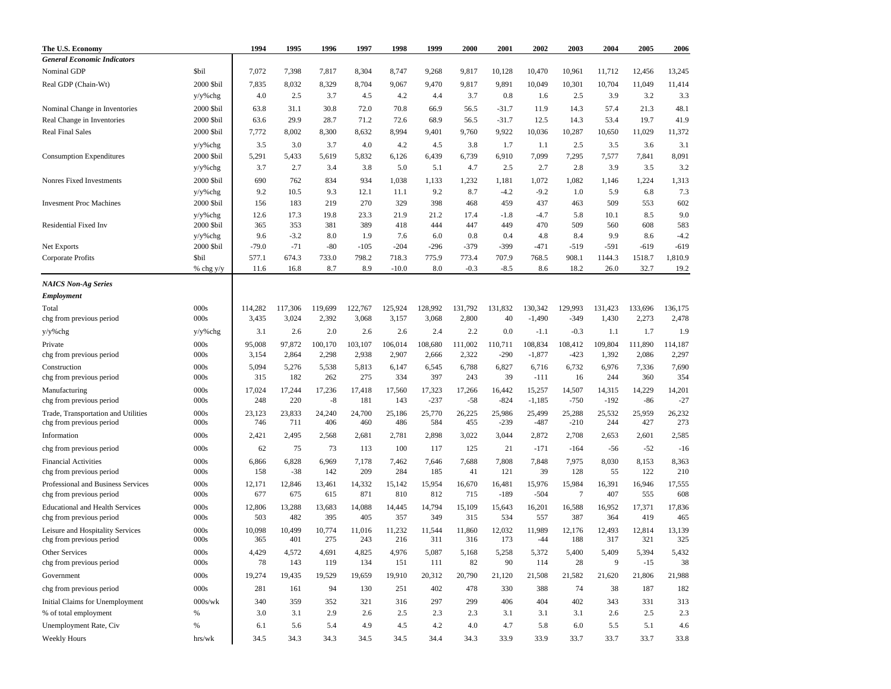| The U.S. Economy                                                |                       | 1994           | 1995            | 1996          | 1997          | 1998          | 1999          | 2000          | 2001             | 2002             | 2003             | 2004          | 2005          | 2006             |
|-----------------------------------------------------------------|-----------------------|----------------|-----------------|---------------|---------------|---------------|---------------|---------------|------------------|------------------|------------------|---------------|---------------|------------------|
| <b>General Economic Indicators</b>                              |                       |                |                 |               |               |               |               |               |                  |                  |                  |               |               |                  |
| Nominal GDP                                                     | <b>Sbil</b>           | 7,072          | 7,398           | 7,817         | 8,304         | 8,747         | 9,268         | 9,817         | 10,128           | 10,470           | 10,961           | 11,712        | 12,456        | 13,245           |
| Real GDP (Chain-Wt)                                             | 2000 \$bil            | 7,835          | 8,032           | 8,329         | 8,704         | 9,067         | 9,470         | 9,817         | 9,891            | 10,049           | 10,301           | 10,704        | 11,049        | 11,414           |
|                                                                 | y/y%chg               | 4.0            | 2.5             | 3.7           | 4.5           | 4.2           | 4.4           | 3.7           | 0.8              | 1.6              | 2.5              | 3.9           | 3.2           | 3.3              |
| Nominal Change in Inventories                                   | 2000 \$bil            | 63.8           | 31.1            | 30.8          | 72.0          | 70.8          | 66.9          | 56.5          | $-31.7$          | 11.9             | 14.3             | 57.4          | 21.3          | 48.1             |
| Real Change in Inventories                                      | 2000 \$bil            | 63.6           | 29.9            | 28.7          | 71.2          | 72.6          | 68.9          | 56.5          | $-31.7$          | 12.5             | 14.3             | 53.4          | 19.7          | 41.9             |
| <b>Real Final Sales</b>                                         | 2000 \$bil            | 7,772          | 8,002           | 8,300         | 8,632         | 8,994         | 9,401         | 9,760         | 9,922            | 10,036           | 10,287           | 10,650        | 11,029        | 11,372           |
|                                                                 | y/y%chg               | 3.5            | 3.0             | 3.7           | 4.0           | 4.2           | 4.5           | 3.8           | 1.7              | 1.1              | 2.5              | 3.5           | 3.6           | 3.1              |
| <b>Consumption Expenditures</b>                                 | 2000 \$bil            | 5,291          | 5,433           | 5,619         | 5,832         | 6,126         | 6,439         | 6,739         | 6,910            | 7,099            | 7,295            | 7,577         | 7,841         | 8,091            |
|                                                                 | y/y%chg               | 3.7            | 2.7             | 3.4           | 3.8           | 5.0           | 5.1           | 4.7           | 2.5              | 2.7              | 2.8              | 3.9           | 3.5           | 3.2              |
| Nonres Fixed Investments                                        | 2000 \$bil            | 690            | 762             | 834           | 934           | 1,038         | 1,133         | 1,232         | 1,181            | 1,072            | 1,082            | 1,146         | 1,224         | 1,313            |
|                                                                 | y/y%chg               | 9.2            | 10.5            | 9.3           | 12.1          | 11.1          | 9.2           | 8.7           | $-4.2$           | $-9.2$           | 1.0              | 5.9           | 6.8           | 7.3              |
| <b>Invesment Proc Machines</b>                                  | 2000 \$bil            | 156            | 183             | 219           | 270           | 329           | 398           | 468           | 459              | 437              | 463              | 509           | 553           | 602              |
|                                                                 | y/y%chg               | 12.6           | 17.3            | 19.8          | 23.3          | 21.9          | 21.2          | 17.4          | $-1.8$           | -4.7             | 5.8              | 10.1          | 8.5           | 9.0              |
| <b>Residential Fixed Inv</b>                                    | 2000 \$bil            | 365            | 353             | 381           | 389           | 418           | 444           | 447           | 449              | 470              | 509              | 560           | 608           | 583              |
| Net Exports                                                     | y/y%chg<br>2000 \$bil | 9.6<br>$-79.0$ | $-3.2$<br>$-71$ | 8.0<br>$-80$  | 1.9<br>$-105$ | 7.6<br>$-204$ | 6.0<br>$-296$ | 0.8<br>$-379$ | 0.4<br>-399      | 4.8<br>$-471$    | 8.4<br>$-519$    | 9.9<br>$-591$ | 8.6<br>$-619$ | $-4.2$<br>$-619$ |
| Corporate Profits                                               | \$bil                 | 577.1          | 674.3           | 733.0         | 798.2         | 718.3         | 775.9         | 773.4         | 707.9            | 768.5            | 908.1            | 1144.3        | 1518.7        | 1,810.9          |
|                                                                 | % chg y/y             | 11.6           | 16.8            | 8.7           | 8.9           | $-10.0$       | 8.0           | $-0.3$        | $-8.5$           | 8.6              | 18.2             | 26.0          | 32.7          | 19.2             |
|                                                                 |                       |                |                 |               |               |               |               |               |                  |                  |                  |               |               |                  |
| <b>NAICS Non-Ag Series</b><br><b>Employment</b>                 |                       |                |                 |               |               |               |               |               |                  |                  |                  |               |               |                  |
| Total                                                           | 000s                  | 114,282        | 117,306         | 119,699       | 122,767       | 125,924       | 128,992       | 131,792       | 131,832          | 130,342          | 129,993          | 131,423       | 133,696       | 136,175          |
| chg from previous period                                        | 000s                  | 3,435          | 3,024           | 2,392         | 3,068         | 3,157         | 3,068         | 2,800         | 40               | $-1,490$         | $-349$           | 1,430         | 2,273         | 2,478            |
| y/y%chg                                                         | y/y%chg               | 3.1            | 2.6             | 2.0           | 2.6           | 2.6           | 2.4           | 2.2           | 0.0              | $-1.1$           | $-0.3$           | 1.1           | 1.7           | 1.9              |
| Private                                                         | 000s                  | 95,008         | 97,872          | 100,170       | 103,107       | 106,014       | 108,680       | 111,002       | 110,711          | 108,834          | 108,412          | 109,804       | 111,890       | 114,187          |
| chg from previous period                                        | 000s                  | 3,154          | 2,864           | 2,298         | 2,938         | 2,907         | 2,666         | 2,322         | $-290$           | $-1,877$         | $-423$           | 1,392         | 2,086         | 2,297            |
| Construction                                                    | 000s                  | 5,094          | 5,276           | 5,538         | 5,813         | 6,147         | 6,545         | 6,788         | 6,827            | 6,716            | 6,732            | 6,976         | 7,336         | 7,690            |
| chg from previous period                                        | 000s                  | 315            | 182             | 262           | 275           | 334           | 397           | 243           | 39               | $-111$           | 16               | 244           | 360           | 354              |
| Manufacturing                                                   | 000s                  | 17,024         | 17,244          | 17,236        | 17,418        | 17,560        | 17,323        | 17,266        | 16,442           | 15,257           | 14,507           | 14,315        | 14,229        | 14,201           |
| chg from previous period                                        | 000s                  | 248            | 220             | $-8$          | 181           | 143           | $-237$        | $-58$         | $-824$           | $-1,185$         | $-750$           | $-192$        | $-86$         | $-27$            |
| Trade, Transportation and Utilities<br>chg from previous period | 000s<br>000s          | 23,123<br>746  | 23,833<br>711   | 24,240<br>406 | 24,700<br>460 | 25,186<br>486 | 25,770<br>584 | 26,225<br>455 | 25,986<br>$-239$ | 25,499<br>$-487$ | 25,288<br>$-210$ | 25,532<br>244 | 25,959<br>427 | 26,232<br>273    |
| Information                                                     | 000s                  | 2,421          | 2,495           | 2,568         | 2,681         | 2,781         | 2,898         | 3,022         | 3,044            | 2,872            | 2,708            | 2,653         | 2,601         | 2,585            |
| chg from previous period                                        | 000s                  | 62             | 75              | 73            | 113           | 100           | 117           | 125           | 21               | $-171$           | $-164$           | $-56$         | $-52$         | $-16$            |
| <b>Financial Activities</b>                                     | 000s                  | 6,866          | 6,828           | 6,969         | 7,178         | 7,462         | 7,646         | 7,688         | 7,808            | 7,848            | 7,975            | 8,030         | 8,153         | 8,363            |
| chg from previous period                                        | 000s                  | 158            | $-38$           | 142           | 209           | 284           | 185           | 41            | 121              | 39               | 128              | 55            | 122           | 210              |
| Professional and Business Services<br>chg from previous period  | 000s<br>000s          | 12,171<br>677  | 12,846<br>675   | 13,461<br>615 | 14,332<br>871 | 15,142<br>810 | 15,954<br>812 | 16,670<br>715 | 16,481<br>$-189$ | 15,976<br>$-504$ | 15,984<br>7      | 16,391<br>407 | 16,946<br>555 | 17,555<br>608    |
| <b>Educational and Health Services</b>                          | 000s                  | 12,806         | 13,288          | 13,683        | 14,088        | 14,445        | 14,794        | 15,109        | 15,643           | 16,201           | 16,588           | 16,952        | 17,371        | 17,836           |
| chg from previous period                                        | 000s                  | 503            | 482             | 395           | 405           | 357           | 349           | 315           | 534              | 557              | 387              | 364           | 419           | 465              |
| Leisure and Hospitality Services<br>chg from previous period    | 000s<br>000s          | 10,098<br>365  | 10,499<br>401   | 10,774<br>275 | 11,016<br>243 | 11,232<br>216 | 11,544<br>311 | 11,860<br>316 | 12,032<br>173    | 11,989<br>$-44$  | 12,176<br>188    | 12,493<br>317 | 12,814<br>321 | 13,139<br>325    |
| Other Services                                                  | 000s                  | 4,429          | 4,572           | 4,691         | 4,825         | 4,976         | 5,087         | 5,168         | 5,258            | 5,372            | 5,400            | 5,409         | 5,394         | 5,432            |
| chg from previous period                                        | 000s                  | 78             | 143             | 119           | 134           | 151           | 111           | 82            | 90               | 114              | 28               | 9             | $-15$         | 38               |
| Government                                                      | 000s                  | 19,274         | 19,435          | 19,529        | 19,659        | 19,910        | 20,312        | 20,790        | 21,120           | 21,508           | 21,582           | 21,620        | 21,806        | 21,988           |
| chg from previous period                                        | 000s                  | 281            | 161             | 94            | 130           | 251           | 402           | 478           | 330              | 388              | 74               | 38            | 187           | 182              |
| Initial Claims for Unemployment                                 | 000s/wk               | 340            | 359             | 352           | 321           | 316           | 297           | 299           | 406              | 404              | 402              | 343           | 331           | 313              |
| % of total employment                                           | $\%$                  | 3.0            | 3.1             | 2.9           | 2.6           | 2.5           | 2.3           | 2.3           | 3.1              | 3.1              | 3.1              | 2.6           | 2.5           | 2.3              |
| Unemployment Rate, Civ                                          | %                     | 6.1            | 5.6             | 5.4           | 4.9           | 4.5           | 4.2           | 4.0           | 4.7              | 5.8              | 6.0              | 5.5           | 5.1           | 4.6              |
| Weekly Hours                                                    | hrs/wk                | 34.5           | 34.3            | 34.3          | 34.5          | 34.5          | 34.4          | 34.3          | 33.9             | 33.9             | 33.7             | 33.7          | 33.7          | 33.8             |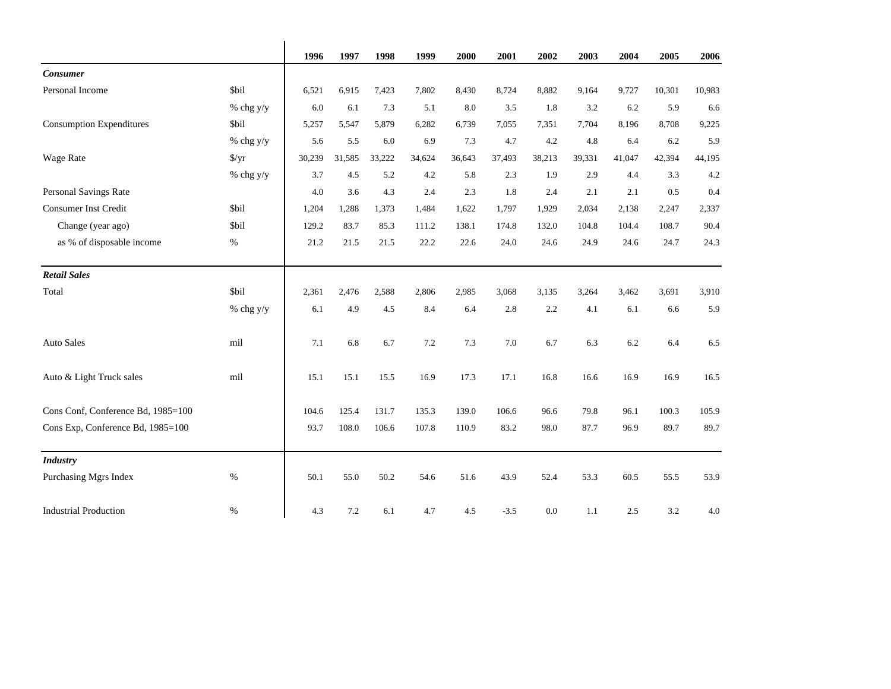|                                    |                      | 1996   | 1997   | 1998   | 1999   | 2000   | 2001   | 2002   | 2003   | 2004   | 2005   | 2006   |
|------------------------------------|----------------------|--------|--------|--------|--------|--------|--------|--------|--------|--------|--------|--------|
| <b>Consumer</b>                    |                      |        |        |        |        |        |        |        |        |        |        |        |
| Personal Income                    | \$bil                | 6,521  | 6,915  | 7,423  | 7,802  | 8,430  | 8,724  | 8,882  | 9,164  | 9,727  | 10,301 | 10,983 |
|                                    | % chg $y/y$          | 6.0    | 6.1    | 7.3    | 5.1    | 8.0    | 3.5    | 1.8    | 3.2    | 6.2    | 5.9    | 6.6    |
| <b>Consumption Expenditures</b>    | \$bil                | 5,257  | 5,547  | 5,879  | 6,282  | 6,739  | 7,055  | 7.351  | 7,704  | 8,196  | 8,708  | 9,225  |
|                                    | % chg $y/y$          | 5.6    | 5.5    | 6.0    | 6.9    | 7.3    | 4.7    | 4.2    | 4.8    | 6.4    | 6.2    | 5.9    |
| Wage Rate                          | $\frac{\sqrt{2}}{2}$ | 30,239 | 31,585 | 33,222 | 34,624 | 36,643 | 37,493 | 38,213 | 39,331 | 41,047 | 42,394 | 44,195 |
|                                    | % chg $y/y$          | 3.7    | 4.5    | 5.2    | 4.2    | 5.8    | 2.3    | 1.9    | 2.9    | 4.4    | 3.3    | 4.2    |
| Personal Savings Rate              |                      | 4.0    | 3.6    | 4.3    | 2.4    | 2.3    | 1.8    | 2.4    | 2.1    | 2.1    | 0.5    | 0.4    |
| Consumer Inst Credit               | \$bil                | 1,204  | 1,288  | 1,373  | 1,484  | 1,622  | 1,797  | 1,929  | 2,034  | 2,138  | 2,247  | 2,337  |
| Change (year ago)                  | \$bil                | 129.2  | 83.7   | 85.3   | 111.2  | 138.1  | 174.8  | 132.0  | 104.8  | 104.4  | 108.7  | 90.4   |
| as % of disposable income          | $\%$                 | 21.2   | 21.5   | 21.5   | 22.2   | 22.6   | 24.0   | 24.6   | 24.9   | 24.6   | 24.7   | 24.3   |
| <b>Retail Sales</b>                |                      |        |        |        |        |        |        |        |        |        |        |        |
| Total                              | \$bil                | 2,361  | 2,476  | 2,588  | 2,806  | 2,985  | 3,068  | 3,135  | 3,264  | 3,462  | 3,691  | 3,910  |
|                                    | % chg $y/y$          | 6.1    | 4.9    | 4.5    | 8.4    | 6.4    | 2.8    | 2.2    | 4.1    | 6.1    | 6.6    | 5.9    |
| <b>Auto Sales</b>                  | mil                  | 7.1    | 6.8    | 6.7    | 7.2    | 7.3    | 7.0    | 6.7    | 6.3    | 6.2    | 6.4    | 6.5    |
| Auto & Light Truck sales           | mil                  | 15.1   | 15.1   | 15.5   | 16.9   | 17.3   | 17.1   | 16.8   | 16.6   | 16.9   | 16.9   | 16.5   |
| Cons Conf, Conference Bd, 1985=100 |                      | 104.6  | 125.4  | 131.7  | 135.3  | 139.0  | 106.6  | 96.6   | 79.8   | 96.1   | 100.3  | 105.9  |
| Cons Exp, Conference Bd, 1985=100  |                      | 93.7   | 108.0  | 106.6  | 107.8  | 110.9  | 83.2   | 98.0   | 87.7   | 96.9   | 89.7   | 89.7   |
| <b>Industry</b>                    |                      |        |        |        |        |        |        |        |        |        |        |        |
| Purchasing Mgrs Index              | $\%$                 | 50.1   | 55.0   | 50.2   | 54.6   | 51.6   | 43.9   | 52.4   | 53.3   | 60.5   | 55.5   | 53.9   |
| <b>Industrial Production</b>       | $\%$                 | 4.3    | 7.2    | 6.1    | 4.7    | 4.5    | $-3.5$ | 0.0    | 1.1    | 2.5    | 3.2    | 4.0    |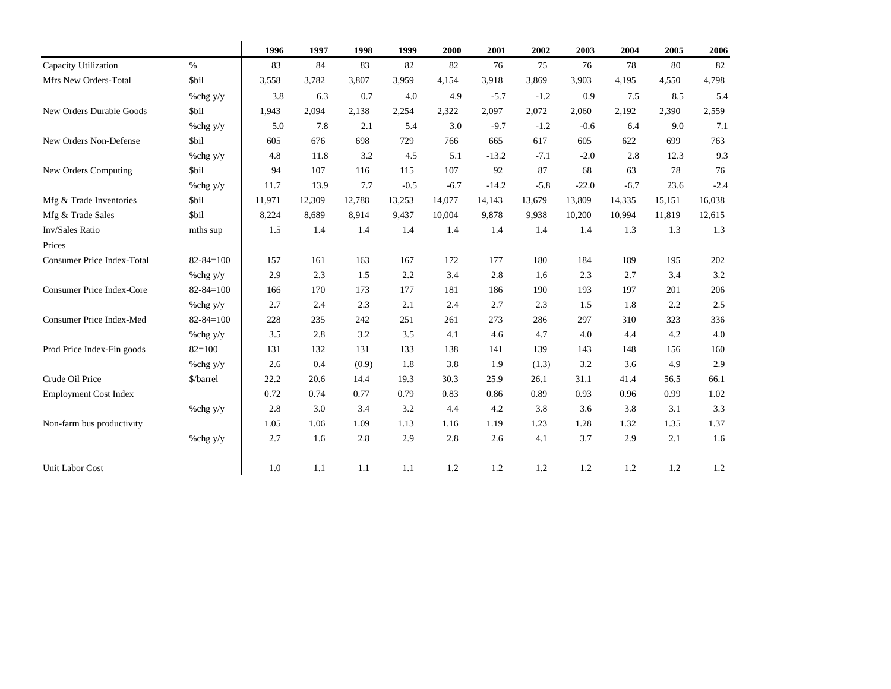|                                   |                 | 1996   | 1997   | 1998   | 1999   | 2000   | 2001    | 2002   | 2003    | 2004   | 2005   | 2006   |
|-----------------------------------|-----------------|--------|--------|--------|--------|--------|---------|--------|---------|--------|--------|--------|
| Capacity Utilization              | $\%$            | 83     | 84     | 83     | 82     | 82     | 76      | 75     | 76      | 78     | 80     | 82     |
| Mfrs New Orders-Total             | \$bil           | 3,558  | 3,782  | 3,807  | 3,959  | 4,154  | 3,918   | 3,869  | 3,903   | 4,195  | 4,550  | 4,798  |
|                                   | %chg y/y        | 3.8    | 6.3    | 0.7    | 4.0    | 4.9    | $-5.7$  | $-1.2$ | 0.9     | 7.5    | 8.5    | 5.4    |
| New Orders Durable Goods          | <b>Sbil</b>     | 1,943  | 2,094  | 2,138  | 2,254  | 2,322  | 2,097   | 2,072  | 2,060   | 2,192  | 2,390  | 2,559  |
|                                   | %chg y/y        | 5.0    | 7.8    | 2.1    | 5.4    | 3.0    | $-9.7$  | $-1.2$ | $-0.6$  | 6.4    | 9.0    | 7.1    |
| New Orders Non-Defense            | <b>Sbil</b>     | 605    | 676    | 698    | 729    | 766    | 665     | 617    | 605     | 622    | 699    | 763    |
|                                   | %chg y/y        | 4.8    | 11.8   | 3.2    | 4.5    | 5.1    | $-13.2$ | $-7.1$ | $-2.0$  | 2.8    | 12.3   | 9.3    |
| New Orders Computing              | \$bil           | 94     | 107    | 116    | 115    | 107    | 92      | 87     | 68      | 63     | 78     | 76     |
|                                   | % $chg$ y/y     | 11.7   | 13.9   | 7.7    | $-0.5$ | $-6.7$ | $-14.2$ | $-5.8$ | $-22.0$ | $-6.7$ | 23.6   | $-2.4$ |
| Mfg & Trade Inventories           | \$bil           | 11,971 | 12,309 | 12,788 | 13,253 | 14,077 | 14,143  | 13,679 | 13,809  | 14,335 | 15,151 | 16,038 |
| Mfg & Trade Sales                 | <b>Sbil</b>     | 8,224  | 8,689  | 8,914  | 9,437  | 10,004 | 9,878   | 9,938  | 10,200  | 10,994 | 11,819 | 12,615 |
| Inv/Sales Ratio                   | mths sup        | 1.5    | 1.4    | 1.4    | 1.4    | 1.4    | 1.4     | 1.4    | 1.4     | 1.3    | 1.3    | 1.3    |
| Prices                            |                 |        |        |        |        |        |         |        |         |        |        |        |
| <b>Consumer Price Index-Total</b> | $82 - 84 = 100$ | 157    | 161    | 163    | 167    | 172    | 177     | 180    | 184     | 189    | 195    | 202    |
|                                   | % $chg$ y/y     | 2.9    | 2.3    | 1.5    | 2.2    | 3.4    | 2.8     | 1.6    | 2.3     | 2.7    | 3.4    | 3.2    |
| <b>Consumer Price Index-Core</b>  | $82 - 84 = 100$ | 166    | 170    | 173    | 177    | 181    | 186     | 190    | 193     | 197    | 201    | 206    |
|                                   | % $chg y/y$     | 2.7    | 2.4    | 2.3    | 2.1    | 2.4    | 2.7     | 2.3    | 1.5     | 1.8    | 2.2    | 2.5    |
| Consumer Price Index-Med          | $82 - 84 = 100$ | 228    | 235    | 242    | 251    | 261    | 273     | 286    | 297     | 310    | 323    | 336    |
|                                   | % $chg y/y$     | 3.5    | 2.8    | 3.2    | 3.5    | 4.1    | 4.6     | 4.7    | 4.0     | 4.4    | 4.2    | 4.0    |
| Prod Price Index-Fin goods        | $82=100$        | 131    | 132    | 131    | 133    | 138    | 141     | 139    | 143     | 148    | 156    | 160    |
|                                   | %chg y/y        | 2.6    | 0.4    | (0.9)  | 1.8    | 3.8    | 1.9     | (1.3)  | 3.2     | 3.6    | 4.9    | 2.9    |
| Crude Oil Price                   | \$/barrel       | 22.2   | 20.6   | 14.4   | 19.3   | 30.3   | 25.9    | 26.1   | 31.1    | 41.4   | 56.5   | 66.1   |
| <b>Employment Cost Index</b>      |                 | 0.72   | 0.74   | 0.77   | 0.79   | 0.83   | 0.86    | 0.89   | 0.93    | 0.96   | 0.99   | 1.02   |
|                                   | % $chg y/y$     | 2.8    | 3.0    | 3.4    | 3.2    | 4.4    | 4.2     | 3.8    | 3.6     | 3.8    | 3.1    | 3.3    |
| Non-farm bus productivity         |                 | 1.05   | 1.06   | 1.09   | 1.13   | 1.16   | 1.19    | 1.23   | 1.28    | 1.32   | 1.35   | 1.37   |
|                                   | %chg y/y        | 2.7    | 1.6    | 2.8    | 2.9    | 2.8    | 2.6     | 4.1    | 3.7     | 2.9    | 2.1    | 1.6    |
| Unit Labor Cost                   |                 | 1.0    | 1.1    | 1.1    | 1.1    | 1.2    | 1.2     | 1.2    | 1.2     | 1.2    | 1.2    | 1.2    |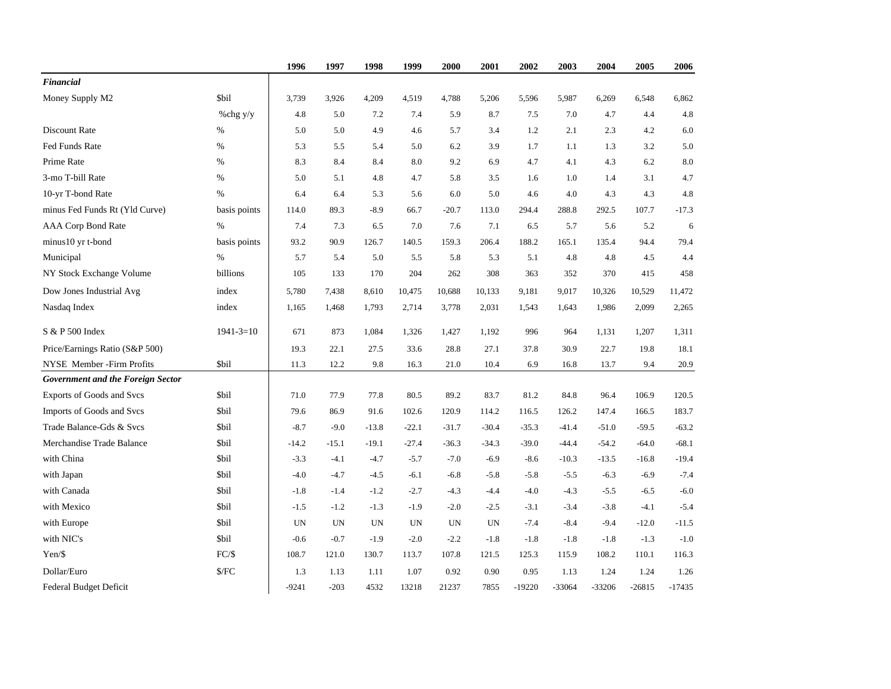|                                   |                 | 1996      | 1997      | 1998      | 1999    | 2000      | 2001      | 2002     | 2003     | 2004     | 2005     | 2006     |
|-----------------------------------|-----------------|-----------|-----------|-----------|---------|-----------|-----------|----------|----------|----------|----------|----------|
| <b>Financial</b>                  |                 |           |           |           |         |           |           |          |          |          |          |          |
| Money Supply M2                   | <b>Sbil</b>     | 3,739     | 3.926     | 4,209     | 4,519   | 4.788     | 5,206     | 5,596    | 5,987    | 6,269    | 6.548    | 6,862    |
|                                   | %chg y/y        | 4.8       | 5.0       | 7.2       | 7.4     | 5.9       | 8.7       | 7.5      | 7.0      | 4.7      | 4.4      | 4.8      |
| Discount Rate                     | $\%$            | 5.0       | 5.0       | 4.9       | 4.6     | 5.7       | 3.4       | 1.2      | 2.1      | 2.3      | 4.2      | 6.0      |
| Fed Funds Rate                    | $\%$            | 5.3       | 5.5       | 5.4       | 5.0     | 6.2       | 3.9       | 1.7      | 1.1      | 1.3      | 3.2      | 5.0      |
| Prime Rate                        | %               | 8.3       | 8.4       | 8.4       | 8.0     | 9.2       | 6.9       | 4.7      | 4.1      | 4.3      | 6.2      | 8.0      |
| 3-mo T-bill Rate                  | $\%$            | 5.0       | 5.1       | 4.8       | 4.7     | 5.8       | 3.5       | 1.6      | 1.0      | 1.4      | 3.1      | 4.7      |
| 10-yr T-bond Rate                 | $\%$            | 6.4       | 6.4       | 5.3       | 5.6     | 6.0       | 5.0       | 4.6      | 4.0      | 4.3      | 4.3      | 4.8      |
| minus Fed Funds Rt (Yld Curve)    | basis points    | 114.0     | 89.3      | $-8.9$    | 66.7    | $-20.7$   | 113.0     | 294.4    | 288.8    | 292.5    | 107.7    | $-17.3$  |
| AAA Corp Bond Rate                | $\%$            | 7.4       | 7.3       | 6.5       | 7.0     | 7.6       | 7.1       | 6.5      | 5.7      | 5.6      | 5.2      | 6        |
| minus10 yr t-bond                 | basis points    | 93.2      | 90.9      | 126.7     | 140.5   | 159.3     | 206.4     | 188.2    | 165.1    | 135.4    | 94.4     | 79.4     |
| Municipal                         | $\%$            | 5.7       | 5.4       | 5.0       | 5.5     | 5.8       | 5.3       | 5.1      | 4.8      | 4.8      | 4.5      | 4.4      |
| NY Stock Exchange Volume          | billions        | 105       | 133       | 170       | 204     | 262       | 308       | 363      | 352      | 370      | 415      | 458      |
| Dow Jones Industrial Avg          | index           | 5,780     | 7,438     | 8,610     | 10,475  | 10,688    | 10,133    | 9,181    | 9,017    | 10,326   | 10,529   | 11,472   |
| Nasdaq Index                      | index           | 1,165     | 1,468     | 1,793     | 2,714   | 3,778     | 2,031     | 1,543    | 1,643    | 1,986    | 2,099    | 2,265    |
| S & P 500 Index                   | $1941 - 3 = 10$ | 671       | 873       | 1,084     | 1,326   | 1,427     | 1,192     | 996      | 964      | 1,131    | 1,207    | 1,311    |
| Price/Earnings Ratio (S&P 500)    |                 | 19.3      | 22.1      | 27.5      | 33.6    | 28.8      | 27.1      | 37.8     | 30.9     | 22.7     | 19.8     | 18.1     |
| NYSE Member - Firm Profits        | \$bil           | 11.3      | 12.2      | 9.8       | 16.3    | 21.0      | 10.4      | 6.9      | 16.8     | 13.7     | 9.4      | 20.9     |
| Government and the Foreign Sector |                 |           |           |           |         |           |           |          |          |          |          |          |
| Exports of Goods and Svcs         | <b>Sbil</b>     | 71.0      | 77.9      | 77.8      | 80.5    | 89.2      | 83.7      | 81.2     | 84.8     | 96.4     | 106.9    | 120.5    |
| Imports of Goods and Svcs         | <b>Sbil</b>     | 79.6      | 86.9      | 91.6      | 102.6   | 120.9     | 114.2     | 116.5    | 126.2    | 147.4    | 166.5    | 183.7    |
| Trade Balance-Gds & Svcs          | <b>Sbil</b>     | $-8.7$    | $-9.0$    | $-13.8$   | $-22.1$ | $-31.7$   | $-30.4$   | $-35.3$  | $-41.4$  | $-51.0$  | $-59.5$  | $-63.2$  |
| Merchandise Trade Balance         | <b>Sbil</b>     | $-14.2$   | $-15.1$   | $-19.1$   | $-27.4$ | $-36.3$   | $-34.3$   | $-39.0$  | $-44.4$  | $-54.2$  | $-64.0$  | $-68.1$  |
| with China                        | <b>Sbil</b>     | $-3.3$    | $-4.1$    | $-4.7$    | $-5.7$  | $-7.0$    | $-6.9$    | $-8.6$   | $-10.3$  | $-13.5$  | $-16.8$  | $-19.4$  |
| with Japan                        | \$bil           | $-4.0$    | $-4.7$    | $-4.5$    | $-6.1$  | $-6.8$    | $-5.8$    | $-5.8$   | $-5.5$   | $-6.3$   | $-6.9$   | $-7.4$   |
| with Canada                       | <b>Sbil</b>     | $-1.8$    | $-1.4$    | $-1.2$    | $-2.7$  | $-4.3$    | $-4.4$    | $-4.0$   | $-4.3$   | $-5.5$   | $-6.5$   | $-6.0$   |
| with Mexico                       | <b>Sbil</b>     | $-1.5$    | $-1.2$    | $-1.3$    | $-1.9$  | $-2.0$    | $-2.5$    | $-3.1$   | $-3.4$   | $-3.8$   | $-4.1$   | $-5.4$   |
| with Europe                       | <b>Sbil</b>     | <b>UN</b> | <b>UN</b> | <b>UN</b> | UN      | <b>UN</b> | <b>UN</b> | $-7.4$   | $-8.4$   | $-9.4$   | $-12.0$  | $-11.5$  |
| with NIC's                        | <b>Sbil</b>     | $-0.6$    | $-0.7$    | $-1.9$    | $-2.0$  | $-2.2$    | $-1.8$    | $-1.8$   | $-1.8$   | $-1.8$   | $-1.3$   | $-1.0$   |
| Yen/\$                            | $FC/\$          | 108.7     | 121.0     | 130.7     | 113.7   | 107.8     | 121.5     | 125.3    | 115.9    | 108.2    | 110.1    | 116.3    |
| Dollar/Euro                       | $\sqrt{$}$      | 1.3       | 1.13      | 1.11      | 1.07    | 0.92      | 0.90      | 0.95     | 1.13     | 1.24     | 1.24     | 1.26     |
| Federal Budget Deficit            |                 | $-9241$   | $-203$    | 4532      | 13218   | 21237     | 7855      | $-19220$ | $-33064$ | $-33206$ | $-26815$ | $-17435$ |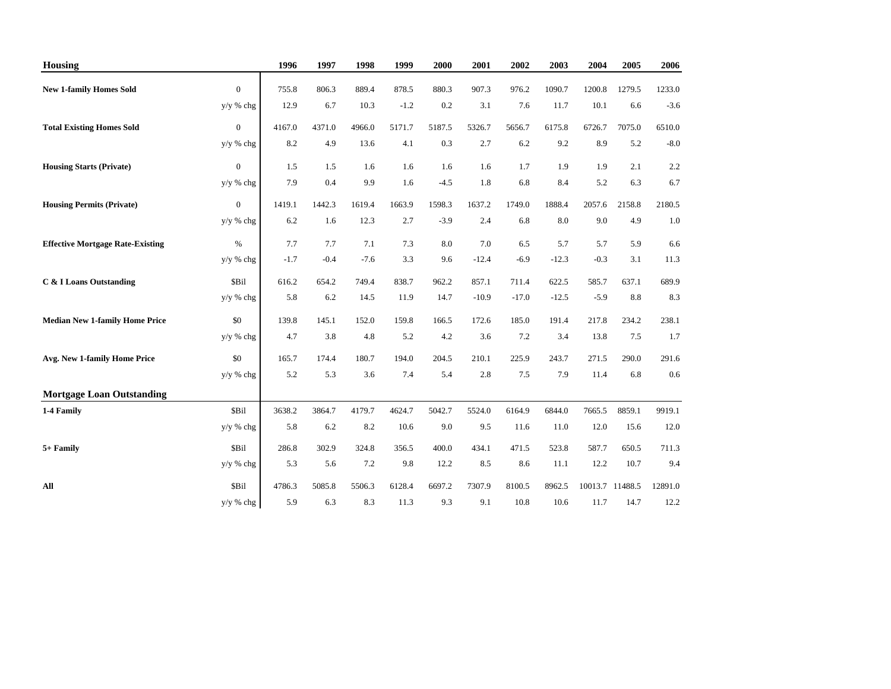| <b>Housing</b>                          |                  | 1996         | 1997   | 1998    | 1999   | 2000   | 2001    | 2002    | 2003    | 2004            | 2005   | 2006    |
|-----------------------------------------|------------------|--------------|--------|---------|--------|--------|---------|---------|---------|-----------------|--------|---------|
| <b>New 1-family Homes Sold</b>          | $\Omega$         | 755.8        | 806.3  | 889.4   | 878.5  | 880.3  | 907.3   | 976.2   | 1090.7  | 1200.8          | 1279.5 | 1233.0  |
|                                         | y/y % chg        | 12.9         | 6.7    | 10.3    | $-1.2$ | 0.2    | 3.1     | 7.6     | 11.7    | 10.1            | 6.6    | $-3.6$  |
| <b>Total Existing Homes Sold</b>        | $\overline{0}$   | 4167.0       | 4371.0 | 4966.0  | 5171.7 | 5187.5 | 5326.7  | 5656.7  | 6175.8  | 6726.7          | 7075.0 | 6510.0  |
|                                         | y/y % chg        | 8.2          | 4.9    | 13.6    | 4.1    | 0.3    | 2.7     | 6.2     | 9.2     | 8.9             | 5.2    | $-8.0$  |
| <b>Housing Starts (Private)</b>         | $\boldsymbol{0}$ | 1.5          | 1.5    | 1.6     | 1.6    | 1.6    | 1.6     | 1.7     | 1.9     | 1.9             | 2.1    | 2.2     |
|                                         | y/y % chg        | 7.9          | 0.4    | 9.9     | 1.6    | $-4.5$ | 1.8     | 6.8     | 8.4     | 5.2             | 6.3    | 6.7     |
| <b>Housing Permits (Private)</b>        | $\boldsymbol{0}$ | 1419.1       | 1442.3 | 1619.4  | 1663.9 | 1598.3 | 1637.2  | 1749.0  | 1888.4  | 2057.6          | 2158.8 | 2180.5  |
|                                         | y/y % chg        | 6.2          | 1.6    | 12.3    | 2.7    | $-3.9$ | 2.4     | 6.8     | 8.0     | 9.0             | 4.9    | 1.0     |
| <b>Effective Mortgage Rate-Existing</b> | $\%$             | 7.7          | 7.7    | 7.1     | 7.3    | 8.0    | 7.0     | 6.5     | 5.7     | 5.7             | 5.9    | 6.6     |
|                                         | y/y % chg        | $-1.7$       | $-0.4$ | $-7.6$  | 3.3    | 9.6    | $-12.4$ | $-6.9$  | $-12.3$ | $-0.3$          | 3.1    | 11.3    |
| C & I Loans Outstanding                 | \$Bil            | 616.2        | 654.2  | 749.4   | 838.7  | 962.2  | 857.1   | 711.4   | 622.5   | 585.7           | 637.1  | 689.9   |
|                                         | y/y % chg        | 5.8          | 6.2    | 14.5    | 11.9   | 14.7   | $-10.9$ | $-17.0$ | $-12.5$ | $-5.9$          | 8.8    | 8.3     |
|                                         |                  |              |        |         |        |        |         |         |         |                 |        |         |
| <b>Median New 1-family Home Price</b>   | \$0              | 139.8<br>4.7 | 145.1  | 152.0   | 159.8  | 166.5  | 172.6   | 185.0   | 191.4   | 217.8           | 234.2  | 238.1   |
|                                         | $y/y$ % chg      |              | 3.8    | 4.8     | 5.2    | 4.2    | 3.6     | 7.2     | 3.4     | 13.8            | 7.5    | 1.7     |
| Avg. New 1-family Home Price            | \$0              | 165.7        | 174.4  | 180.7   | 194.0  | 204.5  | 210.1   | 225.9   | 243.7   | 271.5           | 290.0  | 291.6   |
|                                         | $y/y$ % chg      | 5.2          | 5.3    | 3.6     | 7.4    | 5.4    | 2.8     | 7.5     | 7.9     | 11.4            | 6.8    | 0.6     |
| <b>Mortgage Loan Outstanding</b>        |                  |              |        |         |        |        |         |         |         |                 |        |         |
| 1-4 Family                              | \$Bil            | 3638.2       | 3864.7 | 4179.7  | 4624.7 | 5042.7 | 5524.0  | 6164.9  | 6844.0  | 7665.5          | 8859.1 | 9919.1  |
|                                         | y/y % chg        | 5.8          | 6.2    | 8.2     | 10.6   | 9.0    | 9.5     | 11.6    | 11.0    | 12.0            | 15.6   | 12.0    |
| 5+ Family                               | \$Bil            | 286.8        | 302.9  | 324.8   | 356.5  | 400.0  | 434.1   | 471.5   | 523.8   | 587.7           | 650.5  | 711.3   |
|                                         | y/y % chg        | 5.3          | 5.6    | $7.2\,$ | 9.8    | 12.2   | 8.5     | 8.6     | 11.1    | 12.2            | 10.7   | 9.4     |
| All                                     | \$Bil            | 4786.3       | 5085.8 | 5506.3  | 6128.4 | 6697.2 | 7307.9  | 8100.5  | 8962.5  | 10013.7 11488.5 |        | 12891.0 |
|                                         | y/y % chg        | 5.9          | 6.3    | 8.3     | 11.3   | 9.3    | 9.1     | 10.8    | 10.6    | 11.7            | 14.7   | 12.2    |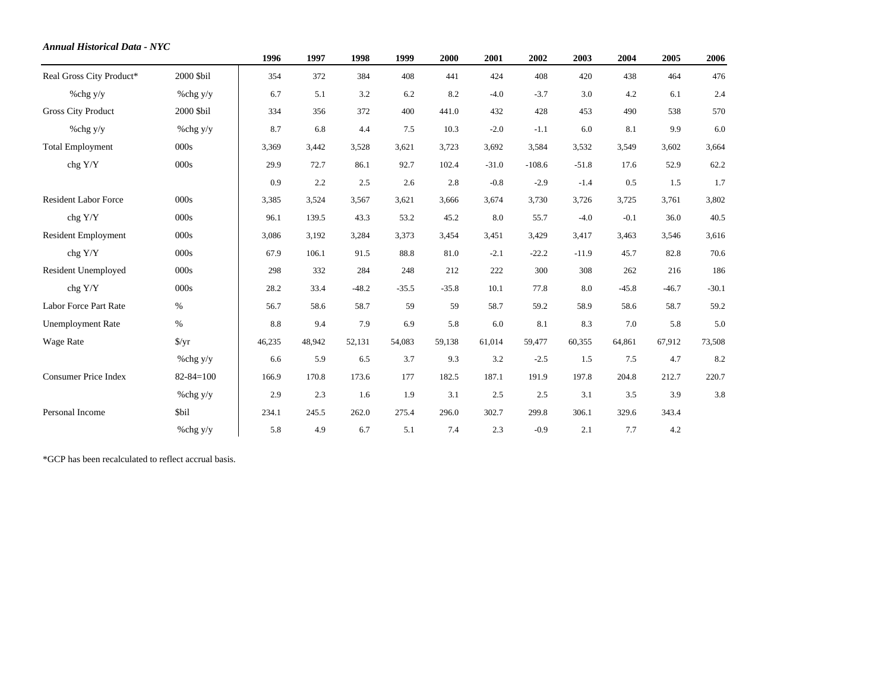| <b>Annual Historical Data - NYC</b> |                      |        |        |         |         |         |         |          |         |         |         |         |
|-------------------------------------|----------------------|--------|--------|---------|---------|---------|---------|----------|---------|---------|---------|---------|
|                                     |                      | 1996   | 1997   | 1998    | 1999    | 2000    | 2001    | 2002     | 2003    | 2004    | 2005    | 2006    |
| Real Gross City Product*            | 2000 \$bil           | 354    | 372    | 384     | 408     | 441     | 424     | 408      | 420     | 438     | 464     | 476     |
| %chg y/y                            | %chg y/y             | 6.7    | 5.1    | 3.2     | 6.2     | 8.2     | $-4.0$  | $-3.7$   | 3.0     | 4.2     | 6.1     | 2.4     |
| <b>Gross City Product</b>           | 2000 \$bil           | 334    | 356    | 372     | 400     | 441.0   | 432     | 428      | 453     | 490     | 538     | 570     |
| % $chg y/y$                         | % $chg$ y/y          | 8.7    | 6.8    | 4.4     | 7.5     | 10.3    | $-2.0$  | $-1.1$   | 6.0     | 8.1     | 9.9     | 6.0     |
| <b>Total Employment</b>             | 000s                 | 3,369  | 3,442  | 3,528   | 3,621   | 3,723   | 3,692   | 3,584    | 3,532   | 3,549   | 3,602   | 3,664   |
| chg Y/Y                             | 000s                 | 29.9   | 72.7   | 86.1    | 92.7    | 102.4   | $-31.0$ | $-108.6$ | $-51.8$ | 17.6    | 52.9    | 62.2    |
|                                     |                      | 0.9    | 2.2    | 2.5     | 2.6     | 2.8     | $-0.8$  | $-2.9$   | $-1.4$  | 0.5     | 1.5     | 1.7     |
| <b>Resident Labor Force</b>         | $000s$               | 3,385  | 3,524  | 3,567   | 3,621   | 3,666   | 3,674   | 3,730    | 3,726   | 3,725   | 3,761   | 3,802   |
| chg Y/Y                             | 000s                 | 96.1   | 139.5  | 43.3    | 53.2    | 45.2    | 8.0     | 55.7     | $-4.0$  | $-0.1$  | 36.0    | 40.5    |
| <b>Resident Employment</b>          | 000s                 | 3,086  | 3,192  | 3,284   | 3,373   | 3,454   | 3,451   | 3,429    | 3,417   | 3,463   | 3,546   | 3,616   |
| chg Y/Y                             | 000s                 | 67.9   | 106.1  | 91.5    | 88.8    | 81.0    | $-2.1$  | $-22.2$  | $-11.9$ | 45.7    | 82.8    | 70.6    |
| <b>Resident Unemployed</b>          | 000s                 | 298    | 332    | 284     | 248     | 212     | 222     | 300      | 308     | 262     | 216     | 186     |
| chg Y/Y                             | 000s                 | 28.2   | 33.4   | $-48.2$ | $-35.5$ | $-35.8$ | 10.1    | 77.8     | 8.0     | $-45.8$ | $-46.7$ | $-30.1$ |
| Labor Force Part Rate               | $\%$                 | 56.7   | 58.6   | 58.7    | 59      | 59      | 58.7    | 59.2     | 58.9    | 58.6    | 58.7    | 59.2    |
| <b>Unemployment Rate</b>            | $\%$                 | 8.8    | 9.4    | 7.9     | 6.9     | 5.8     | 6.0     | 8.1      | 8.3     | 7.0     | 5.8     | 5.0     |
| Wage Rate                           | $\frac{\sqrt{2}}{2}$ | 46,235 | 48,942 | 52,131  | 54,083  | 59,138  | 61,014  | 59,477   | 60,355  | 64,861  | 67,912  | 73,508  |
|                                     | % $chg$ y/y          | 6.6    | 5.9    | 6.5     | 3.7     | 9.3     | 3.2     | $-2.5$   | 1.5     | 7.5     | 4.7     | 8.2     |
| <b>Consumer Price Index</b>         | $82 - 84 = 100$      | 166.9  | 170.8  | 173.6   | 177     | 182.5   | 187.1   | 191.9    | 197.8   | 204.8   | 212.7   | 220.7   |
|                                     | % $chg$ y/y          | 2.9    | 2.3    | 1.6     | 1.9     | 3.1     | 2.5     | 2.5      | 3.1     | 3.5     | 3.9     | 3.8     |
| Personal Income                     | <b>Sbil</b>          | 234.1  | 245.5  | 262.0   | 275.4   | 296.0   | 302.7   | 299.8    | 306.1   | 329.6   | 343.4   |         |
|                                     | $\%$ chg y/y         | 5.8    | 4.9    | 6.7     | 5.1     | 7.4     | 2.3     | $-0.9$   | 2.1     | 7.7     | 4.2     |         |

\*GCP has been recalculated to reflect accrual basis.